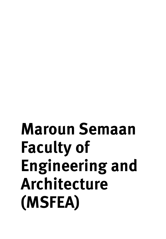# **Maroun Semaan Faculty of Engineering and Architecture (MSFEA)**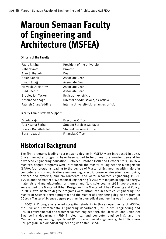## **Maroun Semaan Faculty of Engineering and Architecture (MSFEA)**

| Fadlo R. Khuri            | President of the University              |
|---------------------------|------------------------------------------|
| Zaher Dawy                | Provost                                  |
| Alan Shihadeh             | Dean                                     |
| Salah Sadek               | Associate Dean                           |
| Imad El Hajj              | Associate Dean                           |
| Howeida Al Harithy        | Associate Dean                           |
| Riad Chedid               | Associate Dean                           |
| <b>Bradley Jon Tucker</b> | Registrar, ex-officio                    |
| Antoine Sabbagh           | Director of Admissions, ex-officio       |
| Fatmeh Charafeddine       | Interim University Librarian, ex-officio |
|                           |                                          |

#### **Officers of the Faculty**

#### **Faculty Administrative Support**

| Ghada Najm           | Executive Officer               |
|----------------------|---------------------------------|
| Alia Kazma Serhal    | <b>Student Services Manager</b> |
| Jessica Bou Abdallah | Student Services Officer        |
| Sara Jibbaoui        | <b>Financial Officer</b>        |
|                      |                                 |

## **Historical Background**

The first programs leading to a master's degree in MSFEA were introduced in 1962. Since then other programs have been added to help meet the growing demand for advanced engineering education. Between October 1990 and October 1994, six new master's degree programs were introduced: the Master of Engineering Management (1990), four programs leading to the degree of Master of Engineering with majors in computer and communications engineering, electric power engineering, electronics, devices and systems, and environmental and water resources engineering (1991- 1993), and the Master of Mechanical Engineering (1994) with majors in applied energy, materials and manufacturing, or thermal and fluid sciences. In 1998, two programs were added: the Master of Urban Design and the Master of Urban Planning and Policy. In 2014, two master's degree programs were introduced in chemical engineering: the Master of Science degree program and the Master of Engineering degree program. In 2016, a Master of Science degree program in biomedical engineering was introduced.

In 2007, PhD programs started accepting students in three departments of MSFEA: the Civil and Environmental Engineering department (PhD in civil engineering and PhD in environmental and water resources engineering), the Electrical and Computer Engineering department (PhD in electrical and computer engineering), and the Mechanical Engineering department (PhD in mechanical engineering). In 2016, a new PhD program in biomedical engineering was established.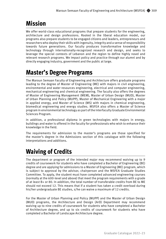## **Mission**

We offer world-class educational programs that prepare students for the engineering, architecture and design professions. Rooted in the liberal education model, our programs also prepare students to be engaged citizens and leaders, entrepreneurs and researchers who deploy their skills with ingenuity, integrity and a sense of responsibility towards future generations. Our faculty produces transformative knowledge and technology through internationally-recognized research and design, and seeks to leverage the special contexts of Lebanon and the region to define highly novel and relevant research programs. We impact policy and practice through our alumni and by directly engaging industry, government and the public at large.

## **Master's Degree Programs**

The Maroun Semaan Faculty of Engineering and Architecture offers graduate programs leading to the degree of Master of Engineering (ME) with majors in civil engineering, environmental and water resources engineering, electrical and computer engineering, mechanical engineering and chemical engineering. The faculty also offers the degrees of Master of Engineering Management (MEM), Master of Urban Design (MUD), Master of Urban Planning and Policy (MUPP), Master of Mechanical Engineering with a major in applied energy, and Master of Science (MS) with majors in chemical engineering, biomedical engineering and energy studies. MSFEA also offers a Master of Science program in environmental technology as part of the Interfaculty Graduate Environmental Sciences Program.

In addition, a professional diploma in green technologies with majors in energy, buildings and water is offered in the faculty for professionals who wish to enhance their knowledge in the field.

The requirements for admission to the master's programs are those specified for the master's degree in the Admissions section of this catalogue with the following interpretations and additions.

## **Waiving of Credits**

The department or program of the intended major may recommend waiving up to 9 credits of coursework for students who have completed a Bachelor of Engineering (BE) degree and are applying for admissions to a Master of Engineering (ME) program, which is subject to approval by the advisor, chairperson and the MSFEA Graduate Studies Committee. To apply, the student must have completed advanced engineering courses (normally at the 600-level and above) that meet the program requirements with a grade of at least B+ or 80. In addition, the total number of transferable credits from BE to ME should not exceed 12. This means that if a student has taken a credit overload during his/her undergraduate BE studies, s/he can waive a maximum of 12 credits.

For the Master of Urban Planning and Policy (MUPP) and the Master of Urban Design (MUD) programs, the Architecture and Design (ArD) Department may recommend waiving up to nine credits of coursework for students who have completed a Bachelor of Architecture degree, and up to six credits of coursework for students who have completed a Bachelor of Landscape Architecture degree.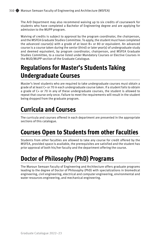The ArD Department may also recommend waiving up to six credits of coursework for students who have completed a Bachelor of Engineering degree and are applying for admission to the MUPP program.

Waiving of credits is subject to approval by the program coordinator, the chairperson, and the MSFEA Graduate Studies Committee. To apply, the student must have completed the advanced course(s) with a grade of at least B+ or 80 or equivalent. An advanced course is a course taken during the senior (third) or later year(s) of undergraduate study and deemed equivalent, by program coordinator, chairperson, and MSFEA Graduate Studies Committee, to a course listed under Mandatory Courses or Elective Courses in the MUD/MUPP section of the Graduate Catalogue.

## **Regulations for Master's Students Taking Undergraduate Courses**

Master's level students who are required to take undergraduate courses must obtain a grade of at least C+ or 70 in each undergraduate course taken. If a student fails to obtain a grade of C+ or 70 in any of these undergraduate courses, the student is allowed to repeat that course only once. Failure to meet the requirements will result in the student being dropped from the graduate program.

## **Curricula and Courses**

The curricula and courses offered in each department are presented in the appropriate sections of this catalogue.

## **Courses Open to Students from other Faculties**

Students from other faculties are allowed to take any course for credit offered by the MSFEA, provided space is available, the prerequisites are satisfied and the student has prior approval of both his/her faculty and the department offering the course.

## **Doctor of Philosophy (PhD) Programs**

The Maroun Semaan Faculty of Engineering and Architecture offers graduate programs leading to the degree of Doctor of Philosophy (PhD) with specializations in biomedical engineering, civil engineering, electrical and computer engineering, environmental and water resources engineering, and mechanical engineering.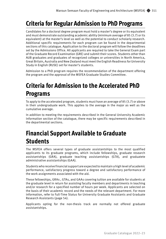## **Criteria for Regular Admission to PhD Programs**

Candidates for a doctoral degree program must hold a master's degree or its equivalent and must demonstrate outstanding academic ability (minimum average of 85 (3.7) or its equivalent) at the master's level as well as the potential to conduct scholarly research. Additional specific requirements for each program can be found in the departmental sections of this catalogue. Application to the doctoral program will follow the deadlines set by the Admissions Office. All applicants are required to take the General Exam part of the Graduate Record Examination (GRE) and submit their scores. Students other than AUB graduates and graduates of recognized colleges or universities in North America, Great Britain, Australia and New Zealand must meet the English Readiness for University Study in English (RUSE) set for master's students.

Admission to a PhD program requires the recommendation of the department offering the program and the approval of the MSFEA Graduate Studies Committee.

## **Criteria for Admission to the Accelerated PhD Programs**

To apply to the accelerated program, students must have an average of 85 (3.7) or above in their undergraduate work. This applies to the average in the major as well as the cumulative average.

In addition to meeting the requirements described in the General University Academic Information section of the catalogue, there may be specific requirements described in the departmental sections.

## **Financial Support Available to Graduate Students**

The MSFEA offers several types of graduate assistantships to the most qualified applicants to its graduate programs, which include fellowships, graduate research assistantships (GRA), graduate teaching assistantships (GTA), and graduatete administrative assistantships (GAA).

Students who receive financial support are expected to maintain a high level of academic performance, satisfactory progress toward a degree and satisfactory performance of the work assignments associated with the aid.

These fellowships, GRAs , GTAs, and GAAs covering tuition are available for students at the graduate level in return for assisting faculty members and departments in teaching and/or research for a specified number of hours per week. Applicants are selected on the basis of their academic record and the needs of the relevant department. For more information, refer to Full-Time Status for University Graduate Assistants and Graduate Research Assistants (page 54).

Applicants opting for the non-thesis track are normally not offered graduate assistantships.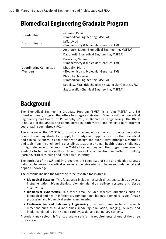## **Biomedical Engineering Graduate Program**

| Coordinator:                       | Mhanna, Rami<br>(Biomedical Engineering, MSFEA)             |
|------------------------------------|-------------------------------------------------------------|
| Co-coordinator:                    | Jaffa, Avad<br>(Biochemistry & Molecular Genetics, FM)      |
|                                    | Amatoury, Jason (Biomedical Engineering, MSFEA)             |
|                                    | Daou, Arij (Biomedical Engineering, MSFEA)                  |
|                                    | Darwiche, Nadine<br>(Biochemistry & Molecular Genetics, FM) |
| Coordinating Committee<br>Members: | Khoueiry, Pierre<br>(Biochemistry & Molecular Genetics, FM) |
|                                    | Khraiche, Massoud<br>(Biomedical Engineering, MSFEA)        |
|                                    | Kobeissy, Firas (Biochemistry & Molecular Genetics, FM)     |
|                                    | Saad, Walid (Chemical Engineering, MSFEA)                   |

## **Background**

The Biomedical Engineering Graduate Program (BMEP) is a joint MSFEA and FM interdisciplinary program that offers two degrees: Master of Science (MS) in Biomedical Engineering and Doctor of Philosophy (PhD) in Biomedical Engineering. The BMEP is housed in the MSFEA and administered by both MSFEA and FM via a joint program coordinating committee (JPCC).

The mission of the BMEP is to provide excellent education and promote innovative research enabling students to apply knowledge and approaches from the biomedical and clinical sciences in conjunction with design and quantitative principles, methods and tools from the engineering disciplines to address human health related challenges of high relevance to Lebanon, the Middle East and beyond. The program prepares its students to be leaders in their chosen areas of specialization committed to lifelong learning, critical thinking and intellectual integrity.

The curricula of the MS and PhD degrees are composed of core and elective courses balanced between biomedical sciences and engineering and between fundamental and applied knowledge.

The curricula include the following three research focus areas:

- **Biomedical Systems:** This focus area includes research directions such as devices, instrumentation, biomechanics, biomaterials, drug delivery systems and tissue engineering.
- **Biomedical Cybernetics:** This focus area includes research directions such as biomedical and health informatics, computational biology, biomedical signal/image processing and biomedical systems engineering.
- **Cardiovascular and Pulmonary Engineering:** This focus area includes research directions such as fluid mechanics, modeling, simulation, imaging, devices, and implants related to both human cardiovascular and pulmonary systems.

A student may select his/her courses to satisfy the requirements of one of the three focus areas.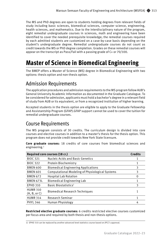The MS and PhD degrees are open to students holding degrees from relevant fields of study including basic sciences, biomedical sciences, computer science, engineering, health sciences, and mathematics. Due to the interdisciplinary nature of the program, eight remedial undergraduate courses in sciences, math and engineering have been identified to cover the needed prerequisite knowledge; the remedial courses required by each admitted students are customized on a case-by-case basis depending on the student's undergraduate degree. Remedial undergraduate courses do not count as credit towards the MS or PhD degree completion. Grades on these remedial courses will appear on the transcript as Pass/Fail with a passing grade of C+ or 70/100.

## **Master of Science in Biomedical Engineering**

The BMEP offers a Master of Science (MS) degree in Biomedical Engineering with two options: thesis option and non-thesis option.

## Admission Requirements

The application procedures and admission requirements to the MS program follow AUB's General University Academic Information as documented in the Graduate Catalogue. To be considered for admission, applicants must hold a bachelor's degree in a relevant field of study from AUB or its equivalent, or from a recognized institution of higher learning.

Accepted students in the thesis option are eligible to apply to the Graduate Fellowship and Assistantship Program (GFAP).GFAP support cannot be used to cover the tuition for remedial undergraduate courses.

## Course Requirements

The MS program consists of 30 credits. The curriculum design is divided into core courses and elective courses in addition to a master's thesis for the thesis option. This program does not provide credit towards New York State licensure.

**Core graduate courses:** 18 credits of core courses from biomedical sciences and engineering.1

|                                 | Required core courses (18 cr.)                         | <b>Credits</b> |
|---------------------------------|--------------------------------------------------------|----------------|
| <b>BIOC 321</b>                 | Nucleic Acids and Basic Genetics                       | 1              |
| <b>BIOC 322</b>                 | Protein Biochemistry                                   |                |
| <b>BMEN 600</b>                 | <b>Biomedical Engineering Applications</b>             | 3              |
| <b>BMEN 601</b>                 | <b>Computational Modeling of Physiological Systems</b> | 3              |
| <b>BMEN 672</b>                 | <b>Hospital Lab Rotation</b>                           | 0              |
| <b>BMEN 673L</b>                | <b>Biomedical Engineering Lab</b>                      |                |
| <b>EPHD 310</b>                 | Basic Biostatistics <sup>1</sup>                       | 3              |
| <b>HUMR 310</b><br>(A, B, or C) | Biomedical Research Techniques                         |                |
| <b>HUMR 314</b>                 | Research Seminar                                       |                |
| <b>PHYL 346</b>                 | Human Physiology                                       | 4              |

**Restricted elective graduate courses:** 6 credits restricted elective courses customized per focus area and required by both thesis and non-thesis options.

<sup>1)</sup> EPHD 310 can be replaced by another advanced level statistics course based on JPCC's approval.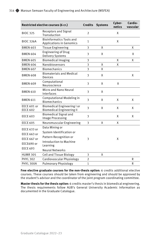|                                       | Restricted elective courses (6 cr.)                             | <b>Credits</b> | <b>Systems</b> | Cyber-<br>netics | Cardio-<br>vascular |
|---------------------------------------|-----------------------------------------------------------------|----------------|----------------|------------------|---------------------|
| <b>BIOC 325</b>                       | <b>Receptors and Signal</b><br>Transduction                     | $\overline{2}$ |                | X                |                     |
| <b>BIOC 326A</b>                      | <b>Bioinformatics Tools and</b><br>Applications in Genomics     | $\mathbf{1}$   |                | X                |                     |
| <b>BMEN 603</b>                       | <b>Tissue Engineering</b>                                       | 3              | x              |                  | X                   |
| <b>BMEN 604</b>                       | <b>Engineering of Drug</b><br><b>Delivery Systems</b>           | 3              | X              |                  | X                   |
| <b>BMEN 605</b>                       | <b>Biomedical Imaging</b>                                       | 3              |                | X                | X                   |
| <b>BMEN 606</b>                       | Nanobiosensors                                                  | 3              | Χ              | X                |                     |
| <b>BMEN 607</b>                       | <b>Biomechanics</b>                                             | 3              | X              |                  |                     |
| <b>BMEN 608</b>                       | <b>Biomaterials and Medical</b><br>Devices                      | 3              | X              |                  | Χ                   |
| <b>BMEN 609</b>                       | Computational<br>Neuroscience                                   | 3              | X              | Χ                |                     |
| <b>BMEN 610</b>                       | Micro and Nano Neural<br>Interfaces                             | 3              | X              |                  |                     |
| <b>BMEN 611</b>                       | Computational Modeling in<br><b>Biomechanics</b>                | 3              | X              | X                | Χ                   |
| <b>EECE 601 or</b><br><b>EECE 602</b> | Biomedical Engineering I or<br><b>Biomedical Engineering II</b> | 3              | X              | X                | Χ                   |
| <b>EECE 603</b>                       | <b>Biomedical Signal and</b><br>Image Processing                | 3              |                | X                | X                   |
| <b>EECE 605</b>                       | Neuromuscular Engineering                                       | 3              | X              | X                |                     |
| <b>EECE 633 or</b>                    | Data Mining or                                                  |                |                |                  |                     |
| EECE 663 or                           | System Identification or                                        |                |                |                  |                     |
| <b>EECE 667 or</b>                    | Pattern Recognition or                                          | 3              |                | X                |                     |
|                                       | <b>Introduction to Machine</b>                                  |                |                |                  |                     |
| EECE690 or                            | Learning                                                        |                |                |                  |                     |
| <b>EECE 693</b>                       | <b>Neural Networks</b>                                          |                |                |                  |                     |
| <b>HUMR 305</b>                       | Cell and Tissue Biology                                         | 3              | X              |                  |                     |
| <b>PHYL 302</b>                       | Cardiovascular Physiology                                       | $\overline{2}$ |                |                  | R                   |
| <b>PHYL 300A</b>                      | <b>Pulmonary Physiology</b>                                     | $\mathbf{1}$   |                |                  | R                   |

**Free elective graduate courses for the non-thesis option:** 6 credits additional elective courses. These courses should be taken from engineering and should be approved by the student's advisor and the coordinator of the joint program coordinating committee.

**Master thesis for the thesis option:** 6 credits master's thesis in biomedical engineering. The thesis requirements follow AUB's General University Academic Information as documented in the Graduate Catalogue.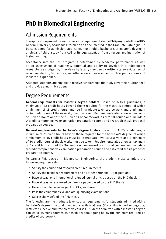## **PhD in Biomedical Engineering**

## Admission Requirements

The application procedures and admission requirements to the PhD program follow AUB's General University Academic Information as documented in the Graduate Catalogue. To be considered for admission, applicants must hold a bachelor's or master's degree in a relevant field of study from AUB or its equivalent, or from a recognized institution of higher learning.

Acceptance into the PhD program is determined by academic performance as well as an assessment of readiness, potential and ability to develop into independent researchers as judged by interviews by faculty members, a written statement, letters of recommendation, GRE scores, and other means of assessment such as publications and industrial experience.

Accepted students are eligible to receive scholarships that fully cover their tuition fees and provide a monthly stipend.

## Degree Requirements

**General requirements for master's degree holders:** Based on AUB's guidelines, a minimum of 48 credit hours beyond those required for the master's degree, of which a minimum of 18 credit hours must be in graduate level course work and a minimum of 24 credit hours of thesis work, must be taken. Requirements also allow a maximum of 3 credit hours out of the 18 credits of coursework as tutorial course and include a 0-credit comprehensive examination preparation course and a 0-credit thesis proposal preparation course.

**General requirements for bachelor's degree holders:** Based on AUB's guidelines, a minimum of 78 credit hours beyond those required for the bachelor's degree, of which a minimum of 36 credit hours must be in graduate level coursework and a minimum of 30 credit hours of thesis work, must be taken. Requirements also allow a maximum of 6 credit hours out of the 36 credits of coursework as tutorial courses and include a 0-credit comprehensive examination preparation course and a 0-credit thesis proposal preparation course.

To earn a PhD degree in Biomedical Engineering, the student must complete the following requirements:

- Satisfy the course and research credit requirements
- Satisfy the residence requirement and all other pertinent AUB regulations
- Have at least one international refereed journal article based on the PhD thesis
- Have at least one refereed conference paper based on the PhD thesis
- Have a cumulative average of 85 (3.7) or above
- Pass the comprehensive and oral qualifying examinations
- Successfully defend the PhD thesis

The following are the graduate level course requirements for students admitted with a bachelor's degree. The total number of credits is at least 36 credits divided among core, restricted elective and free elective courses. Students admitted with a master's degree can waive as many courses as possible without going below the minimum required 18 credits of coursework.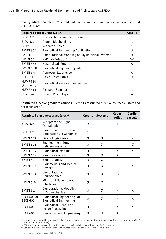**Core graduate courses:** 21 credits of core courses from biomedical sciences and engineering.<sup>12</sup>

|                                 | Required core courses (21 cr.)                  | <b>Credits</b> |
|---------------------------------|-------------------------------------------------|----------------|
| <b>BIOC 321</b>                 | <b>Nucleic Acids and Basic Genetics</b>         |                |
| <b>BIOC 322</b>                 | Protein Biochemistry                            | 1              |
| <b>BIOM 385</b>                 | <b>Research Ethics</b>                          | 1              |
| <b>BMEN 600</b>                 | <b>Biomedical Engineering Applications</b>      | 3              |
| <b>BMEN 601</b>                 | Computational Modeling of Physiological Systems | 3              |
| <b>BMEN 671</b>                 | <b>PhD Lab Rotation1</b>                        | $1+1$          |
| <b>BMEN 672</b>                 | <b>Hospital Lab Rotation</b>                    | 0              |
| <b>BMEN 673L</b>                | Biomedical Engineering Lab                      | 1              |
| <b>BMEN 675</b>                 | Approved Experience                             | 0              |
| <b>EPHD 310</b>                 | <b>Basic Biostatistics2</b>                     | 3              |
| <b>HUMR 310</b><br>(A, B, or C) | <b>Biomedical Research Techniques</b>           | 1              |
| <b>HUMR 314</b>                 | Research Seminar                                | 1              |
| <b>PHYL 346</b>                 | Human Physiology                                | 4              |
|                                 |                                                 |                |

**Restricted elective graduate courses:** 9 credits restricted elective courses customized per focus area.3

| Restricted elective courses (9 cr.) <sup>3</sup> |                                                                 | <b>Credits</b> | <b>Systems</b> | Cyber-<br>netics | Cardio-<br>vascular |
|--------------------------------------------------|-----------------------------------------------------------------|----------------|----------------|------------------|---------------------|
| <b>BIOC 325</b>                                  | Receptors and Signal<br>Transduction                            | $\overline{2}$ |                | R                |                     |
| <b>BIOC 326A</b>                                 | <b>Bioinformatics Tools and</b><br>Applications in Genomics     | $\mathbf{1}$   |                | R                |                     |
| <b>BMEN 603</b>                                  | <b>Tissue Engineering</b>                                       | 3              | X              |                  | X                   |
| <b>BMEN 604</b>                                  | <b>Engineering of Drug</b><br>Delivery Systems                  | 3              | X              |                  | X                   |
| <b>BMEN 605</b>                                  | Biomedical Imaging                                              | 3              |                | X                | X                   |
| <b>BMEN 606</b>                                  | Nanobiosensors                                                  | 3              | X              | X                |                     |
| <b>BMEN 607</b>                                  | <b>Biomechanics</b>                                             | 3              | X              |                  |                     |
| <b>BMEN 608</b>                                  | <b>Biomaterials and Medical</b><br>Devices                      | 3              | X              |                  | x                   |
| <b>BMEN 609</b>                                  | Computational<br>Neuroscience                                   | 3              | X              | X                |                     |
| <b>BMEN 610</b>                                  | Micro and Nano Neural<br>Interfaces                             | 3              | X              |                  |                     |
| <b>BMEN 611</b>                                  | <b>Computational Modeling</b><br>in Biomechanics                | 3              | X              | X                | X                   |
| <b>EECE 601 or</b><br><b>EECE 602</b>            | Biomedical Engineering I or<br><b>Biomedical Engineering II</b> | 3              | X              | X                | X                   |
| <b>EECE 603</b>                                  | <b>Biomedical Signal and</b><br>Image Processing                | 3              |                | X                | X                   |
| <b>EECE 605</b>                                  | Neuromuscular Engineering                                       | 3              | X              | X                |                     |

1) Students are required to take two PhD lab rotation courses where each lab rotation is 1 credit (one lab rotation in MSFEA and one lab rotation in FM).

2) EPHD 310 can be replaced by another advanced level statistics course based on JPCC's approval.

3) Courses marked as "R" are required, and courses marked as "X" are possible elective options.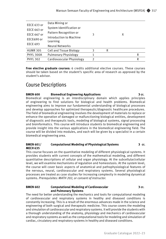| <b>EECE 633 or</b><br><b>EECE 663 or</b><br><b>EECE 667 or</b><br>EECE690 or<br><b>EECE 693</b> | Data Mining or<br>System Identification or<br>Pattern Recognition or<br>Introduction to Machine<br>Learning<br><b>Neural Networks</b> | 3              |   | Χ |   |
|-------------------------------------------------------------------------------------------------|---------------------------------------------------------------------------------------------------------------------------------------|----------------|---|---|---|
| <b>HUMR 305</b>                                                                                 | Cell and Tissue Biology                                                                                                               | 3              | R |   |   |
| PHYL 300A                                                                                       | <b>Pulmonary Physiology</b>                                                                                                           | 1              |   |   | R |
| <b>PHYL 302</b>                                                                                 | Cardiovascular Physiology                                                                                                             | $\overline{2}$ |   |   | R |

**Free elective graduate courses:** 6 credits additional elective courses. These courses should be taken based on the student's specific area of research as approved by the student's advisor.

## Course Descriptions

#### **BMEN 600 Biomedical Engineering Applications 3 cr.** Biomedical engineering is an interdisciplinary domain which applies principles of engineering to find solutions for biological and health problems. Biomedical engineering aims to improve our fundamental understanding of biological processes and develop approaches for optimized therapeutic/diagnostic healthcare procedures. The field of biomedical engineering involves the development of materials to replace or enhance the operation of damaged or malfunctioning biological entities, development of diagnostic and therapeutic tools, modeling of biological systems, signal processing and bioinformatics. This course will introduce students to biomedical engineering and provide insight into the various applications in the biomedical engineering field. The course will be divided into modules, and each will be given by a specialist in a certain biomedical engineering area.

#### **BMEN 601/ Computational Modeling of Physiological Systems 3 cr. MECH 635**

This course focuses on the quantitative modeling of different physiological systems. It provides students with current concepts of the mathematical modeling, and different quantitative descriptions of cellular and organ physiology. At the subcellular/cellular level, we will examine mechanisms of regulation and homeostasis. At the system level, the course will cover basic aspects of anatomical and pathophysiological features of the nervous, neural, cardiovascular and respiratory systems. Several physiological processes are treated as case studies for increasing complexity in modeling dynamical systems. *Prerequisites: MATH 202, or consent of instructor.* 

#### **BMEN 602** Computational Modeling of Cardiovascular 3 cr. **and Pulmonary Systems**

The need for better understanding the mechanics and tools for computational modeling of cardiovascular and respiratory systems in healthy and diseased conditions is constantly increasing. This is a result of the enormous advances made in the science and engineering of both surgical and therapeutic medicine. This course covers the modeling and simulation of cardiovascular and respiratory systems. It will provide the students with a thorough understanding of the anatomy, physiology and mechanics of cardiovascular and respiratory systems as well as the computational tools for modeling and simulation of cardiac, circulatory and respiratory systems in healthy and diseased conditions.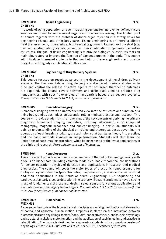#### **BMEN 603/** Tissue Engineering 3 cr. **CHEN 675**

In a world of aging population, an ever-increasing demand for improvement of healthcare services and need for replacement organs and tissues are arising. The limited pool of donors together with the problem of donor organ rejection is a strong driver for engineering tissues and other body parts. Tissue engineering is an interdisciplinary field that uses cells, biomaterials, biochemical (e.g. growth factors) and physical (e.g. mechanical stimulation) signals, as well as their combination to generate tissue-like structures. The goal of tissue engineering is to provide biological substitutes that can maintain, restore or improve the function of damaged organs in the body. This course will introduce interested students to the new field of tissue engineering and provide insight on cutting edge applications in this area.

#### **BMEN 604/ Engineering of Drug Delivery Systems 3 cr. CHEN 673**

This course focuses on recent advances in the development of novel drug delivery systems. The fundamentals of drug delivery are discussed. Various strategies to tune and control the release of active agents for optimized therapeutic outcomes are explored. The course covers polymers and techniques used to produce drug nanoparticles, with specific examples of nanoparticle-based drug delivery systems. *Prerequisites: CHEN 314 and CHEN 411, or consent of instructor.*

#### **BMEN 605 Biomedical Imaging 3 cr.**

Biomedical imaging offers an unprecedented view into the structure and function of a living body, and as such plays an essential role in medical practice and research. This course will provide students with an overview of the key concepts underlying the primary diagnostic biomedical imaging modalities, including: ultrasound, x-ray, computed tomography, magnetic resonance and nuclear imaging. In particular, students will gain an understanding of the physical principles and theoretical bases governing the operation of each imaging modality, the technology that translates theory into practice, and the basic methods involved in image formation. Students will also learn the limitations of each imaging procedure, while being exposed to their vast applications in the clinic and research. *Prerequisite: consent of instructor.*

#### **BMEN 606 Nanobiosensors 3 cr.**

This course will provide a comprehensive analysis of the field of nanoengineering with a focus on biosensors including common modalities, basic theoretical considerations for sensor operation, physics of detection and applications in research and medical diagnostics. The course will cover the major types of electronic nanobiosensors for biological signal detection (potentiometric, amperometric, and mass based sensors) and their applications in the fields of neural engineering, DNA sequencing and cardiovascular early disease detection. The course will enable students to have a strong grasp of fundamentals of biosensor design, select sensors for various applications and evaluate new and emerging technologies. *Prerequisites: EECE 210 (or equivalent) and BIOL 210 (or equivalent); or consent of instructor.*

#### **BMEN 607/ Biomechanics 3 cr. MECH 633**

A course on the study of the biomechanical principles underlying the kinetics and kinematics of normal and abnormal human motion. Emphasis is placed on the interaction between biomechanical and physiologic factors (bone, joint, connective tissue, and muscle physiology and structure) in skeleto-motor function and the application of such in testing and practice in rehabilitation. The course is designed for engineering students with no previous anatomy/ physiology. *Prerequisites: CIVE 210, MECH 320 or CIVE 310; or consent of instructor.*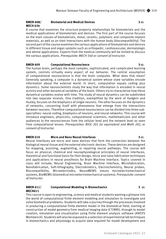#### **BMEN 608/ Biomaterial and Medical Devices 3 cr. MECH 634**

A course that examines the structure-property relationships for biomaterials and the medical applications of biomaterials and devices. The first part of the course focuses on the main classes of biomaterials, metal, ceramic, polymeric and composite implant materials, as well as on their interactions with the human body (biocompatibility). The second part of the course examines the various applications of biomaterials and devices in different tissue and organ systems such as orthopedic, cardiovascular, dermatologic and dental applications. Experts from the medical community will be invited to discuss the various applications. *Prerequisite: MECH 340 or consent of instructor.*

#### **BMEN 609 Computational Neuroscience 3 cr.**

The human brain, perhaps the most complex, sophisticated, and complicated learning system, controls virtually every aspect of our behavior. The central assumption of computational neuroscience is that the brain computes. What does that mean? Generally speaking, a computer is a dynamical system whose state variables encode information about the external world. In short, computation equals coding plus dynamics. Some neuroscientists study the way that information is encoded in neural activity and other dynamical variables of the brain. Others try to characterize how these dynamical variables evolve with time. The study of neural dynamics can be subdivided into two separate strands. One tradition, exemplified by the work of Hodgkin and Huxley, focuses on the biophysics of single neurons. The other focuses on the dynamics of networks, concerning itself with phenomena that emerge from the interactions between neurons. Therefore computational neuroscience can be divided into three subspecialties: neural coding, biophysics of neurons, and neural networks. This course will introduce engineers, physicists, computational scientists, mathematicians and other audiences to the neurosciences from the cellular level and the network level as seen from computational lenses. *Prerequisites: BIOL 201 (or equivalent) and Math 202, or consent of instructor.*

#### **BMEN 610 Micro and Nano Neural Interfaces 3 cr.**

Neural interfaces are micro and nano devices that form the connection between the biological neural tissue and the external electronic devices. These devices are designed for mapping, assisting, augmenting, or repairing neural pathways. The course will focus on physical, chemical and neurophysiological principles of neural interfaces, theoretical and functional basis for their design, micro and nano fabrication techniques and applications in neural prosthesis for Brain Machine Interface. Topics covered in class will include; Neural Engineering, Brain Machine Interface, Microfabrication, Nanofabrication, Soft-lithography, Electrokinetics, Electrochemistry, Neural probes, Biocompatibility, Microelectrodes, NeuroMEMS (neuro microelectromechanical systems, BioMEMS (biomedical microelectromechanical systems). *Prerequisite: consent of instructor.*

#### **BMEN 611/ Computational Modeling in Biomechanics 3 cr. MECH611**

This course is open to engineering, science and medical students wanting a glimpse into the world of computational finite element modeling and simulation to investigate and solve biomedical problems. Students will take a journey through the processes involved in producing a computational finite element model in the biomedical field; starting at construction of model geometry from medical imaging data (CT/MRI), through to model creation, simulation and visualization using finite element analysis software (ANSYS Workbench). Students will also be exposed to a selection of experimental lab techniques in biomechanics and physiology to acquire data required for model development and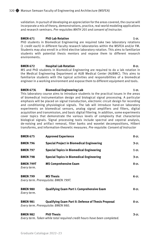validation. In pursuit of developing an appreciation for the areas covered, the course will incorporate a mix of theory, demonstrations, practice, real-world modeling applications and research seminars. *Pre-requisites MATH 201 and consent of instructor.*

#### **BMEN 671** PhD Lab Rotation **1 cr. 1 cr.**

PhD students in Biomedical Engineering are required take two laboratory rotations (1 credit each) in different faculty research laboratories within the MSFEA and/or FM. Students may also enroll in a third elective laboratory rotation. This aims to familiarize students with potential thesis mentors and expose them to different research environments.

#### **BMEN 672** Hospital Lab Rotation **1986 1986 1986 1986 1986 1986 1986 1986**

MS and PhD students in Biomedical Engineering are required to do a lab rotation in the Medical Engineering Department at AUB Medical Center (AUBMC). This aims to familiarize students with the typical activities and responsibilities of a biomedical engineer in a working environment and expose them to different equipment and tools.

#### **BMEN 673L Biomedical Engineering Lab 1 cr.**

This laboratory course aims to introduce students to the practical issues in the areas of biomedical instrumentation design and biological signal processing. A particular emphasis will be placed on signal transduction, electronic circuit design for recording and conditioning physiological signals. The lab will introduce hand-on laboratory experiments on biomedical sensors, analog signal amplifiers and filters, digital acquisition and transmission, and basic digital filtering. In addition, some experiments cover topics that demonstrate the various levels of complexity that characterize biological signals. Signal processing tools include spectral and cepstral analysis, de-noising and artifact removal, filter banks and wavelet decompositions, Hilbert transforms, and information-theoretic measures. *Pre-requisite: Consent of instructor*

| <b>BMEN 675</b>                 | <b>Approved Experience</b>                                                                        | 0 cr. |
|---------------------------------|---------------------------------------------------------------------------------------------------|-------|
| <b>BMEN 796</b>                 | <b>Special Project in Biomedical Engineering</b>                                                  | 3 cr. |
| <b>BMEN 797</b>                 | Special Topics in Biomedical Engineering                                                          | 1 cr. |
| <b>BMEN 798</b>                 | <b>Special Topics in Biomedical Engineering</b>                                                   | 3 cr. |
| <b>BMEN 799T</b><br>Every term. | <b>MS Comprehensive Exam</b>                                                                      | 0 cr. |
| <b>BMEN 799</b>                 | <b>MS Thesis</b><br>Every term. Prerequisite: BMEN 799T.                                          | 6 cr. |
| <b>BMEN 980</b><br>Every term.  | <b>Qualifying Exam Part I: Comprehensive Exam</b>                                                 | 0 cr. |
| <b>BMEN 981</b>                 | <b>Qualifying Exam Part II: Defense of Thesis Proposal</b><br>Every term. Prerequisite: BMEN 980. | 0 cr. |
| <b>BMEN 982</b>                 | <b>PhD Thesis</b><br>Every term. Taken while total required credit hours have been completed.     | 3 cr. |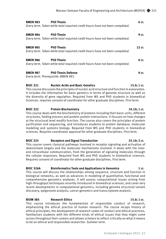| <b>BMEN 983</b> | <b>PhD Thesis</b><br>Every term. Taken while total required credit hours have not been completed. | 6 cr.  |
|-----------------|---------------------------------------------------------------------------------------------------|--------|
| <b>BMEN 984</b> | <b>PhD Thesis</b><br>Every term. Taken while total required credit hours have not been completed. | 9 cr.  |
| <b>BMEN 985</b> | <b>PhD Thesis</b><br>Every term. Taken while total required credit hours have not been completed. | 12 cr. |
| <b>BMEN 986</b> | <b>PhD Thesis</b><br>Every term. Taken while total required credit hours have not been completed. | 0 cr.  |
| <b>BMEN 987</b> | <b>PhD Thesis Defense</b><br>Every term. Prerequisite: BMEN 981.                                  | 0 cr.  |

#### **BIOC 321 Nucleic Acids and Basic Genetics** 15.0; 1 cr.

This course discusses the principles of nucleic acid structure and function in eukaryotes. It includes the information for basic genetics in terms of genome structure as well as the diversity of gene regulation. Required from MS and PhD students in biomedical Sciences. requires consent of coordinator for other graduate disciplines. *First term.*

#### **BIOC 322** Protein Biochemistry **10.10; 1 cr. 10.10; 1 cr.**

This course deals with the biochemistry of proteins including their basic units, different structures, folding process and protein-protein interactions. It focuses on how changes at the structural level modify function. The course also covers the principles of protein purification and sequencing, and introduces students to protein database, molecular modeling and systems biology. Required from MS and PhD students in biomedical sciences. Requires coordinator approval for other graduate disciplines. *First term.*

#### **BIOC 325 Receptors and Signal Transduction 25.10; 2 cr.**

This course covers classical pathways involved in receptor signaling and activation of downstream targets and the molecular mechanisms involved. It deals with the interand intracellular communication, from the generation of signaling molecules through the cellular responses. Required from MS and PhD students in biomedical sciences. Requires consent of coordinator for other graduate disciplines. *First term.*

#### **BIOC 326A Bioinformatics Tools and Applications in Genomics 1 cr.**

This course will discuss the relationships among sequence, structure and function in biological networks, as well as advances in modeling of quantitative, functional and comprehensive genomics analyses. It will assess computational issues arising from high-throughput techniques recently introduced in biomedical sciences, and cover very recent developments in computational genomics, including genome structural variant discovery, epigenome analysis, cancer genomics and transcriptome analysis.

#### **BIOM 385** Research Ethics 2012 15.0; 1 cr.

This course introduces the fundamentals of responsible conduct of research, emphasizing the ethical practice of human research. The course recaps history of ethical principles, the development of research codes of conduct and ethical practices, familiarizes students with the different kinds of ethical issues that they might come across throughout their careers and allows scholars to reflect critically on what it means to be an ethical and responsible researcher. *Summer term.*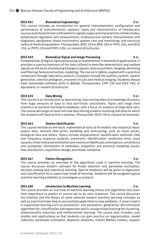#### 322 Maroun Semaan Faculty of Engineering and Architecture (MSFEA)

#### **EECE 601** Biomedical Engineering I 3 cr. This course includes an introduction to: general instrumentation configuration and performance of instrumentation systems; types and characteristics of transducers; sources and characteristics of bioelectric signals; types and characteristics of electrodes; temperature regulation and measurement; cardiovascular system, measurements and diagnostic equipment; blood instruments; patient care and monitoring; and electrical safety of medical equipment. *Prerequisites: BIOL 210 or BIOL 202 or PHYL 246, and EECE 210; or PHYS 228 and PHYS 228L; or consent of instructor.*

### **EECE 603 Biomedical Signal and Image Processing 3 cr.**

Fundamentals of digital signal processing as implemented in biomedical applications. It provides a concise treatment of the tools utilized to describe deterministic and random signals as the basis of analyzing biological signals: data acquisition; imaging; denoising and filtering; feature extraction; modeling. The course is tightly coupled with a practical component through laboratory projects. Examples include the auditory system, speech generation, electrocardiogram, neuronal circuits and medical imaging. Students should have reasonable software skills in Matlab. *Prerequisites: STAT 230 and EECE 340, or equivalent; or consent of instructor.*

#### **EECE 633** Data Mining **3 cr. 3 cr. 3 cr.**

This course is an introduction to data mining. Data mining refers to knowledge discovery from huge amounts of data to find non-trivial conclusions. Topics will range from statistics to machine learning to database, with a focus on analysis of large data sets. The course will target at least one new data mining problem involving real data for which the students will have to find a solution. *Prerequisite: EECE 330 or consent of instructor*.

#### **EECE 663** System Identification **3 cr. 3 cr.**

This course introduces the basic mathematical tools to fit models into empirical inputoutput data. General time-series modeling and forecasting, such as stock prices, biological data and others. Topics include nonparametric identification methods: time and frequency response analysis; parametric identification: prediction error, least squares, linear unbiased estimation and maximum likelihood; convergence, consistency and asymptotic distribution of estimates; properties and practical modeling issues: bias distribution, experiment design and model validation.

#### **EECE 667** Pattern Recognition **3 cr. 3 cr.**

The course provides an overview of the algorithms used in machine learning. The course discusses modern concepts for model selection and parameter estimation, decision-making and statistical learning. Special emphasis will be given to regression and classification for a supervised mode of learning. Students will be assigned typical machine learning problems to investigate as projects.

#### **EECE 690 Introduction to Machine Learning CRECE 690 3 cr.**

The course provides an overview of machine learning theory and algorithms that learn from experience to predict or control yet to be seen instances. The course discusses the intuition and the theory of some selected modern machine learning concepts as well as practical know-how to successfully apply them to new problems. It covers topics in supervised learning such as parametric/ non-parametric, generative/ discriminative algorithms for classification and regression and in unsupervised learning for clustering, dimensionality reduction and reinforcement learning. The course also includes case studies and applications so that students can gain practice on regularization, model selection, parameter estimation, Bayesian networks, hidden Markov models, support

Graduate Catalogue 2022–23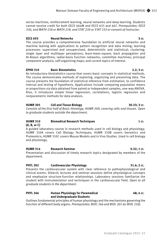vector machines, reinforcement learning, neural networks and deep learning. Students cannot receive credit for both EECE 664M and EECE 633 and 667. *Prerequisites: EECE 330, and MATH 218 or MATH 219, and STAT 230 or STAT 233 or consent of instructor.*

#### **EECE 693** Neural Networks 3 cr.

The course provides a comprehensive foundation to artificial neural networks and machine leaning with applications to pattern recognition and data mining; learning processes: supervised and unsupervised, deterministic and statistical; clustering; single layer and multilayer perceptrons; least-mean-square, back propagation and Al-Alaoui algorithms; radial-basis function networks; committee machines; principal component analysis; self-organizing maps; and current topics of interest.

#### **EPHD 310 Basic Biostatistics 2.2; 3 cr.**

An introductory biostatistics course that covers basic concepts in statistical methods. The course demonstrates methods of exploring, organizing and presenting data. The course presents the foundation of statistical inference from estimation, to confidence interval and testing of hypothesis. Applications include comparing population means or proportions via data obtained from paired or independent samples, one-way ANOVA. Also, it introduces simple linear regression, correlations, logistic regression and nonparametric methods for data analysis.

#### **HUMR 305 Cell and Tissue Biology 30.33; 3 cr.**

*Consists of the first half of Basic Histology, HUMR 209, covering cells and tissues. Open to graduate students outside the department.*

#### **HUMR 310 Biomedical Research Techniques 1 cr.** 2 1 cr. **(A, B, or C)**

A guided laboratory course in research methods used in cell biology and physiology. HUMR 310A covers Cell Biology Techniques; HUMR 310B covers Genomics and Proteomics; HUMR 310C covers Mouse Models and In Vivo Studies. Used in cell biology and physiology.

### **HUMR 314 Research Seminar 0.32; 1 cr.**

Presentation and discussion of timely research topics designated by members of the department.

#### **PHYL 302 Cardiovascular Physiology 31.6; 2 cr.**

Presents the cardiovascular system with clear reference to pathophysiological and clinical events. Didactic lectures and seminar sessions define physiological concepts and emphasize structure-function relationships. Laboratory sessions familiarize the student with instrumentation and techniques in the cardiovascular field. *Open to all graduate students in the department.*

#### PHYL 346 Human Physiology for Paramedical **48; 4 cr. and Undergraduate Students**

Outlines fundamental principles of human physiology and the mechanisms governing the function of different body organs. *Prerequisites: BIOC 246 and BIOL 201 (or BIOL 210).*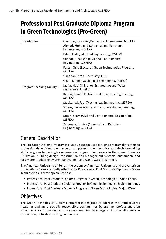## **Professional Post Graduate Diploma Program in Green Technologies (Pro-Green)**

| Coordinator:              | Ghaddar, Nesreen (Mechanical Engineering, MSFEA)                    |
|---------------------------|---------------------------------------------------------------------|
|                           | Ahmad, Mohamad (Chemical and Petroleum<br>Engineering, MSFEA)       |
|                           | Bdeir, Fadl (Industrial Engineering, MSFEA)                         |
|                           | Chehab, Ghassan (Civil and Environmental<br>Engineering, MSFEA)     |
|                           | Fares, Dima (Lecturer, Green Technologies Program,<br>MSFEA)        |
|                           | Ghaddar, Tarek (Chemistry, FAS)                                     |
|                           | Ghali, Kamel (Mechanical Engineering, MSFEA)                        |
| Program Teaching Faculty: | Jaafar, Hadi (Irrigation Engineering and Water<br>Management, FAFS) |
|                           | Karaki, Sami (Electrical and Computer Engineering,<br>MSFEA)        |
|                           | Moukalled, Fadl (Mechanical Engineering, MSFEA)                     |
|                           | Salam, Darine (Civil and Environmental Engineering,<br>MSFEA)       |
|                           | Srour, Issam (Civil and Environmental Engineering,<br>MSFEA)        |
|                           | Zaidouny, Lamiss (Chemical and Petroleum<br>Engineering, MSFEA)     |

## General Description

The Pro-Green Diploma Program is a unique and focused diploma program that caters to professionals aspiring to enhance or complement their technical and decision-making skills in green technologies or progress in green businesses in the areas of energy utilization, building design, construction and management systems, sustainable and safe water production, water management and waste water treatment.

The American University of Beirut, the Lebanese American University and the American University in Cairo are jointly offering the Professional Post Graduate Diploma in Green Technologies in three specializations:

- Professional Post Graduate Diploma Program in Green Technologies; Major: Energy
- Professional Post Graduate Diploma Program in Green Technologies; Major: Buildings
- Professional Post Graduate Diploma Program in Green Technologies; Major: Water

## **Objectives**

The Green Technologies Diploma Program is designed to address the trend towards healthier and more socially responsible communities by training professionals on effective ways to develop and advance sustainable energy and water efficiency in production, utilization, storage and re-use.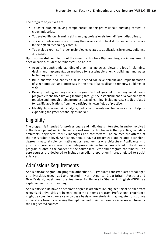The program objectives are:

- To foster problem-solving competencies among professionals pursuing careers in green industries,
- To develop lifelong learning skills among professionals from different disciplines,
- To assist professionals in acquiring the diverse and critical skills needed to advance in their green technology careers,
- To develop expertise in green technologies related to applications in energy, buildings and water.

Upon successful completion of the Green Technology Diploma Program in any area of specialization, students/trainees will be able to:

- Acquire in-depth understanding of green technologies relevant to jobs in planning, design and implementation methods for sustainable energy, buildings, and water technologies and industries,
- Build analysis and hands-on skills needed for development and implementation of green products and processes in the area of specialization (energy, buildings or water),
- Develop lifelong learning skills in the green technologies field. The pro-green diploma program emphasizes lifelong learning through the establishment of a community of practice and through problem/project-based learning, including case studies related to real life applications from the participants' own fields of practice.
- Identify how economic analysis, policy and regulatory frameworks can help in expanding the green technologies market.

## **Eligibility**

The program is intended for professionals and individuals interested in and/or involved in the development and implementation of green technologies in their practice, including architects, engineers, facility managers and contractors. The courses are offered at the postgraduate level. Applicants should have a recognized and related bachelor's degree in natural science, mathematics, engineering or architecture. Applicants who join the program may have to complete pre-requisites for courses offered in the diploma program or obtain the consent of the course instructor and program coordinator. The core courses are designed to include remedial preparation in areas related to social sciences.

## Admissions Requirements

Applicants to the graduate program, other than AUB graduates and graduates of colleges or universities recognized and located in North America, Great Britain, Australia and New Zealand, must meet the Readiness for University Studies in English (RUSE) as explained in the next heading.

Applicants should have a bachelor's degree in architecture, engineering or science from recognized universities to be enrolled in the diploma program. Professional experience might be considered on a case by case basis where students may register for courses not working towards receiving the diploma and their performance is assessed towards their registered courses.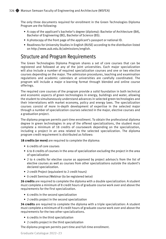The only three documents required for enrollment in the Green Technologies Diploma Program are the following:

- A copy of the applicant's bachelor's degree (diploma): Bachelor of Architecture (BA), Bachelor of Engineering (BE), Bachelor of Science (BS).
- A photocopy of the front page of the applicant's passport or national ID.
- Readiness for University Studies in English (RUSE) according to the distribution listed on http://www.aub.edu.lb/admissions/english.

## Structure and Program Requirements

The Green Technologies Diploma Program shares a set of core courses that can be registered and followed at any of the joint universities. Each major specialization will also include a number of required specialization courses and one or two elective courses depending on the major. The admission procedures, teaching and examination regulations and academic calendars at universities are carefully coordinated. The program will include a major e-learning format through blended and online course offerings.

The required core courses of the program provide a solid foundation in both technical and economic aspects of green technologies in energy, buildings and water, allowing the student to simultaneously understand advances in selected green technologies and their interrelations with market economy, policy and energy laws. The specialization courses consist of more in-depth development of expertise in the selected major through a number of specialization courses selected in the major, elective courses and a graduation project.

The diploma program permits part-time enrollment. To obtain the professional diploma degree in green technologies in any of the offered specializations, the student must complete a minimum of 18 credits of coursework depending on the specialization, including a project in an area related to the selected specialization. The diploma program credit requirement is distributed as follows:

**18 credits (or more)** are required to complete the diploma:

- 6 credits of core courses
- 6 to 8 credits of courses in the area of specialization excluding the project in the area of specialization
- 2 to 4 credits for elective course as approved by project advisor/s from the list of elective courses as well as courses from other specializations outside the student's declared specialization.
- 2-credit Project (equivalent to 2 credit hours)
- 0 credit Seminar/Webinar (to be registered twice)

**26 credits** are required to complete the diploma with a double specialization: A student must complete a minimum of 8 credit hours of graduate course work over and above the requirements for the first specialization.

- 6 credits in the second specialization
- 2 credits project in the second specialization

**34 credits** are required to complete the diploma with a triple specialization: A student must complete a minimum of 8 credit hours of graduate course work over and above the requirements for the two other specializations.

- 6 credits in the third specialization
- 2 credits project in the third specialization

The diploma program permits part-time and full-time enrollment.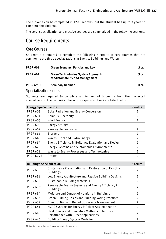The diploma can be completed in 12-18 months, but the student has up to 3 years to complete the diploma.

The core, specialization and elective courses are summarized in the following sections.

## Course Requirements

### Core Courses

Students are required to complete the following 6 credits of core courses that are common to the three specializations in Energy, Buildings and Water:

| <b>PRGR 601</b>  | <b>Green Economy, Policies and Law</b>                                        | 3 cr. |
|------------------|-------------------------------------------------------------------------------|-------|
| <b>PRGR 602</b>  | <b>Green Technologies System Approach</b><br>to Sustainability and Management | 3 cr. |
| <b>PRGR 698B</b> | Seminar/Webinar                                                               | 0 cr. |

#### Specialization Courses

Students are required to complete a minimum of 6 credits from their selected specialization. The courses in the various specializations are listed below.1

| <b>Energy Specialization</b> |                                                      | <b>Credits</b> |
|------------------------------|------------------------------------------------------|----------------|
| <b>PRGR 603</b>              | Solar Radiation and Energy Conversion                | 2              |
| <b>PRGR 604</b>              | Solar PV Electricity                                 | 2              |
| <b>PRGR 605</b>              | Wind Energy                                          | 2              |
| <b>PRGR 606</b>              | <b>Energy Storage</b>                                | 2              |
| <b>PRGR 609</b>              | Renewable Energy Lab                                 | 2              |
| <b>PRGR 615</b>              | <b>Biofuels</b>                                      | 2              |
| <b>PRGR 616</b>              | Waves, Tidal and Hydro Energy                        | 2              |
| <b>PRGR 617</b>              | Energy Efficiency in Buildings Evaluation and Design | 2              |
| <b>PRGR 620</b>              | <b>Energy Systems and Sustainable Environments</b>   | 2              |
| <b>PRGR 621</b>              | Waste to Energy Processes and Technologies           | 2              |
| <b>PRGR 699E</b>             | Project                                              | 2              |

| <b>Buildings Specialization</b> |                                                                                      | <b>Credits</b> |
|---------------------------------|--------------------------------------------------------------------------------------|----------------|
| <b>PRGR 630</b>                 | Sustainable Preservation and Restoration of Existing<br><b>Buildings</b>             | $\overline{2}$ |
| <b>PRGR 631</b>                 | Low Energy Architecture and Passive Building Designs                                 | $\overline{2}$ |
| <b>PRGR 632</b>                 | Sustainable Building Materials                                                       | 2              |
| PRGR 633 <sup>1</sup>           | Renewable Energy Systems and Energy Efficiency in<br><b>Buildings</b>                | 2              |
| <b>PRGR 634</b>                 | Moisture and Control of Humidity in Buildings                                        | $\overline{2}$ |
| <b>PRGR 637</b>                 | Green Building Basics and Building Rating Practices                                  | $\overline{2}$ |
| <b>PRGR 639</b>                 | <b>Construction and Demolition Waste Management</b>                                  | $\overline{2}$ |
| <b>PRGR 641</b>                 | <b>HVAC Systems for Energy Efficient Acclimatization</b>                             | 2              |
| <b>PRGR 643</b>                 | Heat Pumps and Innovative Methods to Improve<br>Performance with Direct Applications | C              |
| <b>PRGR 645</b>                 | <b>Building Energy System Modeling</b>                                               | $\mathcal{P}$  |
|                                 |                                                                                      |                |

1) Can be counted as an Energy specialization course.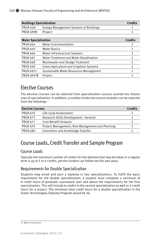| <b>Buildings Specialization</b> |                                               | <b>Credits</b> |
|---------------------------------|-----------------------------------------------|----------------|
| PRGR 646 <sup>1</sup>           | <b>Energy Management Systems of Buildings</b> | 2              |
| <b>PRGR 699B</b>                | Project                                       | 2              |
|                                 |                                               |                |
| <b>Water Specialization</b>     |                                               | <b>Credits</b> |
| <b>PRGR 664</b>                 | Water Instrumentation                         | 2              |
| PRGR 665 <sup>1</sup>           | <b>Water Basics</b>                           | $\overline{2}$ |
| <b>PRGR 666</b>                 | Water Infrastructure Systems                  | $\overline{2}$ |
| <b>PRGR 667</b>                 | Water Treatment and Water Desalination        | $\overline{2}$ |
| <b>PRGR 668</b>                 | Wastewater and Sludge Treatment               | $\overline{2}$ |
| <b>PRGR 669</b>                 | Green Agriculture and Irrigation Systems      | 2              |
| <b>PRGR 6811</b>                | Sustainable Water Resources Management        | $\overline{2}$ |
| <b>PRGR 699 W</b>               | Project                                       | $\overline{2}$ |

## Elective Courses

The elective courses can be selected from specialization courses outside the chosen area of specialization. In addition, a number of elective course modules can be selected from the following: 1

| <b>Elective Courses</b> |                                                  | <b>Credits</b> |
|-------------------------|--------------------------------------------------|----------------|
| <b>PRGR 670</b>         | Life Cycle Assessment                            | 7              |
| <b>PRGR 673</b>         | Research Skills Development - General            |                |
| <b>PRGR 677</b>         | Cost-Benefit Analysis                            |                |
| <b>PRGR 679</b>         | Project Management, Risk Management and Planning |                |
| <b>PRGR 680</b>         | Innovation and Knowledge Transfer                |                |

## Course Loads, Credit Transfer and Sample Program

### Course Loads

Typically the maximum number of credits for the diploma that may be taken in a regular term is up to 5 or 6 credits, yet the student can follow her/his own pace.

### Requirements for Double Specialization

Students may enroll and earn a diploma in two specializations. To fulfill the basic requirement for the double specialization, a student must complete a minimum of 8 credit hours of graduate coursework over and above the requirements for the first specialization. This will include 6 credits in the second specialization as well as 2 credit hours for a project. The minimum total credit hours for a double specialization in the Green Technologies Diploma Program would be 26.

<sup>1)</sup> Water Core Course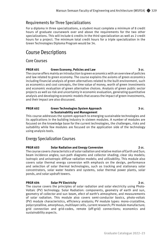### Requirements for Three Specializations

For a diploma in three specializations, a student must complete a minimum of 8 credit hours of graduate coursework over and above the requirements for the two other specializations. This will include 6 credits in the third specialization as well as 2 credit hours for a project. The minimum total credit hours for a triple specialization in the Green Technologies Diploma Program would be 34.

## Course Descriptions

### Core Courses

#### **PRGR 601 Green Economy, Policies and Law 3 cr.**

The course offers mainly an introduction to green economics with an overview of policies and law related to green economy. The course explains the axioms of green economics including financial analysis of green alternatives related to the built environment, such as economics and cost concepts, the time value of money, worth of green investments and economic evaluation of green alternative choices. Analysis of green public sector projects as well as risk and uncertainty in economic evaluation, generating quantitative analysis and developing economic models that assess the impact of green investments, and their impact are also discussed.

#### **PRGR 602 Green Technologies System Approach 3 cr. to Sustainability and Management**

This course addresses the system approach to emerging sustainable technologies and its applications in the building industry in sixteen modules. A number of modules are focused on the knowledge base for the current technologies, the challenges, risks and suitability while few modules are focused on the application side of the technology using analysis tools.

### Energy Specialization Courses

#### **PRGR 603** Solar Radiation and Energy Conversion 2 cr.

The course covers characteristics of solar radiation and relative motion of Earth and Sun; beam incidence angles; sun-path diagrams and collector shading; clear sky models; isotropic and anisotropic diffuse radiation models; and utilizability. This module also covers solar thermal energy conversion with emphasis on the design, performance and selection of solar thermal technologies, such as tracking and stationary solar concentrators, solar water heaters and systems, solar thermal power plants, solar ponds, and solar updraft towers.

#### **PRGR 604** Solar PV Electricity **2 cm** 2 cm 2 cm

The course covers the principles of solar radiation and solar electricity using Photo-Voltaic (PV) technology. Solar Radiation: components, geometry of earth and sun, geometry of collector and sun beam, efect of earth's atmosphere, and measurements of solar radiation. This module also covers semi-conductor basics, photo-voltaic (PV) module characteristics, efficiency analysis; PV module types: mono-crystalline, polycrystalline, amorphous, multilayer cells, current research; PV module manufacture; grid connection and grid-codes, remote (off-grid) connections; economics and sustainability aspects.

Graduate Catalogue 2022–23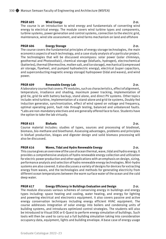#### 330 Maroun Semaan Faculty of Engineering and Architecture (MSFEA)

#### **PRGR 605** Wind Energy **2 cr.**

The course is an introduction to wind energy and fundamentals of converting wind energy to electrical energy. The module covers wind turbine types and components, turbine systems, power generation and control systems, connection to the electric grid, maintenance, wind site assessment, and wind farms mechanism on land and offshore

#### **PRGR 606 Energy Storage 2 cr.**

The course covers the fundamental principles of energy storage technologies, the main economics aspects of each technology, and a case study analysis of a particular project. The technologies that will be discussed encompass: solar power (solar chimneys, geothermal and Photovoltaic), chemical storage (biofuels, hydrogen), electrochemical (batteries), thermal (thermocline, molten salt, and ice storage), mechanical (compressed air storage, flywheel, and pumped hydroelectric energy), electrical (super capacitors, and superconducting magnetic energy storage) hydropower (tidal and waves), and wind power.

#### **PRGR 609 Renewable Energy Lab 2 cr.** 2 cr.

A laboratory course that covers: PV modules, such as characteristics, effect of alignment, temperature, irradiance and shading, maximum power tracking, implementation of grid tie, grid tie with battery backup, stand alone, and direct PV systems. Other topics include: wind turbine, implementation of a stand-alone and grid tie systems, Doubly-fed induction generator, synchronization, effect of wind speed on voltage and frequency, optimal operating point, fault ride through testing, balanced and unbalanced faults. \*Labs are non-mandatory electives and are generally offered face to face. Students have the option to take the lab virtually.

#### **PRGR 615 Biofuels 2 cr.**

Course material includes: studies of types, sources and processing of biodiesel, biomass, bio-methane and bioethanol. Assessing advantages, problems and principles in biofuel production, biogas and digester design and solid biomass processing will also be discussed.

#### **PRGR 616 Waves, Tidal and Hydro Renewable Energy 2 cr.**

This course gives an overview of the use of ocean thermal, wave, tidal and hydro energy. It provides a comprehensive analysis of hydro renewable energy collection and utilization for electric power production and other applications with an emphasis on design, sizing, performance analysis and selection of hydro renewable energy technologies. Mini-hydro systems are also covered. It also discusses a variety of designs for devices for extracting energy from waves, and the technologies and methods for generating electricity from different ocean temperatures between the warm surface water of the ocean and the cold deep water.

#### **PRGR 617** Energy Efficiency in Buildings Evaluation and Design 2 cr.

The module discusses various schemes of conserving energy in buildings and energy types including: space heating and cooling, water heating, and energy for lighting and powering electrical and electronics equipment. It also covers passive and active energy conservation techniques including energy efficient HVAC equipment. The course addresses integration of solar energy into boilers and condensing units of building systems, and introduces optimized control strategies. The students will also be introduced to Visual DOE or E-Quest to perform energy simulation of buildings. Such tools will then be used to carry out a full building simulation taking into consideration occupancy data, equipment, lights and building envelope. A base case of energy usage

Graduate Catalogue 2022–23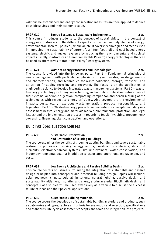will thus be established and energy conservation measures are then applied to deduce possible savings and their economic value.

#### **PRGR 620 Energy Systems & Sustainable Environments 2 cr.**

This course introduces students to the concept of sustainability in the context of energy use. It stresses on the different aspects involved in our daily-life use of energy: environmental, societal, political, financial, etc. It covers technologies and means used in improving the sustainability of current fossil-fuel (coal, oil and gas) based energy systems, electric and nuclear systems by reducing their environmental and societal impacts. Finally, it introduces different renewable ('clean') energy technologies that can be used as alternatives to traditional ('dirty') energy systems.

#### **PRGR 621** Waste to Energy Processes and Technologies 2 cr.

The course is divided into the following parts. Part  $1$  – Fundamental principles of waste management with particular emphasis on organic wastes, waste generation and characterization, and techniques for waste collection, storage, transport, and utilization (including recycling and recovery). The focus is on the application of engineering science to develop integrated waste management systems. Part 2 – Wasteto-energy technology including: mass burning and modular combustion, refuse derived fuel systems, anaerobic digestion, composting, comparison and bench-marking of the technologies with respect to energy efficiency. Also covered are the environmental impacts, costs, etc. , hazardous waste generation, producer responsibility, and legislation. Part 3 – Waste-to-energy projects implementation concepts including risk assessment (waste, energy and materials market, environmental protection, and legal issues) and the implementation process in regards to feasibility, siting, procurement/ ownership, financing, plant construction, and operations.

### Buildings Specialization Courses

#### **PRGR 630** Sustainable Preservation 2 cr. **and Restoration of Existing Buildings**

The course examines the benefits of greening existing buildings and covers sustainable restoration processes involving: energy audits, construction materials, structural elements, electromechanical systems, site improvement, water conservation, and indoor environmental quality; in addition to associated operations, management, and costs.

#### **PRGR 631 Low Energy Architecture and Passive Building Design 2 cr.**

This course centers on issues surrounding the integration of sustainable and passive design principles into conceptual and practical building design. Topics will include: solar geometry, climate/regional limitations, natural lighting, passive design and sustainability initiatives, insulating and energy storing material. Bioclimatic design and concepts. Case studies will be used extensively as a vehicle to discuss the success/ failure of ideas and their physical applications.

#### **PRGR 632 Sustainable Building Materials 2 cr.**

The course covers the description of sustainable building materials and products, such as categories and types, factors and criteria for evaluation and selection, specifications and standards, life cycle assessment concepts and tools and integration into projects.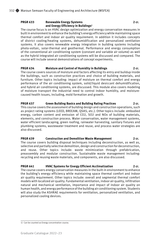#### **PRGR 633 Renewable Energy Systems 2 cr. and Energy Efficiency in Buildings1**

The course focus is on HVAC design optimization and energy conservation measures in built in environment to enhance the building's energy efficiency while maintaining space thermal comfort and indoor air quality requirement. In addition it includes concepts of district cooling/heating systems, dehumidification and personalized ventilation systems. It also covers renewable energy integration in building systems including photo-voltaic, solar-thermal and geothermal. Performance and energy consumption of the conventional air conditioning system (constant and variable air volume) as well as the hybrid integrated air conditioning systems will be discussed and compared. The course will include several demonstrations of concept experiments.

#### **PRGR 634** Moisture and Control of Humidity in Buildings 2 cr.

The course covers sources of moisture and factors affecting its entry and buildup inside the buildings, such as construction practices and choice of building materials, and furniture. Other topics including: impact of moisture on thermal comfort and energy performance of the air conditioning system, solid/liquid desiccant dehumidification, and hybrid air conditioning systems, are discussed. This module also covers modeling of moisture transport the industrial need to control indoor humidity, and moisturecaused health issues, including, mold formation and growth.

#### **PRGR 637 Green Building Basics and Building Rating Practices 2 cr.** This course covers the assessment of building design and construction operations, such as project rating systems (LEED, BREEAM, QSAS, etc.). Other topics include: embodied energy, carbon content and emission of CO2, SO2 and NOx of building materials, elements, and construction process. Water conservation, water management systems, water efficient landscaping, green roofing, rainwater harvesting, sanitary fixtures and plumbing systems, wastewater treatment and reuse, and process water strategies are also discussed.

### **PRGR 639** Construction and Demolition Waste Management 2 cr.

The course covers building disposal techniques including deconstruction, as well as, selective and partially selective demolition, design and construction for deconstruction, and reuse. Other topics include: waste minimization through prefabrication, preassembly and modular construction. Sustainable waste management including: recycling and reusing waste materials, and components, are also discussed.

#### **PRGR 641 HVAC Systems for Energy Efficient Acclimatization 2 cr.**

The course covers energy conservation measures in the built-in environment to enhance the building's energy efficiency while maintaining space thermal comfort and indoor air quality requirement. Other topics include: overall and segmental thermal comfort models with localized air quality. Fundamental ventilation, indoor air quality, infiltration natural and mechanical ventilation, importance and impact of indoor air quality on human health, and energy performance of the building air conditioning system. Students will also study the ASHRAE requirements for ventilation, personalized ventilation, and personalized cooling devices.

<sup>1)</sup> Can be counted as Energy concentration course.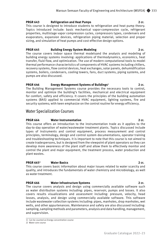#### **PRGR 643 Refrigeration and Heat Pumps 2 cr.**

This course is designed to introduce students to refrigeration and heat pump theory. Topics introduced include: basic mechanical vapor-compression cycle, refrigerant properties, multistage vapor compression cycles, compressors types, condensers and evaporators, expansion devices, refrigeration piping material, selection and proper sizing, and simulation of heat pumps and cost-effective design options.

#### PRGR 645 Building Energy System Modeling **PRGR 645** 2 cr.

The course covers indoor space thermal modelsand the analysis and modeling of building energy systems involving: applications of thermodynamics, economics, heat transfer, fluid flow, and optimization. The use of modern computational tools to model thermal performance characteristics of components of HVAC systems including chillers, recovery systems, flow control devices, heat exchanges, solar panels, dehumidification systems, boilers, condensers, cooling towers, fans, duct systems, piping systems, and pumps are also discussed.

#### **PRGR 646 Energy Management Systems of Buildings1 2 cr.**

The Building Management Systems course provides the necessary tools to control, monitor and optimize the building's facilities, mechanical and electrical equipment for comfort, safety and efficiency. It covers the principles of the building automation systems (BAS) applied to commercial HVAC equipment, lighting systems, fire and security systems; with keen emphasize on the control routine for energy efficiency.

#### Water Specialization Courses

#### **PRGR 664** Water Instrumentation **2 cr.** 2 cr.

This course offers an introduction to the instrumentation trade as it applies to the day-to-day operation of water/wastewater treatment plants. Topics discussed include types of instruments and control equipment, process measurement and control principles, terminology, design and control system documentations, operator training and troubleshooting techniques. It is important to note that this course is not aimed to create tradespersons, but is designed from the viewpoint of plant operators so they can develop more awareness of the plant staff and allow them to effectively monitor and control the plant and major equipment, the treatment process, water production and plant wastes.

#### **PRGR 6652 Water Basics 2 cr.**

This course covers basic information about major issues related to water scarcity and quality, and introduces the fundamentals of water chemistry and microbiology, as well as water treatment.

#### **PRGR 666 Water Infrastructure Systems 2 cr.**

The course covers analysis and design using commercially available software such as water distribution systems including: pipes, reservoir, pumps and losses. It also covers results visualizations and assessment including: pressure, velocity, head losses, analysis, and design using commercially available software. This software include wastewater collection systems including: pipes, manholes, drop manholes, wet wells, and other appurtenances. Maintenance and safety are also discussed including: sampling, sampling methods and parameters, analysis and data handling, management, and supervision.

#### Graduate Catalogue 2022–23

<sup>1)</sup> Can be counted as Energy concentration course

<sup>2)</sup> Water core course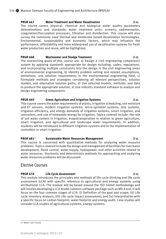#### **PRGR 667 Water Treatment and Water Desalination 2 cr.**

The course covers physical, chemical and biological water quality parameters determinations and standards; water treatment units: screens; sedimentation, coagulation/flocculation processes, filtration and disinfection. This course will also survey the commonly used thermal and membrane based desalination technologies. Environmental, sustainability and economic factors, which may influence the performance, affordability and more widespread use of desalination systems for fresh water production and reuse, will be highlighted.

#### **PRGR 668 Wastewater and Sludge Treatment 2 cr.**

The overarching goals of this course are: a) Design a civil engineering component/ system by applying standards appropriate for design including: codes, regulations, and incorporating multiple constraints into the design in the civil engineering areas of environmental engineering, b) Identify problem setting and related assumptions, limitations, and solution requirements in the environmental engineering field, c) Formulate methods and strategies considering all relevant perspectives, solution models, and alternative solution paths, d) Use selected models, methods, and data to produce the appropriate solution, e) Use industry standard software to analyze and design engineering components.

#### **PRGR 669 Green Agriculture and Irrigation Systems 2 cr.**

This course covers the water requirements of plants, irrigation scheduling, soil moisture and ET sensors, modern irrigation systems: micro-sprinkler systems, drip systems, irrigation efficiency, and energy demands of irrigation systems, smart irrigation, and controllers, and use of renewable energy for irrigation. Topics covered include: the role of soil water content in irrigation, evapotranspiration in relation to green agriculture, smart irrigation, and agricultural and landscape water requirements. In addition, students will be introduced to different irrigation systems and to the implementation of controllers in smart irrigation.

#### **PRGR 6811 Sustainable Water Resources Management 2 cr.**

This course is concerned with quantitative methods for analyzing water resource problems. Topics covered include the design and management of facilities for river basin development, flood control, water supply, hydropower, and other activities related to water resources. Stochastic and deterministic methods for approaching and analyzing water resources problems will be discussed.

#### Elective Courses

#### **PRGR 670** Life Cycle Assessment **2 cr.**

This module introduces the principles and methods of life cycle thinking and life cycle assessment (LCA) with specific reference to agricultural and energy systems using attributional LCA. The module will be based around the ISO 14040 methodology and will involve developing a LCA model common software package such as MS-Excel. It will focus on the four common stages of LCA: (i) Definition of the goal and scope; (ii) Life cycle inventory analysis; (iii) Life cycle impact assessment; and (iv) Interpretation with a specific focus on carbon footprint, water footprint and energy audit. Case studies will consider LCA studies of agricultural systems, energy systems.

<sup>1)</sup> Water Core Course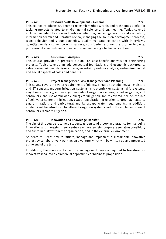#### **PRGR 673** Research Skills Development – General 2 cr.

This course introduces students to research methods, tools and techniques useful for tackling projects related to environmental science and engineering. Topics covered include need identification and problem definition, concept generation and evaluation, information search and literature review, managing the solution development process, team behavior and group dynamics, qualitative data collection with interviews, quantitative data collection with surveys, considering economic and other impacts, professional standards and codes, and communicating a technical solution.

#### **PRGR 677 Cost-Benefit Analysis 2 cr.**

This course provides a practical outlook on cost-benefit analysis for engineering projects. Topics covered include conceptual foundations and economic background, valuation techniques, decision criteria, uncertainty and risk analysis, and environmental and social aspects of costs and benefits.

#### **PRGR 679 Project Management, Risk Management and Planning 2 cr.**

This course covers the water requirements of plants, irrigation scheduling, soil moisture and ET sensors, modern irrigation systems: micro-sprinkler systems, drip systems, irrigation efficiency, and energy demands of irrigation systems, smart irrigation, and controllers, and use of renewable energy for irrigation. Topics covered include: the role of soil water content in irrigation, evapotranspiration in relation to green agriculture, smart irrigation, and agricultural and landscape water requirements. In addition, students will be introduced to different irrigation systems and to the implementation of controllers in smart irrigation.

#### **PRGR 680** Innovation and Knowledge Transfer **1988** 2 cr.

The aim of this course is to help students understand theory and practice for managing innovation and managing green ventures while exercising corporate social responsibility and sustainability within the organization, and in the external environment.

Students will learn how to initiate, manage and implement a sustainable innovative project by collaboratively working on a venture which will be written up and presented at the end of the term.

In addition, the course will cover the management process required to transform an innovative idea into a commercial opportunity or business proposition.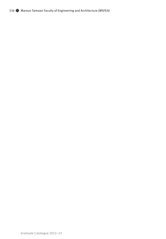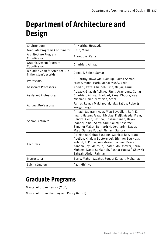## **Department of Architecture and Design**

| Chairperson:                                                    | Al-Harithy, Howayda                                                                                                                                                                                                                                                                            |
|-----------------------------------------------------------------|------------------------------------------------------------------------------------------------------------------------------------------------------------------------------------------------------------------------------------------------------------------------------------------------|
| Graduate Programs Coordinator:                                  | Harb, Mona                                                                                                                                                                                                                                                                                     |
| Architecture Program<br>Coordinator:                            | Aramouny, Carla                                                                                                                                                                                                                                                                                |
| Graphic Design Program<br>Coordinator:                          | Gharbieh, Ahmad                                                                                                                                                                                                                                                                                |
| <b>Binladen Chair for Architecture</b><br>in the Islamic World: | Damluji, Salma-Samar                                                                                                                                                                                                                                                                           |
| Professors:                                                     | Al-Harithy, Howayda; Damluji, Salma-Samar;<br>Fawaz, Mona; Harb, Mona; Musfy, Leila                                                                                                                                                                                                            |
| Associate Professors:                                           | Abedini, Reza; Ghaibeh, Lina; Najjar, Karim                                                                                                                                                                                                                                                    |
| <b>Assistant Professors:</b>                                    | Abbasy, Ghazal; Acikgoz, Umit; Aramouny, Carla;<br>Gharbieh, Ahmad; Haddad, Rana; Khoury, Yara;<br>Mismar, Omar; Yeretzian, Aram                                                                                                                                                               |
| Adjunct Professors:                                             | Farhat, Ramzi; Makhzoumi, Jala; Saliba, Robert;<br>Yazigi, Serge                                                                                                                                                                                                                               |
| Senior Lecturers:                                               | Al-Kadi, Makram; Azar, Mia; Boyadjian, Rafi; El-<br>Imam, Hatem; Fayad, Nicolas; Freiji, Mayda; Frem,<br>Sandra; Genz, Bettina; Hassan, Sinan; Hayek,<br>Joanne; Jamal, Sany; Kadi, Salim; Kosermelli,<br>Simone; Mallat, Bernard; Nader, Karim; Nader,<br>Marc; Samara Fouad; Richani, Sandra |
| Lecturers:                                                      | Abi Hanna, Ghita; Basbous, Monica; Baz, Joan;<br>Apelian, Khajag; Bastormagi, Etienne; Bou Nasr,<br>Roland; El Rouss, Anastasia; Hachem, Pascal;<br>Kanaan, Joy; Majzoub, Raafat; Moussawer, Karim;<br>Muhsen, Dana; Sukkarieh, Rasha; Youssef, Shawki;<br>Zahzah, Abdul-Rahman                |
| Instructors:                                                    | Berro, Maher; Mezher, Fouad; Kanaan, Mohamad                                                                                                                                                                                                                                                   |
| Lab Instructor:                                                 | Azzi, Ghinwa                                                                                                                                                                                                                                                                                   |

## **Graduate Programs**

Master of Urban Design (MUD) Master of Urban Planning and Policy (MUPP)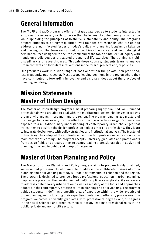## **General Information**

The MUPP and MUD programs offer a first graduate degree to students interested in acquiring the necessary skills to tackle the challenges of contemporary urbanization while upholding the principles of livability, sustainability and equity. The programs prepare students to be highly qualified, well-rounded professionals who are able to address the multi-faceted issues of today's built environments, focusing on Lebanon and the region. The two-year curriculum combines theoretical and methodological seminar courses designed to secure a command of the tools of intellectual inquiry with hands-on studio courses articulated around real-life exercises. The training is multidisciplinary and research-based. Through these courses, students learn to analyze urban contexts and formulate interventions in the form of projects and/or policies.

Our graduates work in a wide range of positions within the private, non-profit and, less frequently, public sector. Most occupy leading positions in the region where they have contributed to forwarding innovative and visionary ideas about the practices of planning and design.

## **Mission Statements Master of Urban Design**

The Master of Urban Design program aims at preparing highly qualified, well-rounded professionals who are able to deal with the multifaceted design challenges in today's urban environments in Lebanon and the region. The program emphasizes mastery of the design tools necessary for the effective practice of urban design. Students are exposed to a multidisciplinary understanding of contemporary urban challenges that trains them to position the design profession amidst other city professions. They learn to integrate design tools with policy strategies and institutional analysis. The Master of Urban Design has adopted the studio-based approach to professional education as the main context of learning. The program accepts university graduates and practitioners from design fields and prepares them to occupy leading professional roles in design and planning firms and in public and non-profit agencies.

## **Master of Urban Planning and Policy**

The Master of Urban Planning and Policy program aims to prepare highly qualified, well-rounded professionals who are able to address the multifaceted issues of urban planning and policymaking in today's urban environments in Lebanon and the region. The program is designed to provide a broad professional education in urban planning. Emphasis is placed on the development of multidisciplinary analytical skills necessary to address contemporary urbanization as well as mastery of the tools and approaches adopted in the contemporary practice of urban planning and policymaking. The program guides students in defining a specific area of expertise within the wider practice of urban planning and in locating their expertise in relation to other city professions. The program welcomes university graduates with professional degrees and/or degrees in the social sciences and prepares them to occupy leading professional roles in the public, private and non-profit sectors.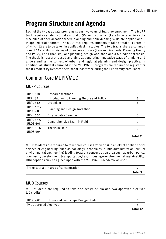## **Program Structure and Agenda**

Each of the two graduate programs spans two years of full-time enrollment. The MUPP track requires students to take a total of 30 credits of which 9 are to be taken in a subdiscipline of specialization where planning and policymaking skills are applied and 6 in applied studio format. The MUD track requires students to take a total of 33 credits of which 12 are to be taken in applied design studios. The two tracks share a common core of 21 credits consisting of three core courses (Research Methods, Planning Theory and Policy, and Urbanism), one planning/design workshop and a 6-credit final thesis. The thesis is research-based and aims at generating innovative ways of thinking and understanding the context of urban and regional planning and design practice. In addition, all students enrolled in the MUPP/MUD programs are required to register for the 0-credit "City Debates" seminar at least twice during their university enrollment.

## Common Core MUPP/MUD

| Introduction to Planning Theory and Policy<br><b>URPL 631</b><br>Urbanism<br><b>URPL 632</b><br><b>URPL 661/</b><br><b>Planning and Design Workshop</b><br><b>URDS 601</b><br>City Debates Seminar<br><b>URPL 660</b><br><b>URPL 662/</b><br>Comprehensive Exam in Field<br><b>URDS 603</b><br>Thesis in Field<br><b>URPL 663/</b><br><b>URDS 604</b> | <b>Total 21</b> |
|-------------------------------------------------------------------------------------------------------------------------------------------------------------------------------------------------------------------------------------------------------------------------------------------------------------------------------------------------------|-----------------|
|                                                                                                                                                                                                                                                                                                                                                       | 6               |
|                                                                                                                                                                                                                                                                                                                                                       | 0               |
|                                                                                                                                                                                                                                                                                                                                                       | $\Omega$        |
|                                                                                                                                                                                                                                                                                                                                                       | 6               |
|                                                                                                                                                                                                                                                                                                                                                       | 3               |
|                                                                                                                                                                                                                                                                                                                                                       | 3               |
| <b>Research Methods</b><br><b>URPL 630</b>                                                                                                                                                                                                                                                                                                            | 3               |

### MUPP Courses

MUPP students are required to take three courses (9 credits) in a field of applied social science or engineering (such as sociology, economics, public administration, civil or environmental engineering) leading toward a concentration area such as urban policy, community development, transportation, labor, housing or environmental sustainability. Other options may be agreed upon with the MUPP/MUD academic advisor.

|                                        | Total ( |
|----------------------------------------|---------|
| Three courses in area of concentration |         |

### MUD Courses

MUD students are required to take one design studio and two approved electives (12 credits).

| <b>URDS 602</b>        | Urban and Landscape Design Studio |                 |
|------------------------|-----------------------------------|-----------------|
| Two approved electives |                                   |                 |
|                        |                                   | <b>Total 12</b> |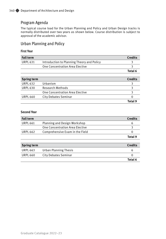### Program Agenda

The typical course load for the Urban Planning and Policy and Urban Design tracks is normally distributed over two years as shown below. Course distribution is subject to approval of the academic advisor.

### Urban Planning and Policy

#### **First Year**

| <b>Fall term</b>   |                                            | <b>Credits</b> |
|--------------------|--------------------------------------------|----------------|
| <b>URPL 631</b>    | Introduction to Planning Theory and Policy | 3              |
|                    | One Concentration Area Elective            | 3              |
|                    |                                            | Total 6        |
|                    |                                            |                |
| <b>Spring term</b> |                                            | <b>Credits</b> |
| <b>URPL 632</b>    | Urbanism                                   | 3              |
| <b>URPL 630</b>    | <b>Research Methods</b>                    | 3              |
|                    | One Concentration Area Elective            | 3              |
| <b>URPL 660</b>    | City Debates Seminar                       | 0              |
|                    |                                            | Total 9        |

#### **Second Year**

| <b>Fall term</b>   |                                 | <b>Credits</b> |
|--------------------|---------------------------------|----------------|
| <b>URPL 661</b>    | Planning and Design Workshop    | 6              |
|                    | One Concentration Area Elective | 3              |
| <b>URPL 662</b>    | Comprehensive Exam in the Field | 0              |
|                    |                                 | Total 9        |
|                    |                                 |                |
| <b>Spring term</b> |                                 | <b>Credits</b> |
| <b>URPL 663</b>    | Urban Planning Thesis           | 6              |

URPL 660 City Debates Seminar 0

**Total 6**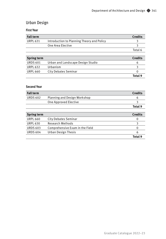### Urban Design

#### **First Year**

| <b>Fall term</b>   |                                            | <b>Credits</b> |
|--------------------|--------------------------------------------|----------------|
| <b>URPL 631</b>    | Introduction to Planning Theory and Policy | 3              |
|                    | One Area Elective                          | 3              |
|                    |                                            | Total 6        |
|                    |                                            |                |
| <b>Spring term</b> |                                            | <b>Credits</b> |
| <b>URDS 601</b>    | Urban and Landscape Design Studio          | 6              |
| <b>URPL 632</b>    | Urbanism                                   | 3              |
|                    | City Debates Seminar                       | 0              |
| <b>URPL 660</b>    |                                            |                |

#### **Second Year**

| <b>Fall term</b> |                              | <b>Credits</b> |
|------------------|------------------------------|----------------|
| <b>URDS 602</b>  | Planning and Design Workshop | n              |
|                  | One Approved Elective        |                |
|                  |                              | Total 9        |

| <b>Spring term</b> |                                 | <b>Credits</b> |
|--------------------|---------------------------------|----------------|
| <b>URPL 660</b>    | City Debates Seminar            | 0              |
| <b>URPL 630</b>    | <b>Research Methods</b>         |                |
| <b>URDS 603</b>    | Comprehensive Exam in the Field | 0              |
| <b>URDS 604</b>    | Urban Design Thesis             | 6              |
|                    |                                 | <b>Total 9</b> |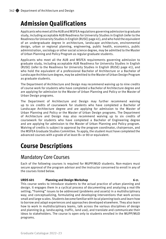## **Admission Qualifications**

Applicants who meet all the AUB and MSFEA regulations governing admission to graduate study, including acceptable AUB Readiness for University Studies in English (refer to the Readiness for University Studies in English (RUSE) page 41), and who hold the equivalent of an undergraduate degree in architecture, landscape architecture, environmental design, urban or regional planning, engineering, public health, economics, public administration, sociology or other social science degree, may be admitted to the Master of Urban Planning and Policy Program as regular graduate students.

Applicants who meet all the AUB and MSFEA requirements governing admission to graduate study, including acceptable AUB Readiness for University Studies in English (RUSE) (refer to the Readiness for University Studies in English (RUSE) page 41), and who hold the equivalent of a professional Bachelor of Architecture or a Bachelor of Landscape Architecture degree, may be admitted to the Master of Urban Design Program as graduate students.

The Department of Architecture and Design may recommend waiving up to nine credits of course work for students who have completed a Bachelor of Architecture degree and are applying for admission to the Master of Urban Planning and Policy or the Master of Urban Design programs.

The Department of Architecture and Design may further recommend waiving up to six credits of coursework for students who have completed a Bachelor of Landscape Architecture degree and are applying for admission to the Master of Urban Planning and Policy or the Master of Urban Design programs. The Department of Architecture and Design may also recommend waiving up to six credits of coursework for students who have completed a Bachelor of Engineering degree and are applying for admission to the Master of Urban Planning and Policy program. Waiving of credits is subject to approval by the program coordinator, chairperson, and the MSFEA Graduate Studies Committee. To apply, the student must have completed the advanced courses with a grade of at least B+ or 80 or equivalent.

## **Course Descriptions**

## Mandatory Core Courses

Each of the following courses is required for MUPP/MUD students. Non-majors must secure approval of the program advisor and the instructor concerned to enroll in any of the courses listed below.

#### **URDS 601 Planning and Design Workshop 6 cr.**

This course seeks to introduce students to the actual practice of urban planning and design. It engages them in a cyclical process of documenting and analyzing a real-life setting; "framing" issues to be addressed (problems and assets) in a multidisciplinary way; and conceptualizing, formulating and developing interventions that work across small and large scales. Students become familiar with local planning tools and learn how to borrow and adapt experiences and approaches developed elsewhere. They also learn how to work in multidisciplinary teams, talk across the various disciplines of design and planning (e.g. landscaping, traffic, land use), and translate and communicate their ideas to stakeholders. The course is open only to students enrolled in the MUPP/MUD programs.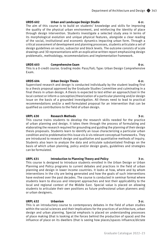### **URDS 602 Urban and Landscape Design Studio 6 cr.**

The aim of this course is to build on students' knowledge and skills for improving the quality of the physical urban environment, and reinforcing the identity of place through design intervention. Students investigate a selected study area in terms of its morphological evolution and unique physical features, alongside a clear reading of the social, institutional and economic dynamics impacting urban form. Through a critical assessment of development and planning processes, students articulate a set of design guidelines on sector, subsector and block levels. The outcome consists of scale drawings and 3D representations with an explicative written report emphasizing design problematic, methodology, recommendations and implementation framework.

### **URDS 603 Comprehensive Exam 0 cr.**

This is a 0-credit course. Grading mode: Pass/Fail; Type: Urban Design Comprehensive Exam.

### URDS 604 Urban Design Thesis **6 cm** and the state of the state of the state of the state of the state of the state of the state of the state of the state of the state of the state of the state of the state of the state of

Supervised research and design is conducted individually by the student leading first to a thesis proposal approved by the Graduate Studies Committee and culminating in a final thesis in urban design. A thesis is expected to test either an approach/tool in the local context or inform a conception/theorization of a particular planning and/or design issue on the basis of a grounded investigation. All theses need to lead to practical recommendations and/or a well-formulated proposal for an intervention that can be qualified as contributions to the field of urban design.

### **URPL 630 Research Methods 3 cr.**

This course trains students to develop the research skills needed for the practice of urban planning and design. It takes them through the process of formulating and elaborating the research required for grounding and guiding the planning of their design thesis proposals. Students learn to identify an issue characterizing a particular urban condition and to problematize this issue vis-à-vis relevant conceptual frameworks. They are introduced to research design and qualitative and quantitative methods of inquiry. Students also learn to analyze the data and articulate substantiated findings on the basis of which urban planning, policy and/or design goals, guidelines and strategies can be formulated.

### **URPL 631 Introduction to Planning Theory and Policy 3 cr.**

This course is designed to introduce students enrolled in the Urban Design or Urban Planning and Policy programs to current debates and practices in the field of urban planning and design in lower income countries. It looks at how, where and by whom interventions in the city are being generated and how the goals of such interventions have evolved over the past decades. The course is conducted in seminar format where students learn to discuss and interpret approaches and test their applicability to the local and regional context of the Middle East. Special value is placed on allowing students to articulate their own positions as future professional urban planners and/ or urban designers.

### **URPL 632 Urbanism 3 cr.**

This is an introductory course to contemporary debates in the field of urban studies within the social sciences and their implications for the practices of architecture, urban design and urban planning. Special emphasis is placed on understanding processes of place making (that is looking at the forces behind the production of space) and the influence of place on its dwellers (that is seeing how places/spaces influence/dictate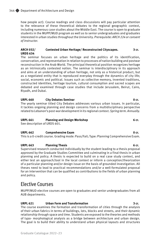how people act). Course readings and class discussions will pay particular attention to the relevance of these theoretical debates to the regional geographic context, including numerous case studies about the Middle East. The course is open to graduate students in the MUPP/MUD program as well as to senior undergraduates and graduates interested in urban studies throughout the University. *Prerequisite: ARCH 224 or consent of instructor.*

#### **ARCH 032/ Contested Urban Heritage/ Reconstructed Cityscapes. 3 cr. URDS 634**

The seminar focuses on urban heritage and the politics of its identification, conservation, and representation in relation to processes of nation building and postwar reconstruction in the Arab World. The principal theoretical position recognizes heritage as an intrinsically contested notion. The seminar is interdisciplinary in its approach and aims at an understanding of urban heritage, not only as a historical product, but as a negotiated entity that is reproduced everyday through the dynamics of city life; social, economic and political. Issues such as collective memory, invented traditions, constructed identities, heritage tourism, cultural consumption and sacred scapes are debated and examined through case studies that include Jerusalem, Beirut, Cairo, Riyadh, and Dubai.

| <b>URPL 660</b> | <b>City Debates Seminar</b> | 0 cr.                                                                                     |
|-----------------|-----------------------------|-------------------------------------------------------------------------------------------|
|                 |                             | The yearly seminar titled City Debates addresses various urban issues. In particular,     |
|                 |                             | it tackles ongoing planning and design concerns from a multidisciplinary perspective      |
|                 |                             | related to Lebanon's post-war development in its regional context. Spring term. Annually. |

**URPL 661 Planning and Design Workshop 6 cr.**

See description of URDS 601.

### **URPL 662 Comprehensive Exam 0 cr.**

This is a 0-credit course. Grading mode: Pass/Fail; Type: Planning Comprehensive Exam.

### **URPL 663 Planning Thesis Cr. Planning Thesis 6 cr.**

Supervised research conducted individually by the student leading to a thesis proposal approved by the Graduate Studies Committee and culminating in a final thesis in urban planning and policy. A thesis is expected to build on a real case study context, and either test an approach/tool in the local context or inform a conception/theorization of a particular planning and/or design issue on the basis of grounded investigation. All theses need to lead to practical recommendations and/or a well-formulated proposal for an intervention that can be qualified as contributions to the fields of urban planning and policy.

## Elective Courses

MUPP/MUD elective courses are open to graduates and senior undergraduates from all AUB departments.

### **URPL 621 Urban Form and Transformation 3 cr.**

The course examines the formation and transformation of cities through the analysis of their urban fabrics in terms of buildings, lots, blocks and streets, and their dynamic relationship through space and time. Students are exposed to the theories and methods of typo- morphological analysis as a bridge between architecture and urban design. The goal is to build their ability to understand urban physical layouts and structures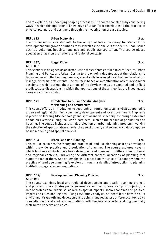and to explain their underlying shaping processes. The course concludes by considering ways in which this operational knowledge of urban form contributes to the practice of physical planners and designers through the investigation of case studies.

#### **URPL 623 Urban Economics 3 cr.**

The course introduces students to the analytical tools necessary for study of the development and growth of urban areas as well as the analysis of specific urban issues such as pollution, housing, land use and public transportation. The course places special emphasis on the national and regional contexts.

#### **URPL 637/ Illegal Cities 3 cr. 3 cr. 3 cr. ARCH 036**

This seminar is designed as an introduction for students enrolled in Architecture, Urban Planning and Policy, and Urban Design to the ongoing debates about the relationship between law and the building process, specifically looking at its actual materialization in illegal/informal settlements. The course is based on a combination of lecture/seminar sessions in which various theorizations of the city/law nexus are explored and on field studies/class discussions in which the applications of these theories are investigated using a local case study.

#### **URPL 641 Introduction to GIS and Spatial Analysis 3 cr. for Planning and Architecture**

This course offers an introduction to geographic information systems (GIS) as applied to urban and regional planning, community development and local government. Emphasis is placed on learning GIS technology and spatial analysis techniques through extensive hands-on exercises using real-world data sets, such as the census of population and housing. The course includes a small project on an urban planning problem involving the selection of appropriate methods, the use of primary and secondary data, computerbased modeling and spatial analysis.

#### **URPL 664 Urban Land Use Planning 3 cr.**

This course examines the theory and practice of land use planning as it has developed within the wider practice and theorization of planning. The course explores ways in which land use controls have been developed and managed in different institutional and regional contexts, unraveling the different conceptualizations of planning that support each of them. Special emphasis is placed on the case of Lebanon where the practice of land use planning is explored through a detailed introduction to planning institutions, agencies and regulations.

#### URPL 665/ Development and Planning Policies **3 cr.** 3 cr. **ARCH 062**

The course examines local and regional development and spatial planning projects and policies. It investigates policy governance and institutional setup of projects, the role of professional expertise, as well as spatial impacts, socio-economic and political impacts on cities and regions. Using case-study analysis, students learn how the built environment's growth and development is being managed across different contexts by a constellation of stakeholders negotiating conflicting interests, often yielding unequally distributed benefits and costs.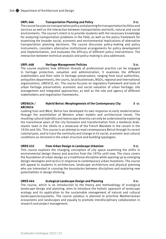#### **URPL 666 Transportation Planning and Policy 3 cr.**

The course focuses on transportation policy and planning for transportation facilities and services as well as the interaction between transportation and built, natural and social environments. The course's intent is to provide students with the necessary knowledge for analyzing transportation problems in the field, as well as the policy framework for examining the broader social, economic and environmental implications of alternative transportation planning decisions. The course discusses policy-making and policy instruments, considers alternative institutional arrangements for policy development and implementation, and evaluates the efficacy of different policy interventions. The interaction between technical analysis and policy-making is also addressed.

#### **URPL 668 Heritage Management Policies 3 cr.**

The course explores how different threads of professional practice can be engaged in heritage protection, valuation and administration. It examines the different stakeholders and their roles in heritage preservation, ranging from local authorities, antiquities departments, the courts, local businesses, NGOs, regional and international organizations, UNESCO, etc. The course focuses on regulatory framework and tools of urban heritage preservation; economic and social valuation of urban heritage; site management and integrated approaches; as well as the role and agency of different stakeholders and negotiation frameworks.

#### **URDS624 / Hybrid Beirut: Morphogenesis of the Contemporary City 3 cr. ARCH024**

Looking East and West, Beirut has developed its own response to early modernization through the assimilation of Western urban models and architectural trends. The resulting cultural hybridity and townscape diversity can only be understood by exploring the transitional years of the city formation and transformation from a medieval Arab-Islamic town in the 1840s to a showcase of the French Mandate in the Levant in the 1920s and 30s. This course is an attempt to read contemporary Beirut through its recent colonial past, and to trace the continuity and change in its social, economic and cultural conditions as mirrored in the urban structure and building typologies.

#### **URDS 632 From Urban Design to Landscape Urbanism 3 cr.**

This course explores the changing conception of city space examining the shifts in environmental design theory and practice from the 1970s until now. The class covers the foundation of urban design as a traditional discipline while opening up to emerging design ideologies and tactics in response to contemporary urban mutations. The course will appeal to students in architecture, landscape architecture and physical planning who are interested in crossing the boundaries between disciplines and exploring new potentialities in design thinking.

#### **URDS 664 Ecological Landscape Design and Planning 3 cr.**

The course, which is an introduction to the theory and methodology of ecological landscape design and planning, aims to introduce the holistic approach of landscape ecology and its application to the sustainable management of natural and cultural landscapes/ecosystems. The course syllabus is planned to prioritize Mediterranean ecosystems and landscapes and equally to promote interdisciplinary collaboration in research and project management.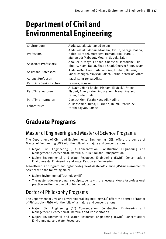# **Department of Civil and Environmental Engineering**

| Chairperson:                 | Abdul Malak, Mohamed-Asem                                                                                                                      |
|------------------------------|------------------------------------------------------------------------------------------------------------------------------------------------|
| Professors:                  | Abdul Malak, Mohamed-Asem; Ayoub, George; Basha,<br>Habib; El Fadel, Mutasem; Hamad, Bilal; Haraili,<br>Muhamad; Mabsout, Mounir; Sadek, Salah |
| Associate Professors:        | Abou Zeid, Maya; Chehab, Ghassan; Hantouche, Elie;<br>Khoury, Hiam; Najjar, Shadi; Saad, George; Srour, Issam                                  |
| <b>Assistant Professors:</b> | Abdulsattar, Harith; Alameddine, Ibrahim; Bilbeisi,<br>Rana; Dabaghi, Mayssa; Salam, Darine; Yeretzian, Aram                                   |
| Adjunct Professor:           | Kaysi Isam; Yehya, Alissar                                                                                                                     |
| Part-Time Senior Lecturer:   | Fawwaz, Youssef                                                                                                                                |
| Part-Time Lecturers:         | Al-Naghi, Hani; Basha, Hisham; El Meski, Fatima;<br>Elsouri, Amer; Hatem Mousallem, Manal; Malaeb,<br>Lilian: Nader, Halim                     |
| Part-Time Instructor:        | Demachkieh, Farah; Hage Ali, Nadine                                                                                                            |
| Laboratories:                | Al Hassanieh, Dima; El-Khatib, Helmi; Ezzeddine,<br>Farah; Zayyat, Ramez                                                                       |

# **Graduate Programs**

## Master of Engineering and Master of Science Programs

The Department of Civil and Environmental Engineering (CEE) offers the degree of Master of Engineering (ME) with the following majors and concentrations:

- Major: Civil Engineering (CE) Concentration: Construction Engineering and Management, Geotechnical, Materials, Structural and Transportation
- Major: Environmental and Water Resources Engineering (EWRE) Concentration: Environmental Engineering and Water Resources Engineering

Also offered is a program leading to the degree of Master of Science (MS) in Environmental Science with the following major:

- Major: Environmental Technology (ET)
- The master's degree programs equip students with the necessary tools for professional practice and/or the pursuit of higher education.

## Doctor of Philosophy Programs

The Department of Civil and Environmental Engineering (CEE) offers the degree of Doctor of Philosophy (PhD) with the following majors and concentrations:

- Major: Civil Engineering (CE) Concentration: Construction Engineering and Management, Geotechnical, Materials and Transportation
- Major: Environmental and Water Resources Engineering (EWRE) Concentration: Environmental and Water Resources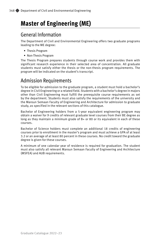# **Master of Engineering (ME)**

## General Information

The Department of Civil and Environmental Engineering offers two graduate programs leading to the ME degree:

- Thesis Program
- Non-Thesis Program

The Thesis Program prepares students through course work and provides them with significant research experience in their selected area of concentration. All graduate students must satisfy either the thesis or the non-thesis program requirements. The program will be indicated on the student's transcript.

## Admission Requirements

To be eligible for admission to the graduate program, a student must hold a bachelor's degree in Civil Engineering or a related field. Students with a bachelor's degree in majors other than Civil Engineering must fulfill the prerequisite course requirements as set by the department. Students must also satisfy the requirements of the university and the Maroun Semaan Faculty of Engineering and Architecture for admission to graduate study, as specified in the relevant sections of this catalogue.

Bachelor of Engineering holders from a 5-year equivalent engineering program may obtain a waiver for 9 credits of relevant graduate level courses from their BE degree as long as they maintain a minimum grade of B+ or 80 or its equivalent in each of these courses.

Bachelor of Science holders must complete an additional 18 credits of engineering courses prior to enrollment in the master's program and must achieve a GPA of at least 3.2 or an average of at least 80 percent in these courses. No credit toward the graduate degree is given for these courses.

A minimum of one calendar year of residence is required for graduation. The student must also satisfy all relevant Maroun Semaan Faculty of Engineering and Architecture (MSFEA) and AUB requirements.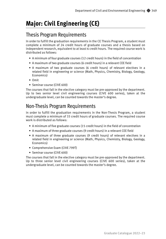# **Major: Civil Engineering (CE)**

## Thesis Program Requirements

In order to fulfill the graduation requirements in the CE Thesis Program, a student must complete a minimum of 24 credit hours of graduate courses and a thesis based on independent research, equivalent to at least 6 credit hours. The required course work is distributed as follows:

- A minimum of four graduate courses (12 credit hours) in the field of concentration
- A maximum of two graduate courses (6 credit hours) in a relevant CEE field
- A maximum of two graduate courses (6 credit hours) of relevant electives in a related field in engineering or science (Math, Physics, Chemistry, Biology, Geology, Economics)
- Omit
- Seminar course (CIVE 600)

The courses that fall in the elective category must be pre-approved by the department. Up to two senior level civil engineering courses (CIVE 600 series), taken at the undergraduate level, can be counted towards the master's degree.

## Non-Thesis Program Requirements

In order to fulfill the graduation requirements in the Non-Thesis Program, a student must complete a minimum of 33 credit hours of graduate courses. The required course work is distributed as follows:

- A minimum of five graduate courses (15 credit hours) in the field of concentration
- A maximum of three graduate courses (9 credit hours) in a relevant CEE field
- A maximum of three graduate courses (9 credit hours) of relevant electives in a related field in engineering or science (Math, Physics, Chemistry, Biology, Geology, Economics)
- Comprehensive Exam (CIVE 799T)
- Seminar course (CIVE 600)

The courses that fall in the elective category must be pre-approved by the department. Up to three senior level civil engineering courses (CIVE 600 series), taken at the undergraduate level, can be counted towards the master's degree.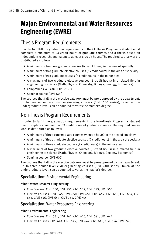# **Major: Environmental and Water Resources Engineering (EWRE)**

## Thesis Program Requirements

In order to fulfill the graduation requirements in the CE Thesis Program, a student must complete a minimum of 24 credit hours of graduate courses and a thesis based on independent research, equivalent to at least 6 credit hours. The required course work is distributed as follows:

- A minimum of two core graduate courses (6 credit hours) in the area of specialty
- A minimum of two graduate elective courses (6 credit hours) in the area of specialty
- A minimum of two graduate courses (6 credit hours) in the minor area
- A maximum of two graduate elective courses (6 credit hours) in a related field in engineering or science (Math, Physics, Chemistry, Biology, Geology, Economics)
- Comprehensive Exam (CIVE 799T)
- Seminar course (CIVE 600)

The courses that fall in the elective category must be pre-approved by the department. Up to two senior level civil engineering courses (CIVE 600 series), taken at the undergraduate level, can be counted towards the master's degree.

## Non-Thesis Program Requirements

In order to fulfill the graduation requirements in the Non-Thesis Program, a student must complete a minimum of 33 credit hours of graduate courses. The required course work is distributed as follows:

- A minimum of three core graduate courses (9 credit hours) in the area of specialty
- A minimum of three graduate elective courses (9 credit hours) in the area of specialty
- A minimum of three graduate courses (9 credit hours) in the minor area
- A maximum of two graduate elective courses (6 credit hours) in a related field in engineering or science (Math, Physics, Chemistry, Biology, Geology, Economics)
- Seminar course (CIVE 600)

The courses that fall in the elective category must be pre-approved by the department. Up to three senior level civil engineering courses (CIVE 600 series), taken at the undergraduate level, can be counted towards the master's degree.

### Specialization: Environmental Engineering

#### **Minor: Water Resources Engineering**

- Core Courses: CIVE 550, CIVE 551, CIVE 552, CIVE 553, CIVE 555
- Elective Courses: CIVE 645, CIVE 650, CIVE 651, CIVE 652, CIVE 653, CIVE 654, CIVE 655, CIVE 656, CIVE 657, CIVE 751, CIVE 755

### Specialization: Water Resources Engineering

#### **Minor: Environmental Engineering**

- Core Courses: CIVE 541, CIVE 542, CIVE 640, CIVE 641, CIVE 642
- Elective Courses: CIVE 644, CIVE 645, CIVE 647, CIVE 648, CIVE 656, CIVE 740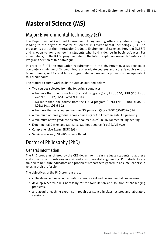# **Master of Science (MS)**

## Major: Environmental Technology (ET)

The Department of Civil and Environmental Engineering offers a graduate program leading to the degree of Master of Science in Environmental Technology (ET). The program is part of the Interfaculty Graduate Environmental Sciences Program (IGESP) and is open to non-engineering students who hold a degree in basic sciences. For more details, on the IGESP program, refer to the Interdisciplinary Research Centers and Programs section of this catalogue.

In order to fulfill the graduation requirements in the MS Program, a student must complete a minimum of 24 credit hours of graduate courses and a thesis equivalent to 6 credit hours, or 27 credit hours of graduate courses and a project course equivalent to 3 credit hours.

The required course work is distributed as outlined below:

- Two courses selected from the following sequences:
	- No more than one course from the ENVH program (3 cr.) ENSC 640/ENHL 310, ENSC 641/ENHL 312, ENSC 642/ENHL 314
	- No more than one course from the ECOM program (3 cr.) ENSC 630/EDEM630, LDEM 301, LDEM 302
	- No more than one course from the EPP program (3 cr.) ENSC 650/PSPA 316
- A minimum of three graduate core courses (9 cr.) in Environmental Engineering
- A minimum of two graduate elective courses (6 cr.) in Environmental Engineering
- Experimental Design and Statistical Methods course (3 cr.) (CIVE 602)
- Comprehensive Exam (ENSC 695)
- Seminar course (CIVE 600) when offered

## Doctor of Philosophy (PhD)

### General Information

The PhD programs offered by the CEE department train graduate students to address and solve current problems in civil and environmental engineering. PhD students are trained to be future educators and proficient researchers geared to assume leadership roles in their profession.

The objectives of the PhD program are to:

- cultivate expertise in concentration areas of Civil and Environmental Engineering,
- develop research skills necessary for the formulation and solution of challenging problems,
- and acquire teaching expertise through assistance in class lectures and laboratory sessions.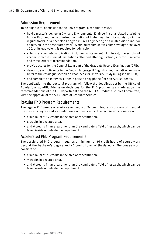### Admission Requirements

To be eligible for admission to the PhD program, a candidate must:

- hold a master's degree in Civil and Environmental Engineering or a related discipline from AUB or another recognized institution of higher learning (for admission in the regular track), or a bachelor's degree in Civil Engineering or a related discipline (for admission in the accelerated track). A minimum cumulative course average of 85 over 100, or its equivalent, is required for admission.
- submit a complete application including a statement of interest, transcripts of academic records from all institutions attended after high school, a curriculum vitae and three letters of recommendation,
- provide scores for the General Exam part of the Graduate Record Examination (GRE),
- demonstrate proficiency in the English language if English is not the native language (refer to the catalogue section on Readiness for University Study in English (RUSE)),
- and complete an interview either in person or by phone (for non-AUB students).

The application to the doctoral program will follow the deadlines set by the Office of Admissions at AUB. Admission decisions for the PhD program are made upon the recommendations of the CEE department and the MSFEA Graduate Studies Committee, with the approval of the AUB Board of Graduate Studies.

### Regular PhD Program Requirements

The regular PhD program requires a minimum of 24 credit hours of course work beyond the master's degree and 24 credit hours of thesis work. The course work consists of

- a minimum of 12 credits in the area of concentration,
- 6 credits in a related area,
- and 6 credits in an area other than the candidate's field of research, which can be taken inside or outside the department.

### Accelerated PhD Program Requirements

The accelerated PhD program requires a minimum of 36 credit hours of course work beyond the bachelor's degree and 42 credit hours of thesis work. The course work consists of

- a minimum of 21 credits in the area of concentration,
- 9 credits in a related area,
- and 6 credits in an area other than the candidate's field of research, which can be taken inside or outside the department.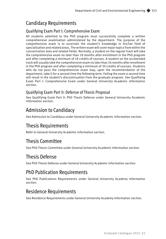## Candidacy Requirements

## Qualifying Exam Part I: Comprehensive Exam

All students admitted to the PhD program must successfully complete a written comprehensive examination administered by the department. The purpose of the comprehensive exam is to ascertain the student's knowledge in his/her field of specialization and related areas. The written exam will cover major topics from within the concentration area and related fields. Normally, a student on the regular track will take the comprehensive exam no later than 18 months after enrollment in the PhD program and after completing a minimum of 18 credits of courses. A student on the accelerated track will usually take the comprehensive exam no later than 24 months after enrollment in the PhD program and after completing a minimum of 30 credits of courses. Students who do not pass the comprehensive exam may, upon the recommendation of the department, take it for a second time the following term. Failing the exam a second time will result in the student's discontinuation from the graduate program. See Qualifying Exam Part I: Comprehensive Exam under General University Academic Information section.

## Qualifying Exam Part II: Defense of Thesis Proposal

See Qualifying Exam Part II: PhD Thesis Defense under General University Academic Information section.

## Admission to Candidacy

See Admission to Candidacy under General University Academic Information section.

## Thesis Requirements

Refer to General University Academic Information section.

## Thesis Committee

See PhD Thesis Committee under General University Academic Information section.

## Thesis Defense

See PhD Thesis Defense under General University Academic Information section.

## PhD Publication Requirements

See PhD Publications Requirements under General University Academy Information section.

## Residence Requirements

See Residence Requirements under General University Academy Information section.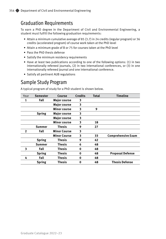## Graduation Requirements

To earn a PhD degree in the Department of Civil and Environmental Engineering, a student must fulfill the following graduation requirements:

- Attain a minimum cumulative average of 85 (3.7) in 24 credits (regular program) or 36 credits (accelerated program) of course work taken at the PhD level
- Attain a minimum grade of B or 75 for courses taken at the PhD level
- Pass the PhD thesis defense
- Satisfy the minimum residency requirements
- Have at least two publications according to one of the following options: (1) in two internationally refereed journals, (2) in two international conferences, or (3) in one internationally refereed journal and one international conference.
- Satisfy all pertinent AUB regulations

## Sample Study Program

| Year         | <b>Semester</b> | Course              | <b>Credits</b> | <b>Total</b> | <b>Timeline</b>           |
|--------------|-----------------|---------------------|----------------|--------------|---------------------------|
| 1            | Fall            | <b>Major course</b> | 3              |              |                           |
|              |                 | <b>Major course</b> | 3              |              |                           |
|              |                 | <b>Minor course</b> | 3              | 9            |                           |
|              | <b>Spring</b>   | <b>Major course</b> | 3              |              |                           |
|              |                 | <b>Major course</b> | 3              |              |                           |
|              |                 | <b>Minor course</b> | 3              | 18           |                           |
|              | Summer          | <b>Thesis</b>       | 9              | 27           |                           |
| $\mathbf{2}$ | Fall            | <b>Minor Course</b> | 3              |              |                           |
|              |                 | <b>Minor Course</b> | 3              | 33           | <b>Comprehensive Exam</b> |
|              | <b>Spring</b>   | <b>Thesis</b>       | 9              | 42           |                           |
|              | Summer          | <b>Thesis</b>       | 6              | 48           |                           |
| 3            | Fall            | Thesis              | $\bf{0}$       | 48           |                           |
|              | <b>Spring</b>   | <b>Thesis</b>       | 0              | 48           | <b>Proposal Defense</b>   |
| 4            | Fall            | <b>Thesis</b>       | 0              | 48           |                           |
|              | <b>Spring</b>   | <b>Thesis</b>       | 0              | 48           | <b>Thesis Defense</b>     |

A typical program of study for a PhD student is shown below.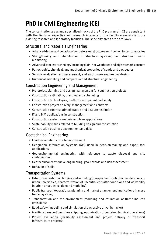# **PhD in Civil Engineering (CE)**

The concentration areas and specialized tracks of the PhD programs in CE are consistent with the fields of expertise and research interests of the faculty members and the existing research and laboratory facilities. The specialty areas are as follows:

### Structural and Materials Engineering

- Advanced design and behavior of concrete, steel structures and fiber-reinforced composites
- Strengthening and rehabilitation of structural systems, and structural health monitoring
- Advanced concrete technology including plain, hot-weathered and high-strength concrete
- Petrographic, chemical, and mechanical properties of sands and aggregates
- Seismic evaluation and assessment, and earthquake engineering design
- Numerical modeling and computer-aided structural engineering

### Construction Engineering and Management

- Pre-project planning and design management for construction projects
- Construction estimating, planning and scheduling
- Construction technologies, methods, equipment and safety
- Construction project delivery, management and contracts
- Construction contract administration and dispute resolution
- IT and BIM applications in construction
- Construction systems analysis and lean applications
- Sustainability issues related to building design and construction
- Construction business environment and risks

### Geotechnical Engineering

- Land reclamation and site improvement
- Geographic Information Systems (GIS) used in decision-making and expert tool applications
- Geo-environmental engineering with reference to waste disposal and site contamination
- Geotechnical earthquake engineering, geo-hazards and risk assessment
- Behavior of soils

### Transportation Systems

- Urban transportation planning and modeling (transport and mobility considerations in urban universities, characterization of uncontrolled traffic conditions and walkability in urban areas, travel demand modeling)
- Public transport (operational planning and market arrangement implications in mass transit systems)
- Transportation and the environment (modeling and estimation of traffic induced emissions)
- Road safety (modeling and simulation of aggressive driver behavior)
- Maritime transport (maritime shipping, optimization of container terminal operations)
- Project evaluation (feasibility assessment and project delivery of transport infrastructure projects)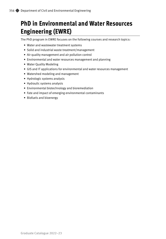# **PhD in Environmental and Water Resources Engineering (EWRE)**

The PhD program in EWRE focuses on the following courses and research topics:

- Water and wastewater treatment systems
- Solid and industrial waste treatment/management
- Air quality management and air pollution control
- Environmental and water resources management and planning
- Water Quality Modeling
- GIS and IT applications for environmental and water resources management
- Watershed modeling and management
- Hydrologic systems analysis
- Hydraulic systems analysis
- Environmental biotechnology and bioremediation
- Fate and impact of emerging environmental contaminants
- Biofuels and bioenergy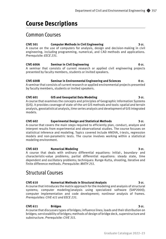# **Course Descriptions**

## Common Courses

### **CIVE 501 Computer Methods in Civil Engineering 3 cr.**

A course on the use of computers for analysis, design and decision-making in civil engineering, including programming, numerical, and CAD methods and applications. *Prerequisite: EECE 231.* 

**CIVE 600A Seminar in Civil Engineering 0 cr.** A seminar that consists of current research or applied civil engineering projects presented by faculty members, students or invited speakers.

### **CIVE 600B Seminar in Environmental Engineering and Sciences 0 cr.**

A seminar that consists of current research or applied environmental projects presented by faculty members, students or invited speakers.

### **CIVE 601 GIS and Geospatial Data Modeling 3 cr.**

A course that examines the concepts and principles of Geographic Information Systems (GIS). It provides coverage of state-of-the-art GIS methods and tools: spatial and terrain analysis, geostatistical analysis, time series analysis and development of GIS integrated models.

#### **CIVE 602 Experimental Design and Statistical Methods 3 cr.**

A course that covers the main steps required to efficiently plan, conduct, analyze and interpret results from experimental and observational studies. The course focuses on statistical inference and modeling. Topics covered include ANOVA, t-tests, regression models and non-parametric tests. The course involves working within a statistical modeling environment.

#### **CIVE 603 Numerical Modeling 3 cr.**

A course that deals with ordinary differential equations: initial-, boundary- and characteristic-value problems; partial differential equations: steady state, time dependent and oscillatory problems; techniques: Runge-Kutta, shooting, iterative and finite difference methods. *Prerequisite: MATH 251.*

## Structural Courses

### **CIVE 610 Numerical Methods in Structural Analysis 3 cr.**

A course that introduces the matrix approach for the modeling and analysis of structural systems; computer modeling/analysis using specialized software (SAP2000); computer implementation and code development; nonlinear analysis of frames. *Prerequisites: CIVE 411 and EECE 231.*

### **CIVE 611 Bridges 3 cr.**

A course that discusses types of bridges; influence lines; loads and their distribution on bridges; serviceability of bridges; methods of design of bridge deck, superstructure and substructure. *Prerequisite: CIVE 311.* 

#### Graduate Catalogue 2022–23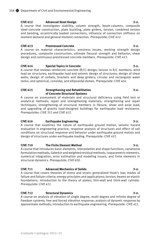#### **CIVE 612 Advanced Steel Design 3 cr.**

A course that investigates stability, column strength, beam-columns, composite steel-concrete construction, plate buckling, plate girders, torsion, combined torsion and bending, eccentrically loaded connections, influence of connection stiffness on moment demand and general moment connection. *Prerequisite: CIVE 412.*

#### **CIVE 613 Prestressed Concrete 3 cr.**

A course on material characteristics, prestress losses, working strength design procedures, composite construction, ultimate flexural strength and behavior, shear design and continuous prestressed concrete members. *Prerequisite: CIVE 413.* 

#### **CIVE 614 Special Topics in Concrete 3 cr.** A course that reviews reinforced concrete (R/C) design; torsion in R/C members; wind load on structures; earthquake load and seismic design of structures; design of shear walls; design of corbels, brackets and deep girders; circular and rectangular water tanks; and spherical, conoidal, and ellipsoidal domes. *Prerequisite: CIVE 414.*

#### **CIVE 615 Strengthening and Rehabilitation 3 cr. of Concrete Structural Systems**

A course on assessment of materials and structural deficiency using field test or analytical methods; repair and strengthening materials; strengthening and repair techniques; strengthening of structural members in flexure, shear and axial load; and upgrading of gravity load-designed buildings for earthquake load resistance. *Prerequisites: CIVE 311 and CIVE 413.* 

#### **CIVE 616 Earthquake Engineering 3 cr.**

A course that examines the nature of earthquake ground motion, seismic hazard evaluation in engineering practice, response analysis of structures and effect of soil conditions on structural response and behavior under earthquake ground motion and design of structures under earthquake loading. *Prerequisite: CIVE 411.*

#### **CIVE 710 The Finite Element Method 3 cr.**

A course that introduces basic elements, interpolation and shape functions, variational formulation methods, Galerkin and weighted residual methods, isoparametric elements, numerical integration, error estimation and modeling issues, and finite elements in structural dynamics. *Prerequisite: CIVE 610.*

### **CIVE 711 Advanced Mechanics of Solids 3 cr.**

A course that covers theories of stress and strain; generalized Hook's law; modes of failure and failure criteria; energy principles and applications; torsion; beams on elastic foundations; introduction to the theory of plates; thin-wall and thick-wall cylinder. *Prerequisite: CIVE 411.*

### **CIVE 712 Structural Dynamics 3 cr.**

A course on analysis of vibration of single degree, multi-degree and infinite degree of freedom systems; free and forced vibration response; analysis of dynamic response by approximate methods; introduction to earthquake engineering. *Prerequisite: CIVE 411.*

#### Graduate Catalogue 2022–23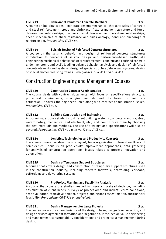#### **CIVE 713 Behavior of Reinforced Concrete Members 3 cr.**

A course on building codes; limit state design; mechanical characteristics of concrete and steel reinforcement; creep and shrinkage; flexure: moment-curvature and forcedeformation relationships; columns: axial force-moment-curvature relationships; shear: mechanisms of shear resistance and truss analogy; bond and anchorage of reinforcement. *Prerequisite: CIVE 414.* 

#### **CIVE 714 Seismic Design of Reinforced Concrete Structures 3 cr.**

A course on the seismic behavior and design of reinforced concrete structures; introduction to concepts of seismic design and performance-based earthquake engineering; mechanical behavior of steel reinforcement, concrete and confined concrete under monotonic and cyclic loading; seismic behavior, analysis and design of reinforced concrete elements and systems; design of special structural/shear wall systems; design of special moment resisting frames. *Prerequisites: CIVE 411 and CIVE 414.*

## Construction Engineering and Management Courses

#### **CIVE 520 Construction Contract Administration 3 cr.**

The course deals with contract documents, with focus on specifications structure, procedural requirements, specifying methods and the basis for unit rate estimation. It covers the engineer's roles along with contract administration issues. *Prerequisite: CIVE 421.*

#### **CIVE 522 Building Construction and Estimating 3 cr.**

A course that exposes students to different building systems (concrete, masonry, steel, waterproofing, mechanical and electrical, etc.) and how to price them by choosing the best materials and methods. The use of drawings and specifications will also be covered. *Prerequisites: CIVE 400 (site work) and CIVE 421.*

### **CIVE 524 Logistics, Technologies and Productivity Concepts 3 cr.**

The course covers construction site layout, team organization, information flow and complexities. Focus is on productivity improvement approaches, data gathering for analysis of construction operations, issues related to process innovation and automation.

### **CIVE 525 Design of Temporary Support Structures 3 cr.**

A course that covers design and construction of temporary support structures used in the construction industry, including concrete formwork, scaffolding, caissons, cofferdams and dewatering systems.

### **CIVE 620 Pre-Project Planning and Feasibility Analysis 3 cr.**

A course that covers the studies needed to make a go-ahead decision, including assimilation of client needs, surveys of project area and infrastructure conditions, scope validation, team development, project planning and cost estimation, and financial feasibility. *Prerequisite: CIVE 421 or equivalent.*

### **CIVE 621 Design Management for Large Projects 3 cr.**

The course covers the characteristics of the design phase, design team selection, and design services agreement formation and negotiation. It focuses on value engineering and management, constructability considerations and project cost management during design.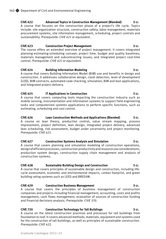#### **CIVE 622 Advanced Topics in Construction Management (Blended) 3 cr.**

A course that focuses on the construction phase of a project's life cycle. Topics include: site organization structure, construction safety, labor management, materials procurement systems, site information management, scheduling, project controls and sustainability. *Prerequisite: CIVE 421 or equivalent.*

#### **CIVE 623 Construction Project Management 3 cr.**

The course offers an extended overview of project management. It covers integrated planning-estimating-scheduling concept; project time, budget and quality baselines; materials management and subcontracting issues; and integrated project cost-time control. *Prerequisite: CIVE 421 or equivalent.*

#### **CIVE 624 Building Information Modeling 3 cr.** A course that covers Building Information Model (BIM) use and benefits in design and

construction. It addresses collaborative design, clash detection, level of development (LOD), BIM contracts, automated code checking, simulation, BIM and lean applications, and integrated project delivery.

#### **CIVE 625 IT Applications in Construction 3 cr.**

A course that covers computing tools impacting the construction industry such as mobile sensing, instrumentation and information systems to support field engineering tasks and computerized systems applications to perform specific functions, such as estimating, scheduling and cost control.

**CIVE 626 Lean Construction Methods and Applications (Blended) 3 cr.** A course on lean theory, production control, value stream mapping, process improvement, project definition, lean design, integrated project delivery, advanced lean scheduling, risk assessment, budget under uncertainty and project monitoring. *Prerequisite: CIVE 421.*

#### **CIVE 627 Construction Systems Analysis and Simulation 3 cr.**

A course that covers planning and simulation modeling of construction operations, design of efficient processes, construction productivity and resource use considerations, production system design, construction supply chain management and analysis of construction systems.

#### **CIVE 628 Sustainable Building Design and Construction 3 cr.**

A course that covers principles of sustainable design and construction, including lifecycle assessment, economic and environmental impacts, carbon footprint, and green building rating systems such as LEED and BREEAM.

### **CIVE 629 Construction Business Management 3 cr.**

A course that covers the principles of business management of construction companies and projects including financial management, accounting, costs and profits management, cash flows management, evaluation of sources of construction funding and financial decisions analysis. *Prerequisite: CIVE 370.*

### **CIVE 720 Construction Technology for Tall Buildings 3 cr.**

A course on the latest construction practices and processes for tall buildings from foundation to roof. It covers advanced methods, materials, equipment and systems used for the construction of tall buildings, as well as principles of sustainable construction. *Prerequisite: CIVE 422.*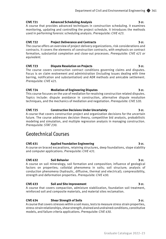#### **CIVE 721 Advanced Scheduling Analysis 3 cr.**

A course that provides advanced techniques in construction scheduling. It examines monitoring, updating and controlling the project schedule. It introduces the methods used in performing forensic scheduling analysis. *Prerequisite: CIVE 423.*

#### **CIVE 722 Project Deliverance and Contracts 3 cr.**

The course offers an overview of project delivery organizations, risk considerations and contracts. It covers the elements of construction contracts, with emphasis on contract formation, substantial completion and close-out processes. *Prerequisite: CIVE 421 or equivalent.*

#### **CIVE 723 Dispute Resolution on Projects 3 cr.**

The course covers construction contract conditions governing claims and disputes. Focus is on claim evolvement and administration (including issues dealing with time barring, notification and substantiation) and ADR methods and amicable settlement. *Prerequisite: CIVE 421.*

#### **CIVE 724 Mediation of Engineering Disputes 3 cr.**

This course focuses on the use of mediation for resolving construction related disputes. Topics include: dispute avoidance in construction, alternative dispute resolution techniques, and the mechanics of mediation and negotiation. *Prerequisite: CIVE 520.* 

### **CIVE 725 Construction Decisions Under Uncertainty 3 cr.**

A course that covers construction project and organization decisions for the uncertain future. The course addresses decision theory, competitive bid analysis, probabilistic modeling and simulation, and multiple regression analysis in managing construction. *Prerequisite: STAT 230.*

## Geotechnical Courses

#### **CIVE 631 Applied Foundation Engineering 3 cr.** A course on braced excavations, retaining structures, deep foundations, slope stability

and computer applications. *Prerequisite: CIVE 431.* 

#### **CIVE 632** Soil Behavior **3 cm** 3 cm 3 cm

A course on soil mineralogy, soil formation and composition; influence of geological factors on properties; colloidal phenomena in soils; soil structure; analysis of conduction phenomena (hydraulic, diffusive, thermal and electrical); compressibility, strength and deformation properties. *Prerequisite: CIVE 430.*

#### **CIVE 633 Soil and Site Improvement 3 cr.**

A course that covers compaction, admixture stabilization, foundation soil treatment, reinforced soil and composite materials, and material sites reclamation.

### **CIVE 634 Shear Strength of Soils 3 cr.**

A course that covers stresses within a soil mass, tests to measure stress strain properties, stress-strain relationships, shear strength, drained and undrained conditions, constitutive models, and failure criteria applications. *Prerequisite: CIVE 430.*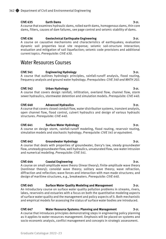#### **CIVE 635 Earth Dams 3 cr.** A course that examines hydraulic dams, rolled earth dams, homogenous dams, thin core dams, filters, causes of dam failures, see page control and seismic stability of dams.

#### **CIVE 636 Geotechnical Earthquake Engineering 3 cr.**

A course on causative mechanisms and characteristics of earthquakes; evaluation dynamic soil properties local site response; seismic soil-structure interaction; evaluation and mitigation of soil liquefaction; seismic code provisions and additional current topics. *Prerequisite: CIVE 430.*

## Water Resources Courses

**CIVE 541 Engineering Hydrology 3 cr.** A course that outlines hydrologic principles, rainfall-runoff analysis, flood routing, frequency analysis and ground water hydrology. *Prerequisites: CIVE 340 and MATH 202*.

#### **CIVE 542 Urban Hydrology 3 cr.**

A course that covers design rainfall, infiltration, overland flow, channel flow, storm sewer hydraulics, stormwater detention and simulation models. *Prerequisite: CIVE 440.*

#### **CIVE 640 Advanced Hydraulics 3 cr.**

A course that covers closed conduit flow, water distribution systems, transient analysis, open channel flow, flood control, culvert hydraulics and design of various hydraulic structures. *Prerequisite: CIVE 440.*

### **CIVE 641 Surface Water Hydrology 3 cr.**

A course on design storm, rainfall-runoff modeling, flood routing, reservoir routing, simulation models and stochastic hydrology. *Prerequisite: CIVE 541 or equivalent.* 

#### **CIVE 642 Groundwater Hydrology 3 cr.**

A course that deals with properties of groundwater, Darcy's law, steady groundwater flow, unsteady groundwater flow, well hydraulics, unsaturated flow, sea-water intrusion and numerical modeling. *Prerequisite: CIVE 541.* 

#### **CIVE 644 Coastal Engineering 3 cr.**

A course on small-amplitude wave theory (linear theory); finite-amplitude wave theory (nonlinear theory); conoidal wave theory; solitary wave theory; wave refraction, diffraction and reflection; wave forces and interaction with man-made structures; and design of maritime structures, e.g., breakwaters. *Prerequisite: CIVE 440.* 

### **CIVE 645 Surface Water Quality Modeling and Management 3 cr.**

An introductory course on surface water quality pollution problems in streams, rivers, lakes, reservoirs and estuaries with a focus on both the quantitative modeling aspects of surface water quality and the management and policy aspects of it. Both mechanistic and empirical models for assessing the status of surface water bodies are introduced.

### **CIVE 647 Water Resource Systems: Planning and Management 3 cr.**

A course that introduces principles demonstrating steps in engineering policy planning as it applies to water resources management. Emphasis will be placed on systems and socio-economic analysis, conflict management and concepts in strategic assessment.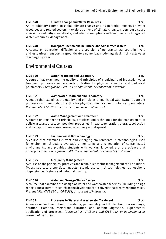#### **CIVE 648 Climate Change and Water Resources 3 cr.**

An introductory course on global climate change and its potential impacts on water resources and related sectors. It explores drivers of climate change, greenhouse gases emissions and mitigation efforts, and adaptation options with emphasis on Integrated Water Resources Management.

### **CIVE 740 Transport Phenomena in Surface and Subsurface Waters 3 cr.**

A course on advection, diffusion and dispersion of pollutants; transport in rivers and estuaries; transport in groundwater; numerical modeling; design of wastewater discharge system.

## Environmental Courses

#### **CIVE 550 Water Treatment and Laboratory 3 cr.**

A course that examines the quality and principles of municipal and industrial water treatment processes and methods of testing for physical, chemical and biological parameters. *Prerequisite: CIVE 251 or equivalent, or consent of instructor.*

#### **CIVE 551 Wastewater Treatment and Laboratory 3 cr.**

A course that examines the quality and principles of municipal wastewater treatment processes and methods of testing for physical, chemical and biological parameters. *Prerequisite: CIVE 252 or equivalent, or consent of instructor.*

#### **CIVE 552 Waste Management and Treatment 3 cr.**

A course on engineering principles, practices and techniques for the management of solid wastes: sources, composition, properties, impacts, generation, storage, collection and transport, processing, resource recovery and disposal.

#### **CIVE 553 Environmental Biotechnology 3 cr.**

A course that examines current and emerging environmental biotechnologies used for environmental quality evaluation, monitoring and remediation of contaminated environments, and provides students with working knowledge of the science that underpins them. *Prerequisite: CIVE 252 or equivalent, or consent of instructor.*

#### **CIVE 555 Air Quality Management 3 cr.**

A course on the principles, practices and techniques for the management of air pollution: Types, sources, properties, impacts, standards, control technologies, atmospheric dispersion, emissions and indoor air quality.

#### **CIVE 650 Water and Sewage Works Design 3 cr.**

A course that examines the design of water and wastewater schemes, including design reports and a literature search on the development of conventional treatment processes. *Prerequisite: CIVE 550 or CIVE 551, or consent of instructor.* 

#### **CIVE 651 Processes in Water and Wastewater Treatment 3 cr.**

A course on sedimentation, filterability, permeability and fluidization, ion exchange, aeration, flotation, membrane filtration and aerobic digestion. Experimental applications of processes. *Prerequisites: CIVE 251 and CIVE 252, or equivalents; or consent of instructor.*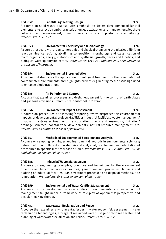#### 364 Department of Civil and Environmental Engineering

#### **CIVE 652 Landfill Engineering Design 3 cr.** A course on solid waste disposal with emphasis on design development of landfill elements, site selection and characterization, gas extraction and management, leachate collection and management, liners, covers, closure and post-closure monitoring. *Prerequisite: CIVE 552.*

### **CIVE 653 Environmental Chemistry and Microbiology 3 cr.**

A course that deals with organic, inorganic and physical chemistry; chemical equilibrium; reaction kinetics; acidity, alkalinity; composition, morphology and classification of micro-organisms; energy, metabolism and synthesis; growth, decay and kinetics; and biological water quality indicators. *Prerequisites: CIVE 251 and CIVE 252, or equivalents; or consent of instructor.* 

### **CIVE 654 Environmental Bioremediation 3 cr.**

A course that discusses the application of biological treatment for the remediation of contaminated environments and highlights current engineering methods/design used to enhance biodegradation.

### **CIVE 655 Air Pollution and Control 3 cr.**

A course that examines processes and design equipment for the control of particulates and gaseous emissions. *Prerequisite: Consent of instructor.* 

### **CIVE 656 Environmental Impact Assessment 3 cr.**

A course on procedures of assessing/preparing/reviewing/presenting environmental impacts of developmental projects/facilities: industrial facilities, waste management/ disposal, wastewater treatment, transportation, dams and reservoirs, irrigation/ drainage schemes, coastal zone developments, natural resource management, etc. *Prerequisite: E4 status or consent of instructor.*

### **CIVE 657 Methods of Environmental Sampling and Analysis 3 cr.**

A course on sampling techniques and instrumental methods in environmental sciences; determination of pollutants in water, air and soil; analytical techniques; adaptation of procedures to specific matrices; case studies. *Prerequisites: CIVE 251 and CIVE 252, or equivalents; or consent of instructor.*

### **CIVE 658 Industrial Waste Management 3 cr.**

A course on engineering principles, practices and techniques for the management of industrial hazardous wastes: sources, generation and properties. Impacts and auditing of industrial facilities. Basic treatment processes and disposal methods. Site remediation. *Prerequisite: E4 status or consent of instructor.*

### **CIVE 659 Environmental and Water Conflict Management 3 cr.**

A course on the development of case studies in environmental and water conflict management taught under a framework of role-play of opponents' perspective and decision-making thereof.

### **CIVE 751 Wastewater Reclamation and Reuse 3 cr.**

Graduate Catalogue 2022–23

A course that examines environmental issues in water reuse, risk assessment, water reclamation technologies, storage of reclaimed water, usage of reclaimed water, and planning of wastewater reclamation and reuse. *Prerequisite: CIVE 551.*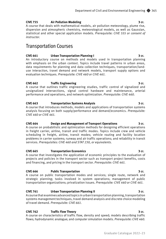#### **CIVE 755 Air Pollution Modeling 3 cr.**

A course that deals with mathematical models, air pollution meteorology, plume rise, dispersion and atmospheric chemistry, meteorological models, as well as Gaussian, statistical and other special application models. *Prerequisite: CIVE 555 or consent of instructor*.

## Transportation Courses

### **CIVE 661 Urban Transportation Planning I 3 cr.**

An introductory course on methods and models used in transportation planning with emphasis on the urban context. Topics include travel patterns in urban areas, data requirements for planning and data collection techniques, transportation/landuse interaction, travel demand and network models, transport supply options and evaluation techniques. *Prerequisite: CIVE 460 or CIVE 461.*

#### **CIVE 662 Traffic Engineering 3 cr.**

A course that outlines traffic engineering studies, traffic control of signalized and unsignalized intersections, signal control hardware and maintenance, arterial performance and operations, and network optimization. *Prerequisite: CIVE 460.* 

#### **CIVE 663 Transportation Systems Analysis 3 cr.**

A course that introduces methods, models and applications of transportation systems analysis focusing on both supply/performance and demand/economics. *Prerequisite: CIVE 460 or CIVE 461.*

#### **CIVE 664 Design and Management of Transport Operations 3 cr.**

A course on probabilistic and optimization methods for designing efficient operations in freight carrier, airline, transit and traffic modes. Topics include crew and vehicle scheduling in freight, airline, transit modes; vehicle routing and facility location problems in carrier systems; runway and air traffic operations; and reliability in transit services. *Prerequisites: CIVE 460 and STAT 230, or equivalents.*

#### **CIVE 665 Transportation Economics 3 cr.**

A course that investigates the application of economic principles to the evaluation of projects and policies in the transport sector such as transport project benefits, costs and financing, and pricing in the transport sector. *Prerequisite: CIVE 461.*

#### **CIVE 666 Public Transportation 3 cr.**

A course on public transportation modes and services; single route, network and strategic planning; tasks involved in system operations; management of public transportation organizations; privatization issues. *Prerequisite: CIVE 460 or CIVE 461.*

#### **CIVE 761 Urban Transportation Planning II 3 cr.**

A course that examines advanced topics in urban transportation planning, transportation systems management techniques, travel demand analysis and discrete choice modeling of travel demand. *Prerequisite: CIVE 661.*

#### **CIVE 762 Traffic Flow Theory 3 cr.**

A course on characteristics of traffic flow, density and speed; models describing traffic flows; hydrodynamic analogue; and computer simulation models. *Prerequisite: CIVE 460.*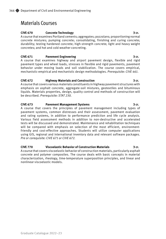## Materials Courses

#### **CIVE 670 Concrete Technology 3 cr.**

A course that examines Portland cements; aggregates; pozzolans; proportioning normal concrete mixtures; pumping concrete; consolidating, finishing and curing concrete; durability; testing hardened concrete; high-strength concrete; light and heavy weight concretes; and hot and cold weather concreting.

#### **CIVE 671 Pavement Engineering 3 cr.**

A course that examines highway and airport pavement design, flexible and rigid pavement types and wheel loads, stresses in flexible and rigid pavements, pavement behavior under moving loads and soil stabilization. The course covers empirical, mechanistic-empirical and mechanistic design methodologies. *Prerequisite: CIVE 461.*

#### **CIVE 672 Highway Materials and Construction 3 cr.**

A course that covers various materials constituents in highway pavement structures with emphasis on asphalt concrete, aggregate-soil mixtures, geotextiles and bituminous liquids. Materials properties, design, quality control and methods of construction will be described. *Prerequisite: STAT 230.* 

#### **CIVE 673 Pavement Management Systems 3 cr.**

A course that covers the principles of pavement management including types of pavement systems, common distresses and their assessment, pavement evaluation and rating systems, in addition to performance prediction and life cycle analysis. Various field assessment methods in addition to non-destructive and accelerated tests will be discussed and demonstrated. Maintenance and rehabilitation techniques will be compared with emphasis on selection of the most efficient, environmentfriendly and cost-effective approaches. Students will utilize computer applications using GIS, regional and international inventory data and relevant software packages. *Pre or corequisite: CIVE 671 or CIVE 672.*

### **CIVE 770 Viscoelastic Behavior of Construction Materials 3 cr.**

A course that covers viscoelastic behavior of construction materials, particularly asphalt concrete and polymer composites. The course deals with basic concepts in material characterization, rheology, time-temperature superposition principles, and linear and nonlinear viscoelastic models.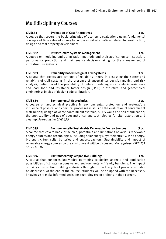## Multidisciplinary Courses

#### **CIVE681 Evaluation of Cost Alternatives 3 cr.**

A course that covers the basic principles of economic evaluations using fundamental concepts of time value of money to compare cost alternatives related to construction, design and real property development.

#### **CIVE 682 Infrastructure Systems Management 3 cr.**

A course on modeling and optimization methods and their application to inspection, performance prediction and maintenance decision-making for the management of infrastructure systems.

#### **CIVE 683 Reliability Based Design of Civil Systems 3 cr.**

A course that covers applications of reliability theory in assessing the safety and reliability of civil systems in the presence of uncertainty; decision-making and risk analysis; definition of the probability of failure; modeling uncertainty in resistance and load; load and resistance factor design (LRFD) in structural and geotechnical engineering; basics of design code calibration.

#### **CIVE 684 Environmental Geotechnics 3 cr.**

A course on geotechnical practice in environmental protection and restoration; influence of physical and chemical processes in soils on the evaluation of contaminant distribution; design of waste containment systems, slurry walls and soil stabilization; the applicability and use of geosynthetics; and technologies for site restoration and cleanup. *Prerequisite: CIVE 430.*

### **CIVE 685 Environmentally Sustainable Renewable Energy Sources 3 cr.**

A course that covers basic principles, potentials and limitations of various renewable energy sources and technologies, including solar energy, hydroelectricity, wind energy, bio-energy, fuel cells, batteries and supercapacitors. Sustainability and impact of renewable energy sources on the environment will be discussed. *Prerequisite: CIVE 251 or CHEM 202.*

#### **CIVE 686 Environmentally Responsive Buildings 3 cr.**

A course that enhances knowledge pertaining to design aspects and application possibilities of climate responsive and environmentally friendly buildings. The impact of using construction building materials throughout the lifecycle of projects will also be discussed. At the end of the course, students will be equipped with the necessary knowledge to make informed decisions regarding green projects in their careers.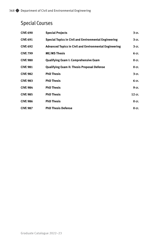## Special Courses

| <b>CIVE 690</b> | <b>Special Projects</b>                                       | 3 cr.  |
|-----------------|---------------------------------------------------------------|--------|
| <b>CIVE 691</b> | <b>Special Topics in Civil and Environmental Engineering</b>  | 3 cr.  |
| <b>CIVE 692</b> | <b>Advanced Topics in Civil and Environmental Engineering</b> | 3 cr.  |
| <b>CIVE 799</b> | <b>ME/MS Thesis</b>                                           | 6 cr.  |
| <b>CIVE 980</b> | <b>Qualifying Exam I: Comprehensive Exam</b>                  | 0 cr.  |
| <b>CIVE 981</b> | <b>Qualifying Exam II: Thesis Proposal Defense</b>            | 0 cr.  |
| <b>CIVE 982</b> | <b>PhD Thesis</b>                                             | 3 cr.  |
| <b>CIVE 983</b> | <b>PhD Thesis</b>                                             | 6 cr.  |
| <b>CIVE 984</b> | <b>PhD Thesis</b>                                             | 9 cr.  |
| <b>CIVE 985</b> | <b>PhD Thesis</b>                                             | 12 cr. |
| <b>CIVE 986</b> | <b>PhD Thesis</b>                                             | 0 cr.  |
| <b>CIVE 987</b> | <b>PhD Thesis Defense</b>                                     | 0 cr.  |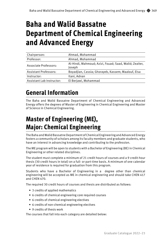# **Baha and Walid Bassatne Department of Chemical Engineering and Advanced Energy**

| Chairperson:                 | Ahmad, Mohammad                                                  |
|------------------------------|------------------------------------------------------------------|
| Professor:                   | Ahmad, Mohammad                                                  |
| Associate Professors:        | Al-Hindi, Mahmoud; Azizi, Fouad; Saad, Walid; Zeaiter,<br>Joseph |
| <b>Assistant Professors:</b> | Boyadjian, Cassia; Ghorayeb, Kassem; Maalouf, Elsa               |
| Instructor:                  | Itani, Adnan                                                     |
| Assistant Lab Instructor:    | El Berjawi, Mohammad                                             |
|                              |                                                                  |

# **General Information**

The Baha and Walid Bassatne Department of Chemical Engineering and Advanced Energy offers the degrees of Master of Engineering in Chemical Engineering and Master of Science in Chemical Engineering.

# **Master of Engineering (ME), Major: Chemical Engineering**

The Baha and Walid Bassatne Department of Chemical Engineering and Advanced Energy fosters a community of scholars among its faculty members and graduate students, who have an interest in advancing knowledge and contributing to the profession.

The ME program will be open to students with a Bachelor of Engineering (BE) in Chemical Engineering or other related disciplines.

The student must complete a minimum of 21 credit hours of courses and a 9 credit-hour thesis (30 credit hours in total) on a full- or part-time basis. A minimum of one calendar year of residence is required for graduation from this program.

Students who have a Bachelor of Engineering in a degree other than chemical engineering will be accepted as ME in chemical engineering and should take CHEN 417 and CHEN 470.

The required 30 credit hours of courses and thesis are distributed as follows:

- 3 credits of applied mathematics
- 6 credits of chemical engineering core required courses
- 6 credits of chemical engineering electives
- 6 credits of non-chemical engineering electives
- 9 credits of thesis work

The courses that fall into each category are detailed below: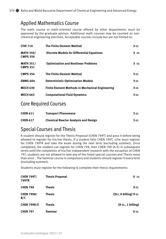## Applied Mathematics Course

The math course or math-oriented course offered by other departments must be approved by the graduate advisor. Additional math courses may be counted as nonchemical engineering electives. Acceptable courses include but are not limited to:

| <b>CIVE 710</b>                     | <b>The Finite Element Method</b>                        | 3 cr. |
|-------------------------------------|---------------------------------------------------------|-------|
| <b>MATH 350/</b><br><b>CMPS 350</b> | <b>Discrete Models for Differential Equations</b>       | 3 cr. |
| <b>MATH 351/</b><br><b>CMPS 351</b> | <b>Optimization and Nonlinear Problems</b>              | 3 cr. |
| <b>CMPS 354</b>                     | <b>The Finite Element Method</b>                        | 3 cr. |
| <b>ENMG 604</b>                     | <b>Deterministic Optimization Models</b>                | 3 cr. |
| <b>MECH 630</b>                     | <b>Finite Element Methods in Mechanical Engineering</b> | 3 cr. |
| <b>MECH 663</b>                     | <b>Computational Fluid Dynamics</b>                     | 3 cr. |

## Core Required Courses

| <b>CHEN 611</b> | <b>Transport Phenomena</b>                  | 3 cr. |
|-----------------|---------------------------------------------|-------|
| <b>CHEN 617</b> | <b>Chemical Reactor Analysis and Design</b> | 3 cr. |

## Special Courses and Thesis

A student should register for the Thesis Proposal (CHEN 799T) and pass it before being allowed to register for his/her thesis. If a student fails CHEN 799T, s/he must register for CHEN 799TR and take the exam during the next term (excluding summer). Once completed, the student can register for CHEN 799, then CHEN 799 (A-E) in subsequent terms until the completion of his/her independent research with the exception of CHEN 797, students are not allowed to take any of the listed special courses and Thesis more than once . The Seminar course is compulsory and students should register it every term (excluding summer).

Students must register for the following to complete their thesis requirements:

| <b>CHEN 799T/</b><br>799TR | <b>Thesis Proposal</b> | 0 cr.                                |
|----------------------------|------------------------|--------------------------------------|
| <b>CHEN 799</b>            | Thesis                 | 9 cr.                                |
| <b>CHEN 799A/</b><br>B/C   | Thesis                 | $(9cr, 0)$ billing) 9 cr.            |
| <b>CHEN 799D/E</b>         | Thesis                 | $(9 \text{ cr.}, 1 \text{ billing})$ |
| <b>CHEN 797</b>            | <b>Seminar</b>         | 0 cr.                                |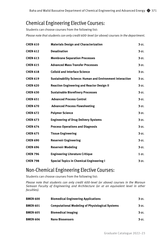## Chemical Engineering Elective Courses:

Students can choose courses from the following list:

*Please note that students can only credit 600-level (or above) courses in the department.*

| <b>CHEN 610</b> | <b>Materials Design and Characterization</b>                     | 3 cr. |
|-----------------|------------------------------------------------------------------|-------|
| <b>CHEN 612</b> | <b>Desalination</b>                                              | 3 cr. |
| <b>CHEN 613</b> | <b>Membrane Separation Processes</b>                             | 3 cr. |
| <b>CHEN 615</b> | <b>Advanced Mass Transfer Processes</b>                          | 3 cr. |
| <b>CHEN 618</b> | <b>Colloid and Interface Science</b>                             | 3 cr. |
| <b>CHEN 619</b> | <b>Sustainability Science: Human and Environment Interaction</b> | 3 cr. |
| <b>CHEN 620</b> | <b>Reaction Engineering and Reactor Design II</b>                | 3 cr. |
| <b>CHEN 630</b> | <b>Sustainable Biorefinery Processes</b>                         | 3 cr. |
| <b>CHEN 651</b> | <b>Advanced Process Control</b>                                  | 3 cr. |
| <b>CHEN 670</b> | <b>Advanced Process Flowsheeting</b>                             | 3 cr. |
| <b>CHEN 672</b> | <b>Polymer Science</b>                                           | 3 cr. |
| <b>CHEN 673</b> | <b>Engineering of Drug Delivery Systems</b>                      | 3 cr. |
| <b>CHEN 674</b> | <b>Process Operations and Diagnosis</b>                          | 3 cr. |
| <b>CHEN 675</b> | <b>Tissue Engineering</b>                                        | 3 cr. |
| <b>CHEN 690</b> | <b>Reservoir Engineering</b>                                     | 3 cr. |
| <b>CHEN 696</b> | <b>Reservoir Modeling</b>                                        | 3 cr. |
| <b>CHEN 796</b> | <b>Engineering Literature Critique</b>                           | 1 cr. |
| <b>CHEN 798</b> | <b>Special Topics in Chemical Engineering I</b>                  | 3 cr. |

## Non-Chemical Engineering Elective Courses:

Students can choose courses from the following list:

*Please note that students can only credit 600-level (or above) courses in the Maroun Semaan Faculty of Engineering and Architecture (or at an equivalent level in other faculties).*

| <b>BMEN 600</b> | <b>Biomedical Engineering Applications</b>             | 3 cr. |
|-----------------|--------------------------------------------------------|-------|
| <b>BMEN 601</b> | <b>Computational Modeling of Physiological Systems</b> | 3 cr. |
| <b>BMEN 605</b> | <b>Biomedical Imaging</b>                              | 3 cr. |
| <b>BMEN 606</b> | <b>Nano Biosensors</b>                                 | 3 cr. |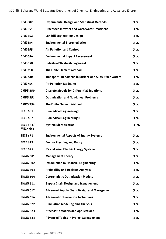| <b>CIVE 602</b>                     | <b>Experimental Design and Statistical Methods</b>          | 3 cr. |
|-------------------------------------|-------------------------------------------------------------|-------|
| <b>CIVE 651</b>                     | <b>Processes in Water and Wastewater Treatment</b>          | 3 cr. |
| <b>CIVE 652</b>                     | <b>Landfill Engineering Design</b>                          | 3 cr. |
| <b>CIVE 654</b>                     | <b>Environmental Bioremediation</b>                         | 3 cr. |
| <b>CIVE 655</b>                     | <b>Air Pollution and Control</b>                            | 3 cr. |
| <b>CIVE 656</b>                     | <b>Environmental Impact Assessment</b>                      | 3 cr. |
| <b>CIVE 658</b>                     | <b>Industrial Waste Management</b>                          | 3 cr. |
| <b>CIVE 710</b>                     | <b>The Finite Element Method</b>                            | 3 cr. |
| <b>CIVE 740</b>                     | <b>Transport Phenomena in Surface and Subsurface Waters</b> | 3 cr. |
| <b>CIVE 755</b>                     | <b>Air Pollution Modeling</b>                               | 3 cr. |
| <b>CMPS 350</b>                     | <b>Discrete Models for Differential Equations</b>           | 3 cr. |
| <b>CMPS 351</b>                     | <b>Optimization and Non-Linear Problems</b>                 | 3 cr. |
| <b>CMPS 354</b>                     | <b>The Finite Element Method</b>                            | 3 cr. |
| <b>EECE 601</b>                     | <b>Biomedical Engineering I</b>                             | 3 cr. |
| <b>EECE 602</b>                     | <b>Biomedical Engineering II</b>                            | 3 cr. |
| <b>EECE 663/</b><br><b>MECH 656</b> | <b>System Identification</b>                                | 3 cr. |
| <b>EECE 671</b>                     | <b>Environmental Aspects of Energy Systems</b>              | 3 cr. |
| <b>EECE 672</b>                     | <b>Energy Planning and Policy</b>                           | 3 cr. |
| <b>EECE 675</b>                     | PV and Wind Electric Energy Systems                         | 3 cr. |
| <b>ENMG 601</b>                     | <b>Management Theory</b>                                    | 3 cr. |
| <b>ENMG 602</b>                     | <b>Introduction to Financial Engineering</b>                | 3 cr. |
| <b>ENMG 603</b>                     | <b>Probability and Decision Analysis</b>                    | 3 cr. |
| <b>ENMG 604</b>                     | <b>Deterministic Optimization Models</b>                    | 3 cr. |
| <b>ENMG 611</b>                     | <b>Supply Chain Design and Management</b>                   | 3 cr. |
| <b>ENMG 612</b>                     | <b>Advanced Supply Chain Design and Management</b>          | 3 cr. |
| <b>ENMG 616</b>                     | <b>Advanced Optimization Techniques</b>                     | 3 cr. |
| <b>ENMG 622</b>                     | <b>Simulation Modeling and Analysis</b>                     | 3 cr. |
| <b>ENMG 623</b>                     | <b>Stochastic Models and Applications</b>                   | 3 cr. |
| <b>ENMG 633</b>                     | <b>Advanced Topics in Project Management</b>                | 3 cr. |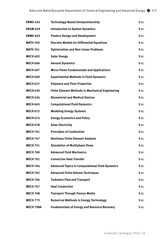| <b>ENMG 654</b> | <b>Technology-Based Entrepreneurship</b>                | 3 cr. |
|-----------------|---------------------------------------------------------|-------|
| <b>ENGM 659</b> | <b>Introduction to System Dynamics</b>                  | 3 cr. |
| <b>ENMG 663</b> | <b>Product Design and Development</b>                   | 3 cr. |
| MATH 350        | <b>Discrete Models for Differential Equations</b>       | 3 cr. |
| <b>MATH 351</b> | <b>Optimization and Non-Linear Problems</b>             | 3 cr. |
| <b>MECH 603</b> | <b>Solar Energy</b>                                     | 3 cr. |
| <b>MECH 606</b> | <b>Aerosol Dynamics</b>                                 | 3 cr. |
| <b>MECH 607</b> | <b>Micro-Flows Fundamentals and Applications</b>        | 3 cr. |
| <b>MECH 609</b> | <b>Experimental Methods in Fluid Dynamics</b>           | 3 cr. |
| <b>MECH 627</b> | <b>Polymers and Their Properties</b>                    | 3 cr. |
| <b>MECH 630</b> | <b>Finite Element Methods in Mechanical Engineering</b> | 3 cr. |
| <b>MECH 634</b> | <b>Biomaterial and Medical Devices</b>                  | 3 cr. |
| <b>MECH 663</b> | <b>Computational Fluid Dynamics</b>                     | 3 cr. |
| <b>MECH 672</b> | <b>Modeling Energy Systems</b>                          | 3 cr. |
| <b>MECH 674</b> | <b>Energy Economics and Policy</b>                      | 3 cr. |
| <b>MECH 678</b> | <b>Solar Electricity</b>                                | 3 cr. |
| <b>MECH 701</b> | <b>Principles of Combustion</b>                         | 3 cr. |
| <b>MECH 747</b> | <b>Nonlinear Finite Element Analysis</b>                | 3 cr. |
| <b>MECH 751</b> | <b>Simulation of Multiphase Flows</b>                   | 3 cr. |
| <b>MECH 760</b> | <b>Advanced Fluid Mechanics</b>                         | 3 cr. |
| <b>MECH 761</b> | <b>Convection Heat Transfer</b>                         | 3 cr. |
| <b>MECH 764</b> | <b>Advanced Topics in Computational Fluid Dynamics</b>  | 3 cr. |
| <b>MECH 765</b> | <b>Advanced Finite Volume Techniques</b>                | 3 cr. |
| <b>MECH 766</b> | <b>Turbulent Flow and Transport</b>                     | 3 cr. |
| <b>MECH 767</b> | <b>Heat Conduction</b>                                  | 3 cr. |
| <b>MECH 768</b> | <b>Transport Through Porous Media</b>                   | 3 cr. |
| <b>MECH 773</b> | <b>Numerical Methods in Energy Technology</b>           | 3 cr. |
| MECH 798A       | <b>Fundamentals of Energy and Resource Recovery</b>     | 3 cr. |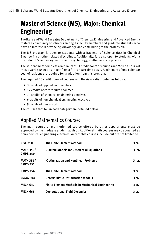# **Master of Science (MS), Major: Chemical Engineering**

The Baha and Walid Bassatne Department of Chemical Engineering and Advanced Energy fosters a community of scholars among its faculty members and graduate students, who have an interest in advancing knowledge and contributing to the profession.

The MS program is open to students with a Bachelor of Science (BS) in Chemical Engineering or other related disciplines. Additionally, it is also open to students with a Bachelor of Science degree in chemistry, biology, mathematics or physics.

The student must complete a minimum of 31 credit hours of courses and 9 credit hours of thesis work (40 credits in total) on a full- or part-time basis. A minimum of one calendar year of residence is required for graduation from this program.

The required 40 credit hours of courses and thesis are distributed as follows:

- 3 credits of applied mathematics
- 12 credits of core required courses
- 10 credits of chemical engineering electives
- 6 credits of non-chemical engineering electives
- 9 credits of thesis work

The courses that fall in each category are detailed below:

## Applied Mathematics Course:

The math course or math-oriented course offered by other departments must be approved by the graduate student advisor. Additional math courses may be counted as non-chemical engineering electives. Acceptable courses include but are not limited to:

| <b>CIVE 710</b>                     | <b>The Finite Element Method</b>                        | 3 cr. |
|-------------------------------------|---------------------------------------------------------|-------|
| <b>MATH 350/</b><br><b>CMPS 350</b> | <b>Discrete Models for Differential Equations</b>       | 3 cr. |
| <b>MATH 351/</b><br><b>CMPS 351</b> | <b>Optimization and Nonlinear Problems</b>              | 3 cr. |
| <b>CMPS 354</b>                     | <b>The Finite Element Method</b>                        | 3 cr. |
| <b>ENMG 604</b>                     | <b>Deterministic Optimization Models</b>                | 3 cr. |
| <b>MECH 630</b>                     | <b>Finite Element Methods in Mechanical Engineering</b> | 3 cr. |
| <b>MECH 663</b>                     | <b>Computational Fluid Dynamics</b>                     | 3 cr. |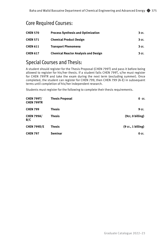## Core Required Courses:

| <b>CHEN 570</b> | <b>Process Synthesis and Optimization</b>   | 3 cr. |
|-----------------|---------------------------------------------|-------|
| <b>CHEN 571</b> | <b>Chemical Product Design</b>              | 3 cr. |
| <b>CHEN 611</b> | <b>Transport Phenomena</b>                  | 3 cr. |
| <b>CHEN 617</b> | <b>Chemical Reactor Analysis and Design</b> | 3 cr. |

## Special Courses and Thesis:

A student should register for the Thesis Proposal (CHEN 799T) and pass it before being allowed to register for his/her thesis. If a student fails CHEN 799T, s/he must register for CHEN 799TR and take the exam during the next term (excluding summer). Once completed, the student can register for CHEN 799, then CHEN 799 (A-E) in subsequent terms until completion of his/her independent research.

Students must register for the following to complete their thesis requirements.

| <b>CHEN 799T/</b><br><b>CHEN 799TR</b> | <b>Thesis Proposal</b> | 0 cr.                                |
|----------------------------------------|------------------------|--------------------------------------|
| <b>CHEN 799</b>                        | Thesis                 | 9 cr.                                |
| <b>CHEN 799A/</b><br>B/C               | Thesis                 | $(9cr, 0)$ billing)                  |
| <b>CHEN 799D/E</b>                     | Thesis                 | $(9 \text{ cr.}, 1 \text{ billing})$ |
| <b>CHEN 797</b>                        | <b>Seminar</b>         | 0 cr.                                |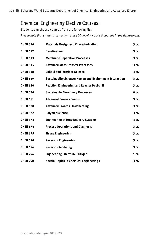## Chemical Engineering Elective Courses:

Students can choose courses from the following list:

*Please note that students can only credit 600-level (or above) courses in the department.*

| <b>CHEN 610</b> | <b>Materials Design and Characterization</b>                    | 3 cr. |
|-----------------|-----------------------------------------------------------------|-------|
| <b>CHEN 612</b> | <b>Desalination</b>                                             | 3 cr. |
| <b>CHEN 613</b> | <b>Membrane Separation Processes</b>                            | 3 cr. |
| <b>CHEN 615</b> | <b>Advanced Mass Transfer Processes</b>                         | 3 cr. |
| <b>CHEN 618</b> | <b>Colloid and Interface Science</b>                            | 3 cr. |
| <b>CHEN 619</b> | <b>Sustainablity Science: Human and Environment Interaction</b> | 3 cr. |
| <b>CHEN 620</b> | <b>Reaction Engineering and Reactor Design II</b>               | 3 cr. |
| <b>CHEN 630</b> | <b>Sustainable Biorefinery Processes</b>                        | 0 cr. |
| <b>CHEN 651</b> | <b>Advanced Process Control</b>                                 | 3 cr. |
| <b>CHEN 670</b> | <b>Advanced Process Flowsheeting</b>                            | 3 cr. |
| <b>CHEN 672</b> | <b>Polymer Science</b>                                          | 3 cr. |
| <b>CHEN 673</b> | <b>Engineering of Drug Delivery Systems</b>                     | 3 cr. |
| <b>CHEN 674</b> | <b>Process Operations and Diagnosis</b>                         | 3 cr. |
| <b>CHEN 675</b> | <b>Tissue Engineering</b>                                       | 3 cr. |
| <b>CHEN 690</b> | <b>Reservoir Engineering</b>                                    | 3 cr. |
| <b>CHEN 696</b> | <b>Reservoir Modeling</b>                                       | 3 cr. |
| <b>CHEN 796</b> | <b>Engineering Literature Critique</b>                          | 1 cr. |
| <b>CHEN 798</b> | <b>Special Topics in Chemical Engineering I</b>                 | 3 cr. |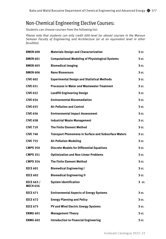## Non-Chemical Engineering Elective Courses:

Students can choose courses from the following list:

*Please note that students can only credit 600-level (or above) courses in the Maroun Semaan Faculty of Engineering and Architecture (or at an equivalent level in other faculties).*

| <b>BMEN 600</b>               | <b>Materials Design and Characterization</b>                | 3 cr. |
|-------------------------------|-------------------------------------------------------------|-------|
| <b>BMEN 601</b>               | <b>Computational Modeling of Physiological Systems</b>      | 3 cr. |
| <b>BMEN 605</b>               | <b>Biomedical Imaging</b>                                   | 3 cr. |
| <b>BMEN 606</b>               | <b>Nano Biosensors</b>                                      | 3 cr. |
| <b>CIVE 602</b>               | <b>Experimental Design and Statistical Methods</b>          | 3 cr. |
| <b>CIVE 651</b>               | <b>Processes in Water and Wastewater Treatment</b>          | 3 cr. |
| <b>CIVE 652</b>               | <b>Landfill Engineering Design</b>                          | 3 cr. |
| <b>CIVE 654</b>               | <b>Environmental Bioremediation</b>                         | 3 cr. |
| <b>CIVE 655</b>               | <b>Air Pollution and Control</b>                            | 3 cr. |
| <b>CIVE 656</b>               | <b>Environmental Impact Assessment</b>                      | 3 cr. |
| <b>CIVE 658</b>               | <b>Industrial Waste Management</b>                          | 3 cr. |
| <b>CIVE 710</b>               | <b>The Finite Element Method</b>                            | 3 cr. |
| <b>CIVE 740</b>               | <b>Transport Phenomena in Surface and Subsurface Waters</b> | 3 cr. |
| <b>CIVE 755</b>               | <b>Air Pollution Modeling</b>                               | 3 cr. |
| <b>CMPS 350</b>               | <b>Discrete Models for Differential Equations</b>           | 3 cr. |
| <b>CMPS 351</b>               | <b>Optimization and Non-Linear Problems</b>                 | 3 cr. |
| <b>CMPS 354</b>               | <b>The Finite Element Method</b>                            | 3 cr. |
| <b>EECE 601</b>               | <b>Biomedical Engineering I</b>                             | 3 cr. |
| <b>EECE 602</b>               | <b>Biomedical Engineering II</b>                            | 3 cr. |
| EECE 663 /<br><b>MECH 656</b> | <b>System Identification</b>                                | 3 cr. |
| <b>EECE 671</b>               | <b>Environmental Aspects of Energy Systems</b>              | 3 cr. |
| <b>EECE 672</b>               | <b>Energy Planning and Policy</b>                           | 3 cr. |
| <b>EECE 675</b>               | PV and Wind Electric Energy Systems                         | 3 cr. |
| <b>ENMG 601</b>               | <b>Management Theory</b>                                    | 3 cr. |
| <b>ENMG 602</b>               | <b>Introduction to Financial Engineering</b>                | 3 cr. |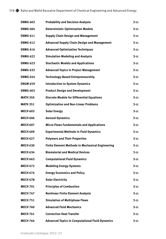| <b>ENMG 603</b> | <b>Probability and Decision Analysis</b>               | 3 cr. |
|-----------------|--------------------------------------------------------|-------|
| <b>ENMG 604</b> | <b>Deterministic Optimization Models</b>               | 3 cr. |
| <b>ENMG 611</b> | <b>Supply Chain Design and Management</b>              | 3 cr. |
| <b>ENMG 612</b> | <b>Advanced Supply Chain Design and Management</b>     | 3 cr. |
| <b>ENMG 616</b> | <b>Advanced Optimization Techniques</b>                | 3 cr. |
| <b>ENMG 622</b> | <b>Simulation Modeling and Analysis</b>                | 3 cr. |
| <b>ENMG 623</b> | <b>Stochastic Models and Applications</b>              | 3 cr. |
| <b>ENMG 633</b> | <b>Advanced Topics in Project Management</b>           | 3 cr. |
| <b>ENMG 654</b> | <b>Technology-Based Entrepreneurship</b>               | 3 cr. |
| <b>ENGM 659</b> | <b>Introduction to System Dynamics</b>                 | 3 cr. |
| <b>ENMG 663</b> | <b>Product Design and Development</b>                  | 3 cr. |
| <b>MATH 350</b> | <b>Discrete Models for Differential Equations</b>      | 3 cr. |
| <b>MATH 351</b> | <b>Optimization and Non-Linear Problems</b>            | 3 cr. |
| <b>MECH 603</b> | <b>Solar Energy</b>                                    | 3 cr. |
| <b>MECH 606</b> | <b>Aerosol Dynamics</b>                                | 3 cr. |
| <b>MECH 607</b> | <b>Micro-Flows Fundamentals and Applications</b>       | 3 cr. |
| <b>MECH 609</b> | <b>Experimental Methods in Fluid Dynamics</b>          | 3 cr. |
| <b>MECH 627</b> | <b>Polymers and Their Properties</b>                   | 3 cr. |
| <b>MECH 630</b> | Finite Element Methods in Mechanical Engineering       | 3 cr. |
| <b>MECH 634</b> | <b>Biomaterial and Medical Devices</b>                 | 3 cr. |
| <b>MECH 663</b> | <b>Computational Fluid Dynamics</b>                    | 3 cr. |
| <b>MECH 672</b> | <b>Modeling Energy Systems</b>                         | 3 cr. |
| <b>MECH 674</b> | <b>Energy Economics and Policy</b>                     | 3 cr. |
| <b>MECH 678</b> | <b>Solar Electricity</b>                               | 3 cr. |
| <b>MECH 701</b> | <b>Principles of Combustion</b>                        | 3 cr. |
| <b>MECH 747</b> | <b>Nonlinear Finite Element Analysis</b>               | 3 cr. |
| <b>MECH 751</b> | <b>Simulation of Multiphase Flows</b>                  | 3 cr. |
| <b>MECH 760</b> | <b>Advanced Fluid Mechanics</b>                        | 3 cr. |
| <b>MECH 761</b> | <b>Convection Heat Transfer</b>                        | 3 cr. |
| <b>MECH 764</b> | <b>Advanced Topics in Computational Fluid Dynamics</b> | 3 cr. |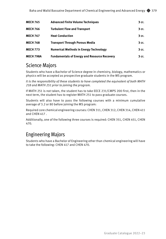| <b>MECH 765</b>  | <b>Advanced Finite Volume Techniques</b>            | 3 cr. |
|------------------|-----------------------------------------------------|-------|
| <b>MECH 766</b>  | <b>Turbulent Flow and Transport</b>                 | 3 cr. |
| <b>MECH 767</b>  | <b>Heat Conduction</b>                              | 3 cr. |
| <b>MECH 768</b>  | <b>Transport Through Porous Media</b>               | 3 cr. |
| <b>MECH 773</b>  | <b>Numerical Methods in Energy Technology</b>       | 3 cr. |
| <b>MECH 798A</b> | <b>Fundamentals of Energy and Resource Recovery</b> | 3 cr. |

# Science Majors

Students who have a Bachelor of Science degree in chemistry, biology, mathematics or physics will be accepted as prospective graduate students in the MS program.

*It is the responsibility of these students to have completed the equivalent of both MATH 218 and MATH 251 prior to joining the program.*

If MATH 251 is not taken, the student has to take EECE 231/CMPS 200 first, then in the next term, the student has to register MATH 251 to pass graduate courses.

Students will also have to pass the following courses with a minimum cumulative average of 3.2 or 80 before joining the MS program:

Required core chemical engineering courses: CHEN 311, CHEN 312, CHEN 314, CHEN 411 and CHEN 417 .

Additionally, one of the following three courses is required: CHEN 351, CHEN 451, CHEN 470.

# Engineering Majors

Students who have a Bachelor of Engineering other than chemical engineering will have to take the following: CHEN 417 and CHEN 470.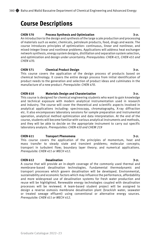# **Course Descriptions**

### **CHEN 570 Process Synthesis and Optimization 3 cr.**

An introduction to the design and synthesis of the large scale production and processing of materials such as water, chemicals, petroleum products, food, drugs and waste. The course introduces principles of optimization: continuous, linear and nonlinear, and mixed-integer linear and nonlinear problems. Applications will address heat exchanger network synthesis, energy system designs, distillation and separation system selection, and optimization and design under uncertainty. *Prerequisites: CHEN 411, CHEN 451 and CHEN 470.*

#### **CHEN 571 Chemical Product Design 3 cr.**

This course covers the application of the design process of products based on chemical technology. It covers the entire design process from initial identification of product needs to the generation and selection of product ideas and culminates in the manufacture of a new product. *Prerequisite: CHEN 470.*

### **CHEN 610 Materials Design and Charaterization 3 cr.**

This course is designed for chemical engineering students who want to gain knowledge and technical exposure with modern analytical instrumentation used in research and industry. The course will cover the theoretical and scientific aspects involved in analytical applications including: spectroscopy, chromatography, X-ray diffraction etc. It also encompasses laboratory sessions for sample preparation and instrumental operation, analytical method optimization and data interpretation. At the end of the course, students will become familiar with various analytical instruments and methods, and they will be able to decide on the appropriate instrument to carry out specific laboratory analysis. *Prerequisites: CHEN 410 and CHEM 219*

### **CHEN 611** Transport Phenomena 3 cr.

This course covers the application of the principles of momentum, heat and mass transfer to steady state and transient problems; molecular concepts; transport in turbulent flow; boundary layer theory; and numerical applications. *Prerequisite: CHEN 411 or MECH 412.*

### **CHEN 612 Desalination 3 cr.**

A course that will provide an in-depth coverage of the commonly used thermal and membrane-based desalination technologies. Fundamental thermodynamic and transport processes which govern desalination will be developed. Environmental, sustainability and economic factors which may influence the performance, affordability and more widespread use of desalination systems for fresh water production and reuse will be highlighted. Renewable energy technologies coupled with desalination processes will be reviewed. A team-based student project will be assigned to design a reverse osmosis membrane desalination plant (brackish water, seawater or treated sewage effluent) using conventional or alternative energy sources. *Prerequisite: CHEN 411 or MECH 412.*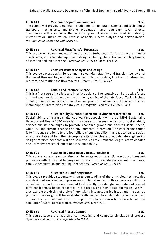## **CHEN 613 Membrane Separation Processes 3 cr.**

The course will provide a general introduction to membrane science and technology: transport mechanisms, membrane preparation and boundary layer effects. The course will also cover the various types of membranes used in industry: microfiltration, ultrafiltration, reverse osmosis, electro-dialysis and pervaporation. *Prerequisites: CHEN 312 and CHEN 411.* 

### **CHEN 615 Advanced Mass Transfer Processes 3 cr.**

This course will cover a review of molecular and turbulent diffusion and mass transfer coefficients, mass transfer equipment design including absorption and cooling towers, adsorption and ion exchange. *Prerequisite: CHEN 411 or MECH 412.*

### **CHEN 617 Chemical Reactor Analysis and Design 3 cr.**

This course covers design for optimum selectivity; stability and transient behavior of the mixed flow reactor; non-ideal flow and balance models; fixed and fluidized bed reactors; and multiphase flow reactors. *Prerequisite: CHEN 417.*

### **CHEN 618 Colloid and Interface Science 3 cr.**

This is a first course in colloid and interface science. The repulsive and attractive forces at interfaces are described along with the dynamics of the interfaces. Topics include stability of macroemulsions, formulation and properties of microemulsions and surface metal-support interactions of catalysts. *Prerequisite: CHEN 314 or MECH 414.*

# **CHEN 619 Sustainability Science: Human and Environment Interaction 3 cr.**

Sustainability is the grand challenge of our time especially with the UN SDG (Sustainable Development Goals) 2030 Agenda. This course addresses the basics of sustainability science and its challenges to promote economic growth and address social needs, while tackling climate change and environmental protection. The goal of the course is to introduce students to the four pillars of sustainability (human, economic, social, environmental) and help them incorporate its principles and models into engineering design practices. Students will be also introduced to current challenges, active debates and unresolved research questions in sustainability.

# **CHEN 620 Reaction Engineering and Reactor Design II 3 cr.**

This course covers reaction kinetics, heterogeneous catalytic reactions, transport processes with fluid-solid heterogeneous reactions, noncatalytic gas-solid reactions, catalyst deactivation and gas-liquid reactions. *Prerequisite: CHEN 417.*

# **CHEN 630 Sustainable Biorefinery Proces 3 cr.**

This course provides students with an understanding of the principles, technologies and design of sustainable bioprocesses and biorefineries. In this course we will focus on techniques and processes needed to efficiently disentangle, separate and convert different biomass based feedstock into biofuels and high value chemicals. We will also explore the design of a biorefinery taking into account feedstock and the desired product. The design will be evaluated with respect to sustainability and economic criteria. The students will have the opportunity to work in a team on a feasibility/ simulation/ experimental project. *Prerequisite: CHEN 417.*

# **CHEN 651 Advanced Process Control 3 cr.**

This course covers the mathematical modeling and computer simulation of process dynamics and control. *Prerequisite: CHEN 451.*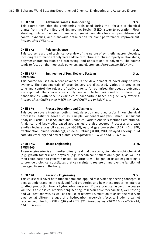### **CHEN 670 Advanced Process Flow-Sheeting 3 cr.**

This course highlights the engineering tools used during the lifecycle of chemical plants from the Front-End and Engineering Design (FEED) stage to operation. Flowsheeting tools will be used for analysis, dynamic modeling for startup-shutdown and control dynamics, and plant-wide optimization for plant performance improvement. *Prerequisite: CHEN 570.*

### **CHEN 672** Polymer Science 3 cr. **3 cr. 3 cr.**

This course is a broad technical overview of the nature of synthetic macromolecules, including the formation of polymers and their structure, structure-property relationships, polymer characterization and processing, and applications of polymers. The course tends to focus on thermoplastic polymers and elastomers. *Prerequisite: MECH 340.*

### **CHEN 673 / Engineering of Drug Delivery Systems 3 cr. BMEN 604**

This course focuses on recent advances in the development of novel drug delivery systems. The fundamentals of drug delivery are discussed. Various strategies to tune and control the release of active agents for optimized therapeutic outcomes are explored. The course covers polymers and techniques used to produce drug nanoparticles, with specific examples of nanoparticle-based drug delivery systems. *Prerequisites: CHEN 314 or MECH 414, and CHEN 411 or MECH 412.*

### **CHEN 674 Process Operations and Diagnosis 3 cr.**

This course covers troubleshooting, fault detection and diagnostics in key chemical processes. Statistical tools such as Principle Component Analysis, Fisher Discriminant Analysis, Partial Least Squares and Canonical Variate Analysis methods are studied. Analytical and knowledge-based approaches are also covered. Processes and case studies include: gas-oil separation (GOSP), natural gas processing (AGR, NGL, SRU, fractionation, amine scrubbing), crude oil refining (CDU, VDU, delayed cocking, fluid catalytic cracking) and power plants. *Prerequisites: CHEN 451 and CHEN 570.* 

#### **CHEN 675/ Tissue Engineering 3 cr. BMEN 603**

Tissue engineering is an interdisciplinary field that uses cells, biomaterials, biochemical (e.g. growth factors) and physical (e.g. mechanical stimulation) signals, as well as their combination to generate tissue-like structures. The goal of tissue engineering is to provide biological substitutes that can maintain, restore or improve the function of damaged tissues in the body.

## **CHEN 690 Reservoir Engineering 3 cr.**

This course will cover both fundamental and applied reservoir engineering concepts. It aims at understanding the rock and fluid properties and how these properties interact to affect production from a hydrocarbon reservoir. From a practical aspect, the course will focus on classical reservoir engineering, reservoir drive mechanisms, well testing and well test analysis as well as the use of reservoir simulation to assist the reservoir engineer at different stages of a hydrocarbon reservoir lifecycle. Students cannot receive credit for both CHEN 690 and PETR 421. *Prerequisites: CHEN 314 or MECH 414, and CHEN 490.*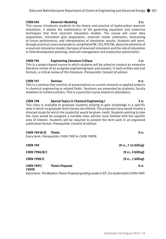## **CHEN 696** Reservoir Modeling **3 cr. 3 cr.**

This course introduces students to the theory and practice of hydrocarbon reservoir simulation. It details the mathematics of the governing equations and numerical techniques that form reservoir simulation models. The course will cover data preparation, simulation grid preparation, reservoir model calibration, forecasting of future performance, and interpretation of simulation results. Students will learn, through practical cases and projects using PetrelTM / ECLIPSETM, about the elements of a reservoir simulation model, the types of reservoir simulators and the role of simulation in field development planning, reservoir management and production optimization.

# **CHEN 796 Engineering Literature Critique 1 cr. 1 cr. 1 cr.**

This is a project-based course in which students will be asked to conduct an extensive literature review of an assigned engineering topic and present, in both written and oral formats, a critical review of this literature. *Prerequisite: Consent of advisor.*

# **CHEN 797** Seminar **1.1 Seminar 1.1 Seminar 1.1 Seminar 1.1 Seminar 1.1 Seminar 1.1 Seminar 1.1 Seminar 1.1 Seminar 1.1 Seminar 1.1 Seminar 1.1 Seminar 1.1 Seminar 1.1 Seminar 1.1 Seminar 1.1 Seminar 1.1 Seminar 1.1 Semina**

This is a seminar that consists of presentations on current research or applied projects in chemical engineering or related fields. Seminars are presented by students, faculty members or invited scholars. This is a pass/fail course based on attendance.

# **CHEN 798 Special Topics in Chemical Engineering I 3 cr.**

This class is available to graduate students wishing to gain knowledge in a specific area in which no graduate level classes are offered. The proposed class would involve a directed study for which the student(s) would be given credit. Students wishing to take the class would be assigned a suitable class advisor most familiar with the specific area of interest. Students will be required to present the term work in an organized publication format. *Prerequisite: Consent of advisor.*

| <b>CHEN 799 (A-E)</b><br><b>Thesis</b><br>Every term. Prerequisite: CHEN 799T or CHEN 799TR. | 9 cr.                                   |
|----------------------------------------------------------------------------------------------|-----------------------------------------|
| <b>CHEN 799</b>                                                                              | $(9 \text{ cr.}, 7.14 \text{ billing})$ |
| <b>CHEN 799A/B/C</b>                                                                         | $(9 \text{ cr.}, 0 \text{ billing})$    |
| <b>CHEN 799D/E</b>                                                                           | $(9 \text{ cr.}, 1 \text{ billing})$    |
| <b>CHEN 799T/</b><br><b>Thesis Proposal</b><br>799TR                                         | 0 cr.                                   |

*Every term. The Masters Thesis Proposal grading mode is P/F. If a student fails CHEN 799T.*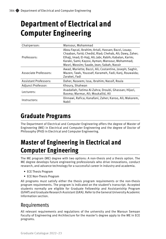# **Department of Electrical and Computer Engineering**

| Chairperson:                 | Mansour, Mohammad                                                                                                                                                                                                                                                          |
|------------------------------|----------------------------------------------------------------------------------------------------------------------------------------------------------------------------------------------------------------------------------------------------------------------------|
| Professors:                  | Abou Faycal, Ibrahim; Artail, Hassan; Bazzi, Louay;<br>Chaaban, Farid; Chedid, Riad; Chehab, Ali; Dawy, Zaher;<br>Elhajj, Imad; El-Hajj, Ali; Jabr, Rabih; Kabalan, Karim;<br>Karaki, Sami; Kayssi, Ayman; Mansour, Mohammad;<br>Masri, Wassim: Saade, Jean: Sabah, Nassir |
| Associate Professors:        | Awad, Mariette; Bazzi, Ali; Costantine, Joseph; Saghir,<br>Mazen; Tawk, Youssef; Karameh, Fadi; Kanj, Rouwaida;<br>Zaraket, Fadi                                                                                                                                           |
| <b>Assistant Professors:</b> | Daher, Naseem; Issa, Ibrahim; Nassif, Roula                                                                                                                                                                                                                                |
| Adjunct Professor:           | Khoury, Shahwan                                                                                                                                                                                                                                                            |
| Lecturers:                   | Asadallah, Fatima Al-Zahra; Droubi, Ghassan; Hijazi,<br>Basma; Marmar, Ali; Moukallid, Ali                                                                                                                                                                                 |
| Instructors:                 | Dinnawi, Rafica; Kanafani, Zaher; Kanso, Ali; Makarem,<br>Nabil                                                                                                                                                                                                            |

# **Graduate Programs**

The Department of Electrical and Computer Engineering offers the degree of Master of Engineering (ME) in Electrical and Computer Engineering and the degree of Doctor of Philosophy (PhD) in Electrical and Computer Engineering.

# **Master of Engineering in Electrical and Computer Engineering**

The ME program (ME) degree with two options: A non-thesis and a thesis option. The ME degree develops future engineering professionals who drive innovations, conduct research, and advance technology for a successful career in industry and academia.

- ECE Thesis Program
- ECE Non-Thesis Program

All programs must satisfy either the thesis program requirements or the non-thesis program requirements. The program is indicated on the student's transcript. Accepted students normally are eligible for Graduate Fellowship and Assistantship Program (GFAP) and Graduate Research Assistant (GRA). Refer to the General University Academic Information section.

# Requirements

All relevant requirements and regulations of the university and the Maroun Semaan Faculty of Engineering and Architecture for the master's degree apply to the ME in ECE programs.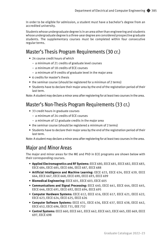In order to be eligible for admission, a student must have a bachelor's degree from an accredited university.

Students whose undergraduate degree is in an area other than engineering and students whose undergraduate degree is a three-year degree are considered prospective graduate students. The supplementary courses must be completed within four consecutive regular terms.

# Master's Thesis Program Requirements (30 cr.)

- 24 course credit hours of which
	- a minimum of 21 credits of graduate level courses
	- a minimum of 18 credits of ECE courses
	- a minimum of 9 credits of graduate level in the major area
- 6 credits for master's thesis
- the seminar course (should be registered for a minimun of 2 terms)
- Students have to declare their major area by the end of the registration period of their last term.

Note: A student may declare a minor area after registering for at least two courses in the area.

# Master's Non-Thesis Program Requirements (33 cr.)

- 33 credit hours in graduate courses
	- a minimum of 24 credits of ECE courses
	- a minimum of 12 graduate credits in the major area
- the seminar course (should be registered a minimum of 2 terms)
- Students have to declare their major area by the end of the registration period of their last term.

Note: A student may declare a minor area after registering for at least two courses in the area.

# <span id="page-78-0"></span>Major and Minor Areas

The major and minor areas for the ME and PhD in ECE programs are shown below with their corresponding courses.

- **Applied Electromagnetics and RF Systems:** EECE 680, EECE 681, EECE 682, EECE 683, EECE 684, EECE 685, EECE 686, EECE 687, EECE 688
- **Artificial Intelligence and Machine Learning:** EECE 633, EECE 634, EECE 639, EECE 664, EECE 667, EECE 668, EECE 690, EECE 693, EECE 699
- **Biomedical Engineering:** EECE 601, EECE 603, EECE 605
- **Communications and Signal Processing:** EECE 640, EECE 641, EECE 644, EECE 645, EECE 646, EECE 691, EECE 692, EECE 694, EECE 695
- **Computer Hardware Systems:** EECE 612, EECE 616, EECE 617, EECE 621, EECE 622, EECE 623, EECE 624, EECE 625, EECE 626
- **Computer Software Systems:** EECE 631, EECE 636, EECE 637, EECE 638, EECE 642, EECE 652, EECE 696, EECE 731, EEE 732
- **Control Systems:** EECE 660, EECE 661, EECE 662, EECE 663, EECE 665, EEE 669, EECE 697, EECE 698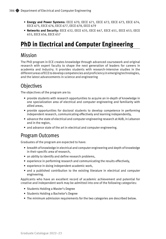- **Energy and Power Systems:** EECE 670, EECE 671, EECE 672, EECE 673, EECE 674, EECE 675, EECE 676, EECE 677, EECE 678, EECE 679
- **Networks and Security:** EECE 632, EECE 635, EECE 647, EECE 651, EECE 653, EECE 655, EECE 656, EECE 657

# **PhD in Electrical and Computer Engineering**

# Mission

The PhD program in ECE creates knowledge through advanced coursework and original research with expert faculty to shape the next generation of leaders for careers in academia and industry. It provides students with research-intensive studies in the different areas of ECE to develop competencies and proficiency in emerging technologies, and the latest advancements in science and engineering

# **Objectives**

The objectives of the program are to:

- provide students with research opportunities to acquire an in-depth of knowledge in one specialization area of electrical and computer engineering and familiarity with allied areas,
- provide opportunities for doctoral students to develop competence in performing independent research, communicating effectively and learning independently,
- advance the state of electrical and computer engineering research at AUB, in Lebanon and in the region,
- and advance state of the art in electrical and computer engineering.

# Program Outcomes

Graduates of the program are expected to have:

- breadth of knowledge in electrical and computer engineering and depth of knowledge in their specific area of research,
- an ability to identify and define research problems,
- experience in performing research and communicating the results effectively,
- experience in doing independent academic work,
- and a published contribution to the existing literature in electrical and computer engineering.

Applicants who have an excellent record of academic achievement and potential for creative and independent work may be admitted into one of the following categories:

- Students Holding a Master's Degree
- Students Holding a Bachelor's Degree
- The minimum admission requirements for the two categories are described below.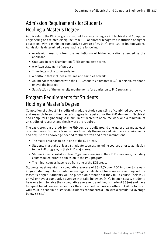# Admission Requirements for Students Holding a Master's Degree

Applicants to the PhD program must hold a master's degree in Electrical and Computer Engineering or a related discipline from AUB or another recognized institution of higher education, with a minimum cumulative average of 85 (3.7) over 100 or its equivalent. Admission is determined by evaluating the following:

- Academic transcripts from the institution(s) of higher education attended by the applicant
- Graduate Record Examination (GRE) general test scores
- A written statement of purpose
- Three letters of recommendation
- A portfolio that includes a resume and samples of work
- An interview conducted with the ECE Graduate Committee (EGC) in person, by phone or over the Internet
- Satisfaction of the university requirements for admission to PhD programs

# Program Requirements for Students Holding a Master's Degree

Completion of at least 48 credits of graduate study consisting of combined course work and research beyond the master's degree is required for the PhD degree in Electrical and Computer Engineering. A minimum of 18 credits of course work and a minimum of 24 credits of research and thesis work are required.

The basic program of study for the PhD degree is built around one major area and at least one minor area. Students take courses to satisfy the major and minor area requirements and acquire the knowledge needed for the written and oral examinations.

- The major area has to be in one of the ECE areas.
- Students must take at least 4 graduate courses, including courses prior to admission to the PhD program, in their PhD major area.
- Students must also take at least 2 graduate courses in their PhD minor area, including courses taken prior to admission to the PhD program.
- The minor courses have to be from one of the ECE areas.

Students must maintain a cumulative average of 85 (3.7) over 100 in order to remain in good standing. The cumulative average is calculated for courses taken beyond the master's degree. Students will be placed on probation if they fail a course (below C+ or 70) or have a cumulative average that falls below 85 (3.7). In such cases, students have one term to raise their cumulative average to a minimum grade of 85 (A-) and have to repeat failed courses as soon as the concerned courses are offered. Failure to do so will result in academic dismissal. Students cannot earn a PhD with a cumulative average below 85 (3.7).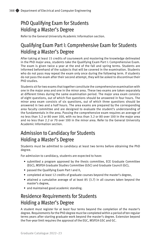# PhD Qualifying Exam for Students Holding a Master's Degree

Refer to the General University Academic Information section.

# Qualifying Exam Part I: Comprehensive Exam for Students Holding a Master's Degree

After taking at least 15 credits of coursework and mastering the knowledge delineated in the PhD major area, students take the Qualifying Exam Part I: Comprehensive Exam. The exam is given twice a year at the end of the fall and spring terms. Students are informed beforehand of the subjects that will be covered in the examination. Students who do not pass may repeat the exam only once during the following term. If students do not pass the exam after their second attempt, they will be asked to discontinue their PhD studies.

Students sit for two exams that together constitute the comprehensive examination with one in the major area and one in the minor area. These two exams are taken separately at different times during the same examination period. The major area exam consists of eight questions, out of which five questions should be answered in four hours. The minor area exam consists of six questions, out of which three questions should be answered in two and a half hours. The area exams are prepared by the corresponding area faculty committee and are designed to evaluate the student's understanding of the fundamentals in the area. Passing the comprehensive exam requires an average of no less than 3.2 or 80 over 100, with no less than 3.2 or 80 over 100 in the major area and no less than 2.2 or 70 over 100 in the minor area. Refer to the General University Academic Information section.

# Admission to Candidacy for Students Holding a Master's Degree

Students must be admitted to candidacy at least two terms before obtaining the PhD degree.

For admission to candidacy, students are expected to have:

- submitted a program approved by the thesis committee, ECE Graduate Committee (EGC), MSFEA Graduate Studies Committee (GSC) and Graduate Council (GC),
- passed the Qualifying Exam Part I and II,
- completed at least 12 credits of graduate courses beyond the master's degree,
- attained a cumulative average of at least 85 (3.7) in all courses taken beyond the master's degree,
- and maintained good academic standing.

# Residence Requirements for Students Holding a Master's Degree

A student must register for at least four terms beyond the completion of the master's degree. Requirements for the PhD degree must be completed within a period of ten regular terms years after starting graduate work beyond the master's degree. Extension beyond the five-year limit requires the approval of the EGC, MSFEA GSC and GC.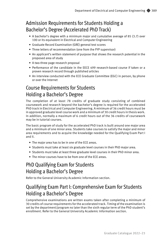# Admission Requirements for Students Holding a Bachelor's Degree (Accelerated PhD Track)

- A bachelor's degree with a minimum major and cumulative average of 85 (3.7) over 100 or its equivalent in Electrical and Computer Engineering
- Graduate Record Examination (GRE) general test scores
- Three letters of recommendation (one from the FYP supervisor)
- An applicant's written statement of purpose that shows the research potential in the proposed area of study
- A two-three page research proposal
- Performance of the candidate in the EECE 499 research-based course if taken or a proven research record through published articles
- An interview conducted with the ECE Graduate Committee (EGC) in person, by phone or over the Internet

# Course Requirements for Students Holding a Bachelor's Degree

The completion of at least 78 credits of graduate study consisting of combined coursework and research beyond the bachelor's degree is required for the accelerated PhD track in Electrical and Computer Engineering. A minimum of 36 credit hours must be in approved graduate level course work and a minimum of 30 credit hours in thesis work. In addition, normally a maximum of 6 credit hours out of the 36 credits of coursework may be in tutorial courses.

The basic program of study for the accelerated PhD track is built around one major area and a minimum of one minor area. Students take courses to satisfy the major and minor area requirements and to acquire the knowledge needed for the Qualifying Exam Part I and II.

- The major area has to be in one of the ECE areas.
- Students must take at least six graduate level courses in their PhD major area.
- Students must take at least three graduate level courses in their PhD minor area.
- The minor courses have to be from one of the ECE areas.

# PhD Qualifying Exam for Students Holding a Bachelor's Degree

Refer to the General University Academic Information section.

# Qualifying Exam Part I: Comprehensive Exam for Students Holding a Bachelor's Degree

Comprehensive examinations are written exams taken after completing a minimum of 30 credits of course requirements for the accelerated track. Timing of the examination is set by the department/program no later than the sixth regular term of the PhD student's enrollment. Refer to the General University Academic Information section.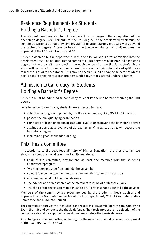# Residence Requirements for Students Holding a Bachelor's Degree

The student must register for at least eight terms beyond the completion of the bachelor's degree. Requirements for the PhD degree in the accelerated track must be completed within a period of twelve regular terms after starting graduate work beyond the bachelor's degree. Extension beyond the twelve regular terms limit requires the approval of the EGC, MSFEA GSC and GC.

Students deemed by the department, within one to two years after admission into the accelerated track, as not qualified to complete a PhD degree may be granted a master's degree in the area after completing the equivalence of a non-thesis master's. Every effort will be made to screen students carefully to assure their potential and aptitude as researchers prior to acceptance. This may be accomplished by having selected students participate in ongoing research projects while they are registered undergraduates.

# Admission to Candidacy for Students Holding a Bachelor's Degree

Students must be admitted to candidacy at least two terms before obtaining the PhD degree.

For admission to candidacy, students are expected to have:

- submitted a program approved by the thesis committee, EGC, MSFEA GSC and GC
- passed the oral qualifying examination
- completed at least 30 credits of graduate level courses beyond the bachelor's degree
- attained a cumulative average of at least 85 (3.7) in all courses taken beyond the bachelor's degree
- maintained good academic standing

# PhD Thesis Committee

In accordance to the Lebanese Ministry of Higher Education, the thesis committee should be composed of at least five faculty members:

- Chair of the committee, advisor and at least one member from the student's department/program
- Two members must be from outside the university
- At least four committee members must be from the student's major area
- All members must hold doctoral degrees
- The advisor and at least three of the members must be of professorial rank
- The chair of the thesis committee must be a full professor and cannot be the advisor

Members of the committee are recommended by the student's thesis advisor and approved by the Graduate Committee of the ECE department, MSFEA Graduate Studies Committee and Graduate Council.

The committee approves the thesis topic and research plan, administers the oral Qualifying Exam (Part II) and conducts the thesis defense. The thesis proposal and selection of the committee should be approved at least two terms before the thesis defense.

Any changes in the committee, including the thesis advisor, must receive the approval of the EGC, MSFEA GSC and GC.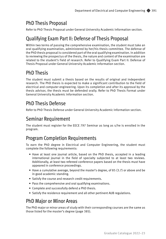# PhD Thesis Proposal

Refer to PhD Thesis Proposal under General University Academic Information section.

# Qualifying Exam Part II: Defense of Thesis Proposal

Within two terms of passing the comprehensive examination, the student must take an oral qualifying examination, administered by her/his thesis committee. The defense of the PhD thesis proposal is considered part of the oral qualifying examination. In addition to reviewing the prospectus of the thesis, the nature and content of the examination are related to the student's field of research. Refer to Qualifying Exam Part II: Defense of Thesis Proposal under General University Academic Information section.

# PhD Thesis

The student must submit a thesis based on the results of original and independent research. The PhD thesis is expected to make a significant contribution to the field of electrical and computer engineering. Upon its completion and after its approval by the thesis advisor, the thesis must be defended orally. Refer to PhD Thesis Format under General University Academic Information section.

# PhD Thesis Defense

Refer to PhD Thesis Defense under General University Academic Information section.

# Seminar Requirement

The student must register for the EECE 797 Seminar as long as s/he is enrolled in the program.

# Program Completion Requirements

To earn the PhD degree in Electrical and Computer Engineering, the student must complete the following requirements:

- Have at least one journal article, based on the PhD thesis, accepted in a leading international journal in the field of specialty subjected to at least two reviews. Additionally, at least two refereed conference papers based on the thesis must have appeared in conference proceedings.
- Have a cumulative average, beyond the master's degree, of 85 (3.7) or above and be in good academic standing.
- Satisfy the course and research credit requirements.
- Pass the comprehensive and oral qualifying examinations.
- Complete and successfully defend a PhD thesis.
- Satisfy the residence requirement and all other pertinent AUB regulations.

# PhD Major or Minor Areas

The PhD major or minor areas of study with their corresponding courses are the same as those listed for the master's degree (page [385\)](#page-78-0).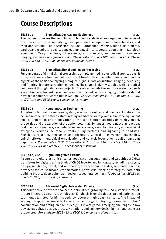# **Course Descriptions**

## **EECE 601 Biomedical Devices and Equipment 3 cr.**

The course discusses the main types of biomedical devices and equipment in terms of the physical principles underlying their operation, their operational characteristics, and their applications. The discussion includes: ultrasound systems, blood instruments, cardiac and respiratory devices and equipment, clinical laboratory equipment, radiology equipment. X-ray machines, CT scanners, PET scanners, and magnetic resonance imaging systems.*Prerequisites: BIOL 210 or BIOL 202 or PHYL 246; and EECE 210 or PHYS 228 and PHYS 228L; or consent of the instructor.*

### **EECE 603 Biomedical Signal and Image Processing 3 cr.**

Fundamentals of digital signal processing as implemented in biomedical applications. It provides a concise treatment of the tools utilized to describe deterministic and random signals as the basis of analyzing biological signals: data acquisition, imaging, denoising and filtering, feature extraction, modeling. The course is tightly coupled with a practical component through laboratory projects. Examples include the auditory system, speech generation, electrocardiogram, neuronal circuits and medical imaging. Students should have reasonable software skills in Matlab. *Pre or co-requisites: STAT 230 and EECE 340, or STAT 233 and EECE 340 or consent of instructor.*

### **EECE 605 Neuromuscular Engineering 3 cr.**

An introduction on the nervous system, electrophysiology and chemical kinetics. The cell membrane in the steady state: resting membrane voltage and membrane equivalent circuit. Generation and propagation of the action potential: Hodgkin-Huxley model, properties and propagation of the action potential. Synapses: neuromuscular junction, fast chemical synapses, second-messenger systems, synaptic plasticity and electrical synapses. Neurons: neuronal currents, firing patterns and signaling in dendrites. Muscle: contraction, mechanics and receptors. Control of movement: mechanics, spinal reflexes, hierarchical organization and control, locomotion, equilibrium-point hypothesis. *Prerequisites: BIOL 210 or BIOL 202 or PHYL 246, and EECE 210; or PHYS 228, PHYS 228L and MATH 202; or consent of instructor.*

## **EECE 612/412 Digital Integrated Circuits 3 cr.**

Graduate Catalogue 2022–23

A course on digital electronic circuits; models, current equations, and parasitics of CMOS transistors for digital design; study of CMOS inverter and logic gates, including analysis, design, simulation, layout, and verification; advanced circuit styles; sequential circuits; advanced topics: semiconductor memories, power grid, clocking strategies, data-path building blocks, deep-submicron design issues, interconnect. *Prerequisites: EECE 310 and EECE 320, or consent of instructor*.

## **EECE 616 Advanced Digital Integrated Circuits 3 cr.**

This course covers advanced concepts in circuit design for digital VLSI systems in state ofthe-art integrated circuits technologies. Emphasis is on circuit design and optimization techniques targeted for high-speed, low-power or high-density circuits. The impact of scaling, deep submicron effects, interconnect, signal integrity, power distribution/ consumption and timing on circuit design is investigated. Emerging challenges in low power/low voltage design, process variations and memory design in the nano-scale era are covered. *Prerequisite: EECE 412 or EECE 612 or consent of instructor.*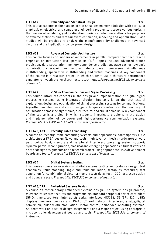## **EECE 617 Reliability and Statistical Design 3 cr.**

This course explores major aspects of statistical design methodologies with particular emphasis on electrical and computer engineering problems. It covers various topics in the domain of reliability, yield estimation, variance reduction methods for purposes of extreme statistics and rare fail event estimation, modeling and optimization. Case studies will be provided to analyze the manufacturability challenges of advanced circuits and the implications on low power design.

### **EECE 621 Advanced Computer Architecture 3 cr.**

This course focuses on modern advancements in parallel computer architecture with emphasis on instruction level parallelism (ILP). Topics include: advanced branch prediction, data speculation, memory dependence prediction, trace caches, dynamic optimization, checkpoint architectures, latency-tolerant processors, simultaneous multithreading, speculative multithreading and virtual machines. A key component of the course is a research project in which students use architecture performance simulator to investigate novel architecture techniques. *Prerequisite: EECE 421 or consent of instructor.*

# **EECE 622 VLSI for Communications and Signal Processing 3 cr.**

This course introduces concepts in the design and implementation of digital signal processing systems using integrated circuits. Emphasis is on the architectural exploration, design and optimization of signal processing systems for communications. Algorithm, architecture and circuit design techniques are introduced that enable joint optimization across the algorithmic, architectural and circuit domains. A key component of the course is a project in which students investigate problems in the design and implementation of low-power and high-performance communication systems. *Prerequisite: EECE 491 or EECE 691 or consent of instructor.*

# **EECE 623/423 Reconfigurable Computing 3 cr.**

A course on reconfigurable computing systems and applications; contemporary FPGA architectures; FPGA design flows and tools; high-level synthesis; hardware/software partitioning; host, memory and peripheral interfaces; operating system support; dynamic partial reconfiguration; classical and emerging applications. Students work on a set of design assignments and a research project using appropriate FPGA development boards and tools. *Prerequisite: EECE 321 or consent of instructor.*

# **EECE 624 Digital Systems Testing 3 cr.**

This course covers an overview of digital systems testing and testable design; test economics, fault modeling, logic and fault simulation, testability measures; test generation for combinational circuits; memory test; delay test; IDDQ test; scan design and boundary scan. *Prerequisite: EECE 320 or consent of instructor.*

# **EECE 625/425 Embedded Systems Design 3 cr.**

A course on contemporary embedded systems design. The system design process; microcontroller architectures and programming; standard peripheral device controllers (GPIO, timers/counters, interrupts); serial interfaces (RS232, SSI/SPI, I2C, USB); displays; memory devices and DMA; IoT and network interfaces; analog/digital conversion; pulse-width modulation; motor control; embedded operating systems. Students work on a set of design assignments and a major project using appropriate microcontroller development boards and tools. *Prerequisite: EECE 321 or consent of instructor.*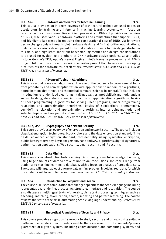## 394 Department of Electrical and Computer Engineering

### **EECE 626 Hardware Accelerators for Machine Learning 3 cr.**

This course provides an in-depth coverage of architectural techniques used to design accelerators for training and inference in machine learning systems, with focus on recent advances towards enabling efficient processing of DNNs. It provides an overview of DNNs, discusses various hardware platforms and architectures that support DNNs, and highlights key trends in reducing the computational cost of DNNs via hardware design changes only or through joint hardware design and DNN algorithm optimizations. It also covers various development tools that enable students to quickly get started in this field, and highlights important benchmarking metrics and design considerations to be used for evaluating a plethora of DNN hardware design options. Case studies include Google's TPU, Apple's Neural Engine, Intel's Nervana processor, and ARM's Project Trillium. The course involves a semester project that focuses on developing architectures for hardware ML accelerators. *Prerequisites: EECE 490 and EECE 420 or EECE 421, or consent of instructor.* 

### **EECE 631 Advanced Topics in Algorithms 3 cr.**

This is a second course on algorithms. The aim of the course is to cover general tools from probability and convex optimization with applications to randomized algorithms, approximation algorithms, and theoretical computer science in general. Topics include: introduction to randomized algorithms, tail inequalities, probabilistic method, random walks, hashing, derandomization, introduction to approximation algorithms, basics of linear programming, algorithms for solving linear programs, linear programming relaxation and approximation algorithms, basics of semidefinite programming, semidefinite relaxation and approximation algorithms, interior point methods, and selected topics as time permits. *Prerequisites: EECE 431 or EECE 331 and STAT 230 or STAT 233 and MATH 218 or MATH 219 or consent of instructor.*

## **EECE 632/ 455 Cryptography and Network Security 3 cr.**

This course provides an overview of encryption and network security. The topics include: classical encryption techniques, block ciphers and the data encryption standard, finite fields, advanced encryption standard, confidentiality using symmetric encryption, public-key cryptography, key management, hash and MAC algorithms, digital signatures, authentication applications, Web security, email security and IP security.

## **EECE 633 Data Mining 3 cr. 3 cr.**

This course is an introduction to data mining. Data mining refers to knowledge discovery, using huge amounts of data to arrive at non-trivial conclusions. Topics will range from statistics to machine learning to database, with a focus on analysis of large data sets. The course will target at least one new data mining problem involving real data, for which the students will have to find a solution. *Prerequisite: EECE 330 or consent of instructor.*

## **EECE 634 Introduction to Computational Arabic 3 cr.**

The course discusses computational challenges specific to the Arabic language including representation, rendering, processing, structure, interface and recognition. The course also discusses multilingual texts with Arabic, visits text processing techniques such as encoding, matching, tokenization, search, indexing and pattern matching. The course reviews the state of the art in automating Arabic language understanding. *Prerequisite: EECE 330 or consent of instructor.*

## **EECE 635 Theoretical Foundations of Security and Privacy 3 cr.**

This course provides a rigorous framework to study security and privacy using suitable mathematical models. Such models enable the assessment of the security/privacy guarantees of a given system, including communication and computing systems and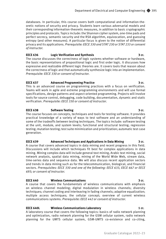databases. In particular, this course covers both computational and information-theoretic notions of security and privacy. Students learn various adversarial models and their corresponding information-theoretic measures, in addition to basic cryptographic principles and protocols. Topics include: the Shannon cipher system, one-time pads and perfect secrecy, semantic security and the RSA algorithm, equivocation, and guessing entropy (and other measures). A particular focus is given to the notion of differential privacy and its applications. *Prerequisite: EECE 330 and STAT 230 or STAT 233 or consent of instructor.*

## **EECE 636 Logic Verification and Synthesis 3 cr.**

The course discusses the correctness of logic systems whether software or hardware, the basic representations of propositional logic and first order logic. It discusses how expressive and realizable different logic theories are. It covers tools that reason about the correctness of logic and that automatically synthesize logic into an implementation. *Prerequisite: EECE 330 or consent of instructor.*

## **EECE 637 Advanced Programming Practice 3 cr.**

This is an advanced course on programming practices with a focus on verification. Teams will work in agile and extreme programming environments and will use formal specifications, design patterns and aspect-oriented programming. Projects will involve tools for source control, debugging, code building, documentation, dynamic and static verification. *Prerequisite: EECE 330 or consent of instructor.*

## **EECE 638 Software Testing 3 cr.**

The course focuses on concepts, techniques and tools for testing software. It provides practical knowledge of a variety of ways to test software and an understanding of some of the tradeoffs between testing techniques. The topics include: software testing at the unit, module, and system levels; functional and structural testing; regression testing; mutation testing; test suite minimization and prioritization; automatic test case generation.

# **EECE 639 Advanced Techniques and Applications in Data Mining 3 cr.**

A course that covers advanced topics in data mining and recent progress in this field. Discussions will include which techniques fit best for complex applications in data mining. Mining complex data will include general text mining, Arabic text mining, social network analysis, spatial data mining, mining of the World Wide Web, stream data, time-series data and sequence data. We will also discuss recent application sectors and trends in data mining such as for the telecommunication, biological, and financial sectors. *Prerequisites: EECE 330 and one of the following: EECE 633, EECE 667 or EECE 693; or consent of instructor.*

## **EECE 640 Wireless Communications 3 cr.**

A course that covers the fundamentals of wireless communications with emphasis on wireless channel modeling; digital modulation in wireless channels; diversity techniques; channel coding and interleaving in fading channels; adaptive equalization; multiple access techniques; the cellular concept; overview of current wireless communications systems. *Prerequisite: EECE 442 or consent of instructor.*

## **EECE 640L Wireless Communications Laboratory 1 cr.**

A laboratory course that covers the following topics: basics of radio network planning and optimization, radio network planning for the GSM cellular system, radio network planning for the UMTS cellular system, GSM-UMTS co-existence and co-citing,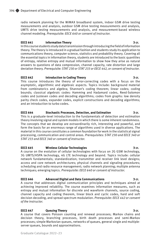radio network planning for the WiMAX broadband system, indoor GSM drive testing measurements and analysis, outdoor GSM drive testing measurements and analysis, UMTS drive testing measurements and analysis, and measurement-based wireless channel modeling. *Prerequisite: EECE 640 or consent of instructor.*

### **EECE 641 Information Theory 3 cr.**

In this course students study data transmission through introducing the field of information theory. The theory is introduced in a gradual fashion and students study its application to communications theory, computer science, statistics and probability theory. Covering all the essential topics in information theory, students are introduced to the basic quantities of entropy, relative entropy and mutual information to show how they arise as natural answers to questions of data compression, channel capacity, rate distortion and large deviation theory. *Prerequisite: STAT 230 or STAT 233 or EECE 442, or consent of instructor.*

### **EECE 642 Introduction to Coding Theory 3 cr.**

This course introduces the theory of error-correcting codes with a focus on the asymptotic, algorithmic and algebraic aspects. Topics include: background material from combinatorics and algebra; Shannon's coding theorem; linear codes; coding bounds; classical algebraic codes: Hamming and Hadamard codes, Reed-Solomon codes and Justesen codes and decoding algorithms; codes from graphs: low density parity check codes, expander codes, explicit constructions and decoding algorithms; and an introduction to turbo codes.

### **EECE 644 Stochastic Processes, Detection, and Estimation 3 cr.**

This is a graduate-level introduction to the fundamentals of detection and estimation theory involving signal and system models in which there is some inherent randomness. The concepts that we develop are extraordinarily rich, interesting and powerful, and form the basis for an enormous range of algorithms used in diverse applications. The material in this course constitutes a common foundation for work in the statistical signal processing, communication and control areas. *Prerequisites: STAT 230 and EECE 340 or STAT 233 and EECE 340 or consent of instructor.*

### **EECE 645 Wireless Cellular Technologies 3 cr.**

A course on the evolution of cellular technologies with focus on 2G GSM technology, 3G UMTS/HSPA technology, 4G LTE technology and beyond. Topics include: cellular network fundamentals; standardization; transmitter and receiver link level designs; access and core network architectures; physical channels and signaling procedures; scheduling and radio resource management; radio network planning; multiple antenna techniques; emerging topics. *Prerequisite: EECE 640 or consent of instructor.*

## **EECE 646 Advanced Digital and Data Communications 3 cr.**

A course that addresses digital communication principles and techniques aimed at achieving improved reliability. The course examines information measures, such as entropy and mutual information for discrete and waveform channels, source coding, channel capacity and coding theorem, linear block and cyclic codes, hard and soft decision decoding, and spread spectrum modulation. *Prerequisite: EECE 442 or consent of the instructor.* 

## **EECE 647 Queuing Theory 3 cr.**

A course that covers Poisson counting and renewal processes; Markov chains and decision theory, branching processes, birth death processes and semi-Markov processes; simple Markovian queues, networks of queues, general single and multipleserver queues, bounds and approximations.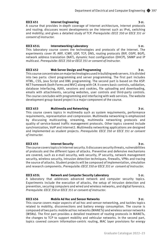#### **EECE 651** Internet Engineering **3 cr.**

A course that provides in-depth coverage of Internet architecture, Internet protocols and routing; discusses recent developments on the Internet such as IPv6, switching and mobility; and gives a detailed study of TCP. *Prerequisite: EECE 350 or EECE 351 or consent of instructor.*

#### **EECE 651L Internetworking Laboratory 1 cr.**

This laboratory course covers the technologies and protocols of the Internet. The experiments cover IP, ARP, ICMP, UDP, TCP, DNS, routing protocols (RIP, OSPF, BGP), network address translation (NAT), dynamic host configuration (DHCP), SNMP and IP multicast. *Prerequisite: EECE 350 or EECE 351 or consent of instructor.*

### **EECE 652 Web Server Design and Programming 3 cr.**

This course concentrates on major technologies used in building web servers. It is divided into two parts: client programming and server programming. The first part includes HTML, CSS, Java Script and XML programming. The second part is based on the ASP. NET framework (both Forms and MVC) along with C#. It covers basic controls, validation, database interfacing, AJAX, sessions and cookies, file uploading and downloading, emails with attachments, securing websites, user controls and third-party controls. The course concludes with programming and interfacing with web services. The website development group-based project is a major component of the course.

#### **EECE 653 Multimedia and Networking 3 cr.** 3 cr.

This course covers topics in multimedia such as system requirements, performance requirements, representation and compression. Multimedia networking is emphasized by discussing multicasting, streaming, multimedia networking protocols and quality of service-based traffic management protocols. Other topics covered include synchronization, VoIP and Internet2. Multimedia networking applications are designed and implemented as student projects. *Prerequisite: EECE 350 or EECE 351 or consent of instructor.*

#### **EECE 655 Internet Security 3 cr.**

The course covers topics in Internet security. It discusses security threats, vulnerabilities of protocols and the different types of attacks. Preventive and defensive mechanisms are covered, such as e-mail security, web security, IP security, network management security, wireless security, intrusion detection techniques, firewalls, VPNs and tracing the source of attacks. Student projects will be composed of implementation, simulation and research components. *Prerequisite: EECE 350 or EECE 351 or consent of instructor.*

### **EECE 655L Network and Computer Security Laboratory 1 cr.**

A laboratory that addresses advanced network and computer security topics. Experiments include the execution of attacks, the setup of intrusion detection and prevention, securing computers and wired and wireless networks, and digital forensics. *Prerequisite: EECE 350 or EECE 351 or consent of instructor.*

### **EECE 656 Mobile Ad Hoc and Sensor Networks 3 cr.**

This course covers major aspects of ad hoc and sensor networking, and tackles topics related to mobility, disconnections and battery energy consumption. The course is composed of two parts: mobile ad hoc networks (MANETs) and wireless sensor networks (WSNs). The first part provides a detailed treatment of routing protocols in MANETs, the changes to TCP to support mobility and vehicular networks. In the second part, topics covered concern information-centric routing, MAC layer provisions for energy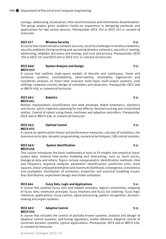savings, addressing, localization, time synchronization and information dissemination. The group project gives students hands-on experience in designing protocols and applications for real sensor devices. *Prerequisite: EECE 350 or EECE 351 or consent of instructor.*

### **EECE 657 Wireless Security 3 cr.**

A course that covers wireless network security; security challenges in wireless networks; security problems facing existing and upcoming wireless networks; security in naming, addressing, neighbor discovery and routing; and trust and privacy. *Prerequisites: EECE 350 or EECE 351 and EECE 455 or EECE 632, or consent of instructor.*

#### **EECE 660/ System Analysis and Design 3 cr. MECH 653**

A course that outlines state-space models of discrete and continuous, linear and nonlinear systems; controllability; observability; minimality; Eigenvector and transforms analysis of linear time invariant multi-input multi-output systems; pole shifting; computer control; design of controllers and observers. *Prerequisite: EECE 460 or MECH 436, or consent of instructo*r.

| <b>MECH 641</b>                                                                                  |
|--------------------------------------------------------------------------------------------------|
| Robotic manipulators classification and work envelope. Robot kinematics, dynamics                |
| and forces. Joints trajectory planning for end effector desired tracking and constrained         |
| motion. Control of robots using linear, nonlinear and adaptive controllers. <i>Prerequisite:</i> |
| EECE 460 or MECH 436, or consent of instructor.                                                  |

#### **EECE 662/ Optimal Control 3 cr. MECH 655**

A course on optimization theory and performance measures, calculus of variations, the maximum principle, dynamic programming, numerical techniques, LQR control systems.

#### **EECE 663/** System Identification 3 cr. **MECH 656**

This course introduces the basic mathematical tools to fit models into empirical inputoutput data. General time-series modeling and forecasting, such as stock prices, biological data and others. Topics include nonparametric identification methods: time and frequency response analysis; parametric identification: prediction error, least squares, linear unbiased estimation and maximum likelihood; convergence, consistency and asymptotic distribution of estimates; properties and practical modeling issues: bias distribution, experiment design and model validation.

## **EECE 664 Fuzzy Sets, Logic and Applications 3 cr.**

A course that outlines fuzzy sets and related concepts; logical connectives; mapping of fuzzy sets; extension principle; fuzzy relations and fuzzy set ordering; fuzzy logic inference; applications: fuzzy control, signal processing, pattern recognition, decisionmaking and expert systems.

### **EECE 665/ Adaptive Control 3 cr. MECH 654**

A course that includes the control of partially known systems; analysis and design of adaptive control systems; self-tuning regulators; model reference adaptive control of uncertain dynamic systems; typical applications. *Prerequisite: EECE 460 or MECH 436, or consent of instructor.*

Graduate Catalogue 2022–23

**EECE 661/ Robotics 3 cr.**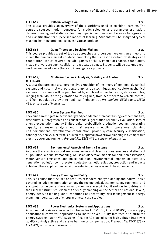### **EECE 667 Pattern Recognition 3 cr.**

The course provides an overview of the algorithms used in machine learning. The course discusses modern concepts for model selection and parameter estimation, decision-making and statistical learning. Special emphasis will be given to regression and classification for supervised modes of learning. Students will be assigned typical machine learning problems to investigate as projects.

## **EECE 668 Game Theory and Decision-Making 3 cr.**

This course provides a set of tools, approaches and perspectives on game theory to mimic the human elements of decision-making that is best described by strategy and cooperation. Topics covered include: games of skills, games of chance, cooperative, mixed motive, zero sum, coalition and repeated games. Students will be assigned realworld examples of game theory to investigate as projects.

### **EECE 669/ Nonlinear Systems: Analysis, Stability and Control 3 cr. MECH 648**

A course that presents a comprehensive exposition of the theory of nonlinear dynamical systems and its control with particular emphasis on techniques applicable to mechanical systems. The course will be punctuated by a rich set of mechanical system examples, ranging from violin string vibration to jet engines, from heart beats to vehicle control, and from population growth to nonlinear flight control. *Prerequisite: EECE 460 or MECH 436, or consent of instructor.*

### **EECE 670** Power System Planning **3 cr.** 3 cr.

The course investigates electric energy and peak demand forecasts using weather sensitive, time curve, autoregressive and causal models; generation reliability evaluation, loss of energy expectation, energy limited units, probabilistic production costing, generating capacity expansion analysis and maintenance scheduling; operational planning, unit commitment, hydrothermal coordination; power system security classification, contingency analysis, external equivalents, optimal power flow; planning in a competitive electric power environment. *Prerequisite: EECE 471 or consent of instructor*.

## **EECE 671 Environmental Aspects of Energy Systems 3 cr.**

A course that examines world energy resources and classifications; sources and effects of air pollution; air quality modeling, Gaussian dispersion models for pollution estimation; motor vehicle emissions and noise pollution; environmental impacts of electricity generation, pollution control systems, electromagnetic radiation, production and impacts in high-voltage applications; environmental impact assessment; basic concepts.

## **EECE 672 Energy Planning and Policy 3 cr.**

This is a course that focuses on features of modern energy planning and policy. Topics covered include the interaction among the technological, economic, environmental and sociopolitical aspects of energy supply and use; electricity, oil and gas industries, and their market structures; elements of energy planning on the sector and national levels; energy decision-making under conditions of uncertainty; risk management in energy planning; liberalization of energy markets; case studies.

# **EECE 673 Power Electronics Systems and Applications 3 cr.**

A course that reviews converter topologies for AC/DC, DC/AC and DC/DC; power supply applications; converter applications to motor drives; utility interface of distributed energy systems; static VAR systems; flexible AC transmission; high voltage DC; power quality control; active and passive harmonics compensation. *Prerequisite: EECE 473 or EECE 471, or consent of instructor.*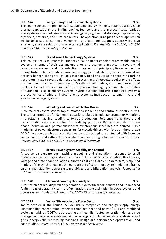### **EECE 674 Energy Storage and Sustainable Systems 3 cr.**

The course covers the principles of sustainable energy systems, solar radiation, solar thermal applications, the Stirling engine, fuel cells and the hydrogen cycle. Various energy storage technologies are also investigated, e.g. thermal storage, compressed air, flywheels, batteries, and ultra-capacitors. The operation principles of each application will be discussed, its current developments and future trends, and students will design an energy storage solution for a selected application. *Prerequisites: EECE 230, EECE 310 and Phys 210, or consent of instructor.* 

### **EECE 675 PV and Wind Electric Energy Systems 3 cr.**

This course seeks to impart in students a sound understanding of renewable energy systems in terms of their design, operation and economic impacts. It covers wind resource assessment and site selection; drag and lift principles; linear momentum theory; turbine characteristics; power and energy yield calculation; aspects of wind drive options: horizontal and vertical axis machines, fixed and variable speed wind turbine generators. It also covers solar resource assessment; photovoltaic cells: photo effect, P-N junction, principle of operation of PV cells, circuit models, maximum power point trackers, I-V and power characteristics, physics of shading, types and characteristics of autonomous solar energy systems, hybrid systems and grid connected systems; the economics of wind and solar energy systems. Introduction to small hydro and geothermal energy systems.

## **EECE 676 Modeling and Control of Electric Drives 3Cr.**

A course that covers several topics related to modeling and control of electric drives. The course introduces fundamental equations related to inductance and flux variations in a rotating machine, leading to torque production. Reference frame theory and transformations are also studied for modeling purposes. Dynamic models of threephase induction and permanent-magnet synchronous machines are derived. Basic modeling of power electronic converters for electric drives, with focus on three-phase DC/AC inverters, are introduced. Various control strategies are studied with focus on vector control and different power electronic switching schemes in electric drives. *Prerequisite: EECE 474 or EECE 473 or consent of instructor.*

### **EECE 677 Electric Power System Stability and Control 3 cr.**

A course on synchronous machine modeling and simulation, response to small disturbances and voltage instability. Topics include Park's transformation, flux linkage, voltage and state-space equations, subtransient and transient parameters, simplified models of the synchronous machine, treatment of saturation, system reference frame, small-signal stability, power system stabilizers and bifurcation analysis. *Prerequisite: EECE 678 or consent of instructor.*

## **EECE 678 Advanced Power System Analysis 3 cr.**

A course on optimal dispatch of generation, symmetrical components and unbalanced faults, transient stability, control of generation, state estimation in power systems and power system simulation. *Prerequisite: EECE 471 or consent of instructor.*

# **EECE 679 Energy Efficiency in the Power Sector 3 cr.**

Topics covered in the course include: utility companies and energy supply, energy sustainability, cogeneration systems: combined heat and power (CHP) and combined cycle gas turbines (CCGT), reciprocating engines, distributed generation, demand side management, energy analysis techniques, energy audit: types and data analysis, smart grids, energy-efficient rotating machines, design and performance optimization; and case studies. *Prerequisite: EECE 370 or consent of instructor.*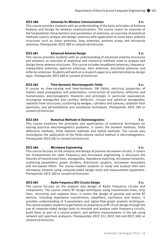### **EECE 680 Antennas for Wireless Communications 3 cr.**

This course provides students with an understanding of the basic principles of Antenna Analysis and Design for wireless communications. The course covers an overview of the fundamental characteristics and parameters of antennas, an overview of analytical methods used to analyze and design antennas with application to some basic antenna structures such as linear antennas, loop antennas, antenna arrays and microstrip antennas. *Prerequisite: EECE 380 or consent of instructor.*

### **EECE 681 Advanced Antenna Design 3 cr.**

This course provides students with an understanding of advanced antenna structures and presents an overview of analytical and numerical methods used to analyze and design these antenna structures. This course includes broadband antennas, frequencyindependent antennas, aperture antennas, horn antennas, microstrip antennas and reflector antennas. Students will work on a research paper on a selected antenna design topic. *Prerequisite: EECE 680 or consent of instructor.*

### **EECE 682 Time-Harmonic Electromagnetic Fields 3 cr.**

A course on time-varying and time-harmonic EM fields; electrical properties of matter; wave propagation and polarization; construction of solutions; reflection and transmission; electromagnetic theorems and principles in particular equivalence; rectangular waveguides and cavities; dielectric, circular and spherical waveguides; radiation from structures; scattering by wedges, cylinders and spheres; radiation from apertures, and perturbational and variational techniques. *Prerequisite: EECE 380 or consent of instructor.*

### **EECE 683 Numerical Methods in Electromagnetics 3 cr.**

This course examines the principles and applications of numerical techniques for solving practical electromagnetics problems. It covers the moment methods, finite difference methods, finite element methods and hybrid methods. The course also investigates the application of the finite-volume control method in electromagnetics. *Prerequisite: EECE 682 or consent of instructor.*

### **EECE 684 Microwave Engineering 3 cr.**

This course focuses on the analysis and design of passive microwave circuits. It covers the fundamentals for radio frequency and microwave engineering. It discusses the theories of transmission lines, waveguides, impedance matching, microwave networks, scattering parameters, power dividers, directional couplers, microwave resonators and microwave filters. The course enables students to study and analyze their own microwave network using computer-aided design tools and measurement equipment. *Prerequisite: EECE 380 or consent of instructor.*

### **EECE 685 Radio Frequency (RF) Circuits Design 3 cr.**

The course focuses on the analysis and design of Radio Frequency circuits and components. The course covers RF design techniques using transmission lines, strip lines, microstrip and coplanar lines. It covers the design of passive and active RF devices, including impedance transformers, amplifiers, oscillators and mixers. It provides understanding of S-parameters and signal-flow graph analysis techniques. The course enables students to get hands-on experience in RF circuit design through the use of computer-aided design tools to simulate and analyze radio frequency circuits, build them as part of a course project, and perform measurements in the lab using network and spectrum analyzers. *Prerequisites: EECE 311, EECE 340 and EECE 380; or consent of instructor.*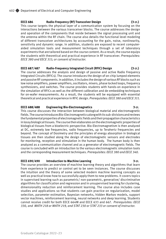## **EECE 686 Radio-Frequency (RF) Transceiver Design (3 cr.)**

This course targets the physical layer of a communication system by focusing on the interactions between the various transceiver blocks. The course addresses the design and operation of the components that reside between the signal processing unit and the antenna within the RF chain. The course also details the functional level modeling of different transceiver architectures by accounting for the gain, noise, nonlinearity, sensitivity and dynamic range. In addition, students are exposed to recent computeraided simulation tools and measurement techniques through a set of laboratory experiments that are tailored based on the course content. As a result, the course equips the students with theoretical and practical experience in RF transceiver. *Prerequisites: EECE 380 and EECE 311; or consent of instructor.*

### **EECE 687/487 Radio-Frequency Integrated Circuit (RFIC) Design (3 cr.)**

The course addresses the analysis and design of passive and active Radio Frequency Integrated Circuits (RFICs). The course introduces the design of on-chip lumped elements and passive RF components. In addition, it includes the design of various RF blocks such as low noise amplifiers, power amplifiers, oscillators, mixers, phase locked loops, frequency synthesizers, and switches. The course provides students with hands-on experience in the simulation of RFICs as well as the different calibration and de-embedding techniques for on-wafer measurements. As a result, the students will be equipped with essential theoretical and practical experience in RFIC design. *Prerequisites: EECE 380 and EECE 311.*

### **EECE 688/488 Engineering Bio-Electromagnetics 3 cr.**

This course discusses the interaction between biological material and electromagnetic fields. The course introduces Bio-Electromagnetics along with its sub-divisions and reviews the fundamental properties of electromagnetic fields and their propagation characteristics in lossy biological tissues. The course then elaborates on the electromagnetic properties of biological tissues from a bioelectric perspective. Bio-Electromagnetism is then analyzed at DC, extremely low frequencies, radio frequencies, up to Terahertz frequencies and beyond. The concept of Dosimetry and the principles of energy absorption in biological tissues are then studied along the design of electromagnetic sensors and electrodes for monitoring, reception and stimulation in the human body. The human body is then analyzed as a communication channel and as a generator of electromagnetic fields. The course is concluded with an introduction to the various electromagnetic simulation tools and the corresponding measurement techniques. *Prerequisites: EECE 380 and EECE 340.*

### **EECE 690/490 Introduction to Machine Learning 3 cr.**

The course provides an overview of machine learning theory and algorithms that learn from experience to predict or control yet to be seen instances. The course discusses the intuition and the theory of some selected modern machine learning concepts as well as practical know-how to successfully apply them to new problems. It covers topics in supervised learning such as parametric/ non-parametric, generative/ discriminative algorithms for classification and regression and in unsupervised learning for clustering, dimensionality reduction and reinforcement learning. The course also includes case studies and applications so that students can gain practice on regularization, model selection, parameter estimation, Bayesian networks, hidden Markov models, support vector machines, reinforcement learning, neural networks and deep learning. Students cannot receive credit for both EECE 664M and EECE 633 and 667. *Prerequisites: EECE 330, and MATH 218 or MATH 219, and STAT 230 or STAT 233 or consent of instructor.*

### Graduate Catalogue 2022–23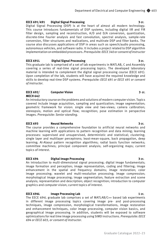#### **EECE 691/491 Digital Signal Processing 3 cr.**

Digital Signal Processing (DSP) is at the heart of almost all modern technology. This course introduces fundamentals of DSP systems, including digital IIR and FIR filter design, sampling and reconstruction, A/D and D/A conversion, quantization, discrete-time Fourier analysis and fast convolution, spectral analysis, sample-rate conversion, filter structures and realizations, and multirate DSP and filter banks. The course also discusses applications of DSP in areas such as speech/audio processing, autonomous vehicles, and software radio. It includes a project related to DSP algorithm implementation on embedded processors. *Prerequisite: EECE 340 or consent of instructor*

### **EECE 691L Digital Signal Processing 3 cr.**

This graduate lab is comprised of a set of lab experiments in MATLAB, C and Assembly covering a series of real-time signal processing topics. The developed laboratory material is intended to complement the digital signal processing course (EECE 691). Upon completion of the lab, students will have acquired the required knowledge and skills to develop real-time DSP systems. *Prerequisite: EECE 691 or EECE 491 or consent of instructor*.

### **EECE 692/ Computer Vision** 3 cr. **MECH 642**

An introductory course on the problems and solutions of modern computer vision. Topics covered include image acquisition, sampling and quantization; image segmentation; geometric framework for vision: single view and two-views; camera calibration; stereopsis; motion and optical flow; recognition; pose estimation in perspective images. *Prerequisite: Senior standing.*

### **EECE 693 Neural Networks 3 cr.**

The course provides a comprehensive foundation to artificial neural networks and machine learning with applications to pattern recognition and data mining; learning processes: supervised and unsupervised, deterministic and statistical; clustering; single layer and multilayer perceptrons; least-mean-square, back propagation, deep learning; Al-Alaoui pattern recognition algorithms; radial basis function networks; committee machines; principal component analysis; self-organizing maps; current topics of interest.

#### **EECE 694 Digital Image Processing 3 cr.**

An introduction to multi-dimensional signal processing; digital image fundamentals; image formation and perception; image representation, coding and filtering; image enhancement in the spatial and frequency domains; image restoration; color image processing; wavelet and multi-resolution processing; image compression; morphological image processing; image segmentation; feature extraction and scene analysis; representation and description; object recognition; introduction to computer graphics and computer vision; current topics of interest.

#### **EECE 694L Image Processing Lab 1 cr.**

The EECE 694L graduate lab comprises a set of MATLAB/C++ based lab experiments in different image processing topics covering image pre- and post-processing techniques, image compression, morphological transformations, image restoration and enhancement techniques, color image processing, computer vision basics, and geographical image processing. In addition, students will be exposed to software optimizations for real time image processing using SIMD instructions. *Prerequisite: EECE 694 or EECE 603, or consent of instructor.*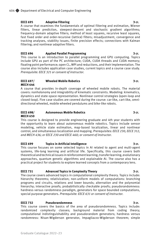### **EECE 695** Adaptive Filtering **3 cr.** A course that examines the fundamentals of optimal filtering and estimation, Wiener filters, linear prediction, steepest-descent and stochastic gradient algorithms; frequency-domain adaptive filters; method of least squares, recursive least squares, fast fixed order and order-recursive (lattice) filters; misadjustment, convergence and tracking analyses, stability issues, finite precision effects; connections with Kalman filtering; and nonlinear adaptive filters.

### **EECE 696 Applied Parallel Programming 3 cr.** This course is an introduction to parallel programming and GPU computing. Topics include GPU as part of the PC architecture; CUDA, CUDA threads and CUDA memory; floating point performance; open CL, MPI and reductions, and their implementation. The course also includes application case studies, current topics and a course case study. *Prerequisite: EECE 321 or consent of instructor.*

#### **EECE 697/ Wheeled Mobile Robotics 3 cr. MECH 646**

A course that provides in-depth coverage of wheeled mobile robots. The material covers: nonholonomy and integrability of kinematic constraints. Modeling: kinematics, dynamics and state-space representation. Nonlinear control strategies (open-loop and closed-loop). Five case studies are covered during the course: car-like, cart-like, omnidirectional wheeled, mobile wheeled pendulums and bike-like robots.

# **EECE 698/ Autonomous Mobile Robotics 3 cr. MECH 650**

This course is designed to provide engineering graduate and 4th year students with the opportunity to learn about autonomous mobile robotics. Topics include sensor modeling, vehicle state estimation, map-based localization, linear and nonlinear control, and simultaneous localization and mapping. *Prerequisites: EECE 230, EECE 312, and MECH 436; or EECE 230 and EECE 460; or consent of instructor.*

**EECE 699 Topics in Artificial Intelligence 3 cr.** This course focuses on some selected topics in AI related to agent and multi-agent systems, life-long learning and artificial life. Specifically, this course covers both theoretical and technical issues in reinforcement learning, transfer learning, evolutionary approaches, quantum genetic algorithms and explainable AI. The course also has a practical project for students to explore learned concepts from a contemporary lens.

# **EECE 731 Advanced Topics in Complexity Theory 3 cr.**

The course covers advanced topics in computational complexity theory. Topics include: hierarchy theorems; relativization; non-uniform models of computations: branching programs and circuits, relations and lower bounds; alternation and the polynomial hierarchy; interactive proofs; probabilistically checkable proofs; pseudorandomness: hardness versus randomness paradigm, generators for space bounded computations, special purpose generators. *Prerequisite: EECE 631 or consent of instructor.*

# **EECE 732 Pseudorandomness 3 cr.**

Graduate Catalogue 2022–23

This course covers the basics of the area of pseudorandomness. Topics include: randomized complexity classes; background material from coding theory; computational indistinguishability and pseudorandom generators; hardness versus randomness: Nisan-Wigderson generator, Impagliazzo-Wigderson theorem; simple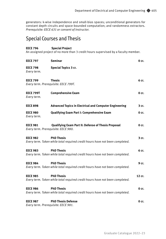generators: k-wise independence and small-bias spaces; unconditional generators for constant depth circuits and space-bounded computation; and randomness extractors. *Prerequisite: EECE 631 or consent of instructor.*

# Special Courses and Thesis

| <b>EECE 796</b>                 | <b>Special Project</b><br>An assigned project of no more than 3 credit hours supervised by a faculty member. |        |
|---------------------------------|--------------------------------------------------------------------------------------------------------------|--------|
| <b>EECE 797</b>                 | Seminar                                                                                                      | 0 cr.  |
| <b>EECE 798</b><br>Every term.  | Special Topics 3 cr.                                                                                         |        |
| <b>EECE 799</b>                 | <b>Thesis</b><br>Every term. Prerequisite: EECE 799T.                                                        | 6 cr.  |
| <b>EECE 799T</b><br>Every term. | <b>Comprehensive Exam</b>                                                                                    | 0 cr.  |
| <b>EECE 898</b>                 | <b>Advanced Topics in Electrical and Computer Engineering</b>                                                | 3 cr.  |
| <b>EECE 980</b><br>Every term.  | Qualifying Exam Part I: Comprehensive Exam                                                                   | 0 cr.  |
| <b>EECE 981</b>                 | Qualifying Exam Part II: Defense of Thesis Proposal<br>Every term. Prerequisite: EECE 980.                   | 0 cr.  |
| <b>EECE 982</b>                 | <b>PhD Thesis</b><br>Every term. Taken while total required credit hours have not been completed.            | 3 cr.  |
| <b>EECE 983</b>                 | <b>PhD Thesis</b><br>Every term. Taken while total required credit hours have not been completed.            | 6 cr.  |
| <b>EECE 984</b>                 | <b>PhD Thesis</b><br>Every term. Taken while total required credit hours have not been completed.            | 9 cr.  |
| <b>EECE 985</b>                 | <b>PhD Thesis</b><br>Every term. Taken while total required credit hours have not been completed.            | 12 cr. |
| <b>EECE 986</b>                 | <b>PhD Thesis</b><br>Every term. Taken while total required credit hours have not been completed.            | 0 cr.  |
| <b>EECE 987</b>                 | <b>PhD Thesis Defense</b><br>Every term. Prerequisite: EECE 981.                                             | 0 cr.  |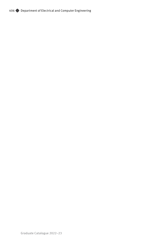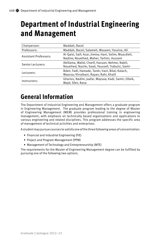# **Department of Industrial Engineering and Management**

| Chairperson:                 | Maddah, Bacel                                                                                     |
|------------------------------|---------------------------------------------------------------------------------------------------|
| Professors:                  | Maddah, Bacel; Salameh, Moueen; Yassine, Ali                                                      |
| <b>Assistant Professors:</b> | Al-Qaisi, Saif; Azar, Jimmy; Hani, Selim; Moacdieh,<br>Nadine; Noueihed, Maher; Tarhini, Hussein  |
| Senior Lecturers:            | Abillama, Walid; Charif, Hassan; Nehme, Nabil;<br>Noueihed, Nazim; Saad, Youssef; Trabulsi, Samir |
| Lecturers:                   | Bdeir, Fadl; Hamade, Tarek; Itani, Bilal; Kalach,<br>Mayssa; Khraibani, Rayan; Rahi, Khalil       |
| Instructors:                 | Gharios, Nadim; Jaafar, Maysaa; Kadi, Samir; Olleik,<br>Majd; Sfeir, Rana                         |

# **General Information**

The Department of Industrial Engineering and Management offers a graduate program in Engineering Management. The graduate program leading to the degree of Master of Engineering Management (MEM) provides professional training in engineering management, with emphasis on technically based organizations and applications to various engineering and related disciplines. This program addresses the specific area of management of technical activities and enterprises.

A student may pursue courses to satisfy one of the three following areas of concentration:

- Financial and Industrial Engineering (FIE)
- Project and Program Management (PPM)
- Management of Technology and Entrepreneurship (MTE)

The requirements for the Master of Engineering Management degree can be fulfilled by pursuing one of the following two options.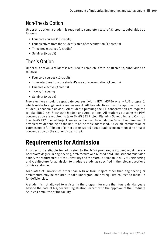# Non-Thesis Option

Under this option, a student is required to complete a total of 33 credits, subdivided as follows:

- Four core courses (12 credits)
- Four electives from the student's area of concentration (12 credits)
- Three free electives (9 credits)
- Seminar (0 credit)

# Thesis Option

Under this option, a student is required to complete a total of 30 credits, subdivided as follows:

- Four core courses (12 credits)
- Three electives from the student's area of concentration (9 credits)
- One free elective (3 credits)
- Thesis (6 credits)
- Seminar (0 credit)

Free electives should be graduate courses (within IEM, MSFEA or any AUB program), which relate to engineering management. All free electives must be approved by the student's academic advisor. All students pursuing the FIE concentration are required to take ENMG 623 Stochastic Models and Applications. All students pursuing the PPM concentration are required to take ENMG 632 Project Planning Scheduling and Control. The ENMG 797 Special Project course can be used to satisfy the 3-credit requirement of any elective depending on the nature of the topic addressed. A flexible combination of courses not in fulfillment of either option stated above leads to no mention of an area of concentration on the student's transcript.

# **Requirements for Admission**

In order to be eligible for admission to the MEM program, a student must have a bachelor's degree in engineering, architecture or a related field. The student must also satisfy the requirements of the university and the Maroun Semaan Faculty of Engineering and Architecture for admission to graduate study, as specified in the relevant sections of this catalogue.

Graduates of universities other than AUB or from majors other than engineering or architecture may be required to take undergraduate prerequisite courses to make up for deficiencies.

A student is not allowed to register in the program for more than four calendar years beyond the date of his/her first registration, except with the approval of the Graduate Studies Committee of the faculty.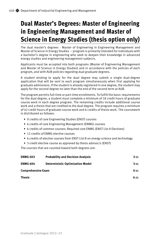# **Dual Master's Degrees: Master of Engineering in Engineering Management and Master of Science in Energy Studies (thesis option only)**

The dual master's degrees - Master of Engineering in Engineering Management and Master of Science in Energy Studies – program is primarily intended for individuals with a bachelor's degree in engineering who seek to deepen their knowledge in advanced energy studies and engineering management subjects.

Applicants must be accepted into both programs (Master of Engineering Management and Master of Science in Energy Studies) and in accordance with the policies of each program, and with AUB policies regarding dual graduate degrees.

A student wishing to apply for the dual degree may submit a single dual-degree application that will be sent to each program simultaneously when first applying for graduate admissions. If the student is already registered in one degree, the student may apply for the second degree no later than the end of the second term at AUB.

The program permits full-time or part-time enrollments. To fulfill the basic requirements for the dual degree, a student must complete a minimum of 18 credit hours of graduate course work in each degree program. The remaining credits include additional course work and a thesis that are credited to the dual degree. The program requires a minimum of 42 credit hours of graduate course work and 6 credits of thesis work. The coursework is distributed as follows:

- 9 credits of core Engineering Studies (ENST) courses
- 6 credits of core Engineering Management (ENMG) courses
- 6 credits of common courses: Required core ENMG (ENST List A Electives)
- 12 credits of ENMG elective courses
- 6 credits of elective courses from ENST List B on energy science and technology
- 3-credit elective course as approved by thesis advisor/s (ENST)

The courses that are counted toward both degrees are:

| <b>ENMG 603</b>           | <b>Probability and Decision Analysis</b> | 3 cr. |
|---------------------------|------------------------------------------|-------|
| <b>ENMG 604</b>           | <b>Deterministic Optimization Model</b>  | 3 cr. |
| <b>Comprehensive Exam</b> |                                          | 0 cr. |
| <b>Thesis</b>             |                                          | 6 cr. |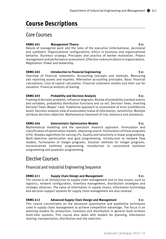# **Course Descriptions**

# Core Courses

## **ENMG 601 Management Theory 3 cr.**

Nature of managerial work and the roles of the executive (informational, decisional and symbolic). Organizational configurations. Ethics in business and organizational behavior. Business strategy. Principles and practice of worker motivation. Project management and performance assessment. Effective communications in organizations. Negotiation. Power and leadership.

## **ENMG 602 Introduction to Financial Engineering 3 cr.**

Overview of financial statements. Accounting concepts and methods. Measuring and reporting assets and equities. Alternative accounting principles. Basic financial calculations. Cost of capital calculation. Financial statement models and their use for valuation. Financial analysis of leasing.

## **ENMG 603 Probability and Decision Analysis 3 cr.**

Framing of decision problems. Influence diagrams. Review of probability (random events and variables, probability distribution functions and so on). Decision Trees. Inverting Decision Trees (Bayes' Law). Traditional approach to assessment of error (confidences level). Decision analysis view of assessment (value of information, sensitivity). Multiple attribute decision objective. Mathematical treatment of risk, tolerance and avoidance.

# **ENMG 604 Deterministic Optimization Models 3 cr.**

Mathematical modeling and the operation research approach. Formulation and classification of optimization models. Improving search. Formulation of linear programs (LPs). Simplex algorithms for solving LPs. Duality and sensitivity in linear programming. Multi-objective optimization and goal programming. Introduction to network flow models. Formulation of integer programs. Solution methods for integer programs. Unconstrained nonlinear programming. Introduction to constrained nonlinear programming and quadratic programming.

# Elective Courses

# Financial and Industrial Engineering Sequence

# **ENMG 611 Supply Chain Design and Management 3 cr.**

The course is an introduction to supply chain management and its key issues, such as logistics, network configuration, inventory management, distribution strategies and strategic alliances. The value of information in supply chains, information technology and decision support systems for supply chain management are also covered.

# **ENMG 612 Advanced Supply Chain Design and Management 3 cr.**

This course concentrates on the advanced quantitative and qualitative techniques used in supply chain management to achieve competitive advantage. The focus is on planning models for production, inventory and distribution in general multi-echelon multi-item systems. This course also deals with models for planning, information sharing, transportation, distribution and site selection.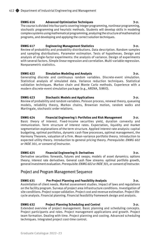## **ENMG 616 Advanced Optimization Techniques 3 cr.**

The course is divided into four parts covering integer programming, nonlinear programming, stochastic programming and heuristic methods. Students will develop skills in modeling complex systems using mathematical programming, analyzing the structure of mathematical programs, and developing and applying the correct solution techniques.

## **ENMG 617 Engineering Management Statistics 3 cr.**

Review of probability and probability distributions. Data description. Random samples and sampling distributions. Parameter estimation. Tests of hypotheses. Design and analysis of single-factor experiments: the analysis of variance. Design of experiments with several factors. Simple linear regression and correlation. Multi-variable regression. Nonparametric statistics.

#### **ENMG 622 Simulation Modeling and Analysis 3 cr.** Generating discrete and continuous random variables. Discrete-event simulation. Statistical analysis of simulated data. Variance reduction techniques. Statistical validation techniques. Markov chain and Monte Carlo methods. Experience with a modern discrete-event simulation package (e.g., ARENA, SIMIO).

# **ENMG 623 Stochastic Models and Applications 3 cr.**

Review of probability and random variables. Poisson process, renewal theory, queueing models, reliability theory, Markov chains, Brownian motion, random walks and Martingale, stochastic order relations.

**ENMG 624 Financial Engineering I: Portfolios and Risk Management 3 cr.** Basic theory of interest. Fixed-income securities yield, duration convexity and immunization. Term structure of interest rates. Expectation, liquidity and market segmentation explanations of the term structure. Applied interest rate analysis: capital budgeting, optimal portfolios, dynamic cash flow processes, optimal management, the Harmony Theorem, valuation of a firm. Mean-variance portfolio theory. Introduction to expected utility theory. Introduction to general pricing theory. *Prerequisite: ENMG 602 or INDE 301, or consent of instructor.*

#### **ENMG 625 Financial Engineering II: Derivatives 3 cr.** Derivative securities: forwards, futures and swaps; models of asset dynamics; options theory; interest rate derivatives. General cash flow streams: optimal portfolio growth, general investment evaluation. *Prerequisite: ENMG 602 or INDE 301, or consent of instructor.*

# Project and Program Management Sequence

# **ENMG 631 Pre-Project Planning and Feasibility Analysis 3 cr.**

Assimilation of client needs. Market assessment studies. Impact of laws and regulations on the facility program. Surveys of project area infrastructure conditions. Investigation of site conditions. Project scope validation. Project cost and revenue estimation. Project lifecycle analysis. Financial planning. Financial feasibility framework design and analysis.

# **ENMG 632 Project Planning Scheduling and Control 3 cr.**

Extended overview of project management. Basic planning and scheduling concepts. Project participants and roles. Project management applications and growth. Project team formation. Dealing with time. Project planning and costing. Advanced scheduling techniques. Integrated project cost-time control.

Graduate Catalogue 2022–23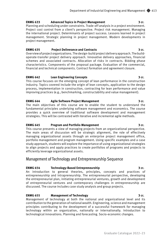# **ENMG 633 Advanced Topics in Project Management 3 cr.**

Planning and scheduling under constraints. Trade-off analysis in a project environment. Project cost control from a client's perspective. Project risk management. Managing the international project. Determinants of project success. Lessons learned in project management. Strategic planning in project management. Modern developments in project management.

## **ENMG 635 Project Deliverance and Contracts 3 cr.**

Overview of project organizations. The design-build project delivery approach. The buildoperate-transfer project delivery approach. Innovative delivery approaches, financial schemes and associated contracts. Allocation of risks in contracts. Bidding phase characteristics. Components of the proposal package. Evaluation of the commercial, financial and technical components. Contract formation and agreement closure.

### **ENMG 642 Lean Engineering Concepts 3 cr.**

This course focuses on the emerging concept of lean performance in the construction industry. Topics covered include the origin of lean concepts, application to the design process, implementation in construction, contracting for lean performance and value improving practices (e.g., benchmarking, constructability and value management).

## **ENMG 644 Agile Software Project Management 3 cr.**

The main objectives of this course are to enable the student to understand the fundamental principles underlying software management and economics. The course provides a quick overview of traditional software development and management strategies. This will be contrasted with iterative and incremental agile methods.

## **ENMG 645 Program and Portfolio Management 3 cr.**

This course presents a view of managing projects from an organizational perspective. The main areas of discussion will be strategic alignment, the role of effectively managing organizational assets through an enterprise project management office, portfolio management and program management. Using specific examples and a case study approach, students will explore the importance of using organizational strategies to align projects and apply practices to create portfolios of programs and projects to efficiently leverage organizational assets.

# Management of Technology and Entrepreneurship Sequence

## **ENMG 654 Technology-Based Entrepreneurship 3 cr.**

An introduction to general theories, principles, concepts and practices of entrepreneurship and intrapreneurship. The entrepreneurial perspective, developing the entrepreneurial plan, initiating entrepreneurial ventures, growth and development of entrepreneurial ventures and contemporary challenges in entrepreneurship are discussed. The course includes case study analysis and group projects.

## **ENMG 655** Management of Technology **3 cr.**

Management of technology at both the national and organizational level and its contribution to the generation of national wealth. Engineering, science and management principles contributing to the development of a successful framework for managing technology within an organization, nationally or internationally. Introduction to technological innovations. Planning and forecasting. Socio-economic changes.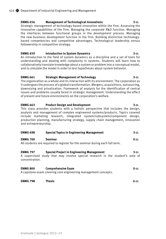## **ENMG 656 Management of Technological Innovations 3 cr.**

Strategic management of technology-based innovation within the firm. Assessing the innovative capabilities of the firm. Managing the corporate R&D function. Managing the interfaces between functional groups in the development process. Managing the new business development function in the firm. Building distinctive technologybased competencies and competitive advantages. Technological leadership versus followership in competitive strategy.

# **ENMG 659 Introduction to System Dynamics 3 cr.**

An introduction to the field of system dynamics as a discipline and a set of tools for understanding and dealing with complexity in systems. Students will learn how to collaboratively translate knowledge about a system or problem into a conceptual model, and to simulate the model in order to test hypotheses about system behavior.

### **ENMG 661 Strategic Management of Technology 3 cr.**

The organization as a whole and its interaction with its environment. The corporation as it undergoes the process of a global transformation. Mergers, acquisitions, outsourcing, downsizing and privatization. Framework of analysis for the identification of central issues and problems usually faced in strategic management. Understanding the effect of present and future environments on the corporation's welfare.

| <b>ENMG 663</b> |                       | <b>Product Design and Development</b> |                                                                                    |  | 3 cr. |
|-----------------|-----------------------|---------------------------------------|------------------------------------------------------------------------------------|--|-------|
|                 |                       |                                       | This class provides students with a holistic perspective that includes the design, |  |       |
|                 |                       |                                       | analysis and management of complex engineered systems/products. Topics covered     |  |       |
|                 |                       |                                       | include marketing research, integrated system/subsystem/component design,          |  |       |
|                 |                       |                                       | production planning, manufacturing strategy, supply chain management, innovation   |  |       |
|                 | and entrepreneurship. |                                       |                                                                                    |  |       |

| <b>ENMG 698</b>                   | <b>Special Topics in Engineering Management</b>                                                                                   | 3 cr. |
|-----------------------------------|-----------------------------------------------------------------------------------------------------------------------------------|-------|
| <b>ENMG 700</b>                   | Seminar<br>All students are required to register for the seminar during each fall term.                                           | 0 cr. |
| <b>ENMG 797</b><br>concentration. | <b>Special Project in Engineering Management</b><br>A supervised study that may involve special research in the student's area of | 3 cr. |
| <b>ENMG 800</b>                   | <b>Comprehensive Exam</b>                                                                                                         | 0 cr. |

A capstone exam covering core engineering management concepts.

**ENMG 798 Thesis 6 cr.**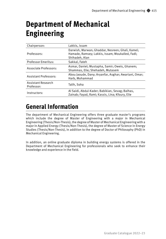# **Department of Mechanical Engineering**

| Chairperson:                     | Lakkis, Issam                                                                                                         |
|----------------------------------|-----------------------------------------------------------------------------------------------------------------------|
| Professors:                      | Darwish, Marwan; Ghaddar, Nesreen; Ghali, Kamel;<br>Hamade, Ramsey; Lakkis, Issam; Moukalled, Fadl;<br>Shihadeh, Alan |
| <b>Professor Emeritus:</b>       | Sakkal, Fateh                                                                                                         |
| Associate Professors:            | Asmar, Daniel; Mustapha, Samir; Oweis, Ghanem;<br>Shammas, Elie; Shehadeh, Mutasem                                    |
| <b>Assistant Professors:</b>     | Abou Jaoude, Dany; Aryanfar, Asghar; Awartani, Omar;<br>Harb, Mohammad                                                |
| Assistant Research<br>Professor: | Talih, Soha                                                                                                           |
| Instructors:                     | Al Saidi, Abdul-Kader; Babikian, Sevag; Balhas,<br>Zainab; Fayad, Rami; Kassis, Lina; Kfoury, Elie                    |

# **General Information**

The department of Mechanical Engineering offers three graduate master's programs which include the degree of Master of Engineering with a major in Mechanical Engineering (Thesis/Non-Thesis), the degree of Master of Mechanical Engineering with a major in Applied Energy (Thesis/Non-Thesis), the degree of Master of Science in Energy Studies (Thesis/Non-Thesis), in addition to the degree of Doctor of Philosophy (PhD) in Mechanical Engineering.

In addition, an online graduate diploma in building energy systems is offered in the Department of Mechanical Engineering for professionals who seek to enhance their knowledge and experience in the field.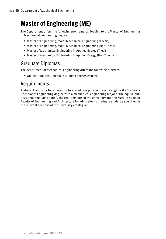# **Master of Engineering (ME)**

The Department offers the following programs, all leading to the Master of Engineering in Mechanical Engineering degree:

- Master of Engineering, major Mechanical Engineering (Thesis)
- Master of Engineering, major Mechanical Engineering (Non-Thesis)
- Master of Mechanical Engineering in Applied Energy (Thesis)
- Master of Mechanical Engineering in Applied Energy (Non-Thesis)

# Graduate Diplomas

The department of Mechanical Engineering offers the following program:

• Online Graduate Diploma in Building Energy Systems

## Requirements

A student applying for admission to a graduate program is only eligible if s/he has a Bachelor of Engineering degree with a mechanical engineering major or the equivalent. A student must also satisfy the requirements of the university and the Maroun Semaan Faculty of Engineering and Architecture for admission to graduate study, as specified in the relevant sections of the university catalogue.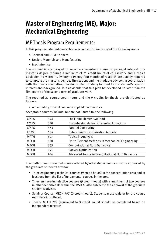# **Master of Engineering (ME), Major: Mechanical Engineering**

## ME Thesis Program Requirements:

In this program, students may choose a concentration in any of the following areas:

- Thermal and Fluid Sciences
- Design, Materials and Manufacturing
- Mechatronics

The student is encouraged to select a concentration area of personal interest. The master's degree requires a minimum of 21 credit hours of coursework and a thesis equivalent to 9 credits. Twenty to twenty-four months of research are usually required to complete the master's degree. The student and the graduate advisor, in coordination with the thesis committee, develop a plan of study tailored to the student's specific interest and background. It is advisable that this plan be developed no later than the first month of the second term of graduate work.

The required 21 course credit hours and the 9 credits for thesis are distributed as follows:

• A mandatory 3-credit course in applied mathematics

| <b>CMPS</b> | 354 | The Finite Element Method                        |
|-------------|-----|--------------------------------------------------|
| <b>CMPS</b> | 350 | Discrete Models for Differential Equations       |
| <b>CMPS</b> | 373 | <b>Parallel Computing</b>                        |
| ENMG        | 604 | Deterministic Optimization Models                |
| MATH        | 307 | <b>Topics in Analysis</b>                        |
| <b>MECH</b> | 630 | Finite Element Methods in Mechanical Engineering |
| <b>MECH</b> | 663 | <b>Computational Fluid Dynamics</b>              |
| <b>MECH</b> | 691 | Convex Optimization                              |
| <b>MECH</b> | 764 | Advanced Topics in Computational Fluid Dynamics  |

Acceptable courses include, but are not limited to, the following:

The math or math-oriented course offered by other departments must be approved by the graduate student's advisor.

- Three engineering technical courses (9 credit hours) in the concentration area and at least one from the list of fundamental courses in the area.
- Three engineering elective courses (9 credit hours) with a maximum of two courses in other departments within the MSFEA, also subject to the approval of the graduate student's advisor.
- Seminar Course: MECH 797 (0 credit hours). Students must register for the course each time it is offered.
- Thesis: MECH 799 (equivalent to 9 credit hours) should be completed based on independent research.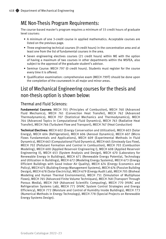# ME Non-Thesis Program Requirements:

The course-based master's program requires a minimum of 33 credit hours of graduate level courses:

- A minimum of one 3-credit course in applied mathematics. Acceptable courses are listed on the previous page.
- Three engineering technical courses (9 credit hours) in the concentration area and at least one from the list of fundamental courses in the area.
- Seven engineering electives courses (21 credit hours) within ME with the option of having a maximum of two courses in other departments within the MSFEA, also subject to the approval of the graduate student's advisor.
- Seminar Course: MECH 797 (0 credit hours). Students must register for the course every time it is offered.
- Qualification examination: comprehensive exam (MECH 799T) should be done upon the completion of the coursework in all major and minor areas.

## List of Mechanical Engineering courses for the thesis and non-thesis option is shown below:

### Thermal and Fluid Sciences:

**Fundamental Courses:** MECH 701 (Principles of Combustion), MECH 760 (Advanced Fluid Mechanics), MECH 761 (Convection Heat Transfer), MECH 762 (Advanced Thermodynamics), MECH 707 (Statistical Mechanics and Thermodynamics), MECH 764 (Advanced Topics in Computational Fluid Dynamics), MECH 763 (Radiative Heat Transfer), MECH 766 (Turbulent Flow and Transport), MECH 767 (Heat Conduction)

**Technical Electives:** MECH 602 (Energy Conservation and Utilization), MECH 603 (Solar Energy), MECH 604 (Refrigeration), MECH 606 (Aerosol Dynamics), MECH 607 (Micro Flows Fundamentals and Applications), MECH 609 (Experimental Methods in Fluid Dynamics), MECH 663 (Computational Fluid Dynamics), MECH 665 (Unsteady Gas Flow), MECH 702 (Pollutant Formation and Control in Combustion), MECH 703 (Combustion Modeling), MECH 600 (Applied Reservoir Engineering I), MECH 608 (Applied Reservoir Engineering II), MECH 653 (System Analysis and Design), MECH 670 (Laboratory for Renewable Energy in Buildings), MECH 671 (Renewable Energy Potential, Technology and Utilization in Buildings), MECH 672 (Modeling Energy Systems), MECH 673 (Energy Efficient Buildings with Good Indoor Air Quality), MECH 674 (Energy Economics and Policy), MECH 675 (Building Energy Management Systems), MECH 676 (Passive Building Design), MECH 678 (Solar Electricity), MECH 679 (Energy Audit Lab), MECH 705 (Bioheat Modeling and Human Thermal Environments), MECH 751 (Simulation of Multiphase Flows), MECH 765 (Advanced Finite Volume Techniques), MECH 768 (Transport Through Porous Media), MECH 769 (Advanced Scientific Computing), MECH 770 (HVAC and Refrigeration Systems Lab), MECH 771 (HVAC System Control Strategies and Energy Efficiency), MECH 772 (Moisture and Control of Humidity Inside Buildings), MECH 773 (Numerical Methods in Energy Technology), MECH 778 (Special Projects on Renewable Energy Systems Design).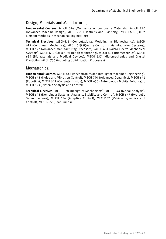### Design, Materials and Manufacturing:

**Fundamental Courses:** MECH 624 (Mechanics of Composite Materials), MECH 720 (Advanced Machine Design), MECH 721 (Elasticity and Plasticity), MECH 630 (Finite Element Methods in Mechanical Engineering)

**Technical Electives:** MECH611 (Computational Modeling in Biomechanics), MECH 615 (Continuum Mechanics), MECH 619 (Quality Control in Manufacturing Systems), MECH 622 (Advanced Manufacturing Processes), MECH 631 (Micro Electro Mechanical Systems), MECH 632 (Structural Health Monitoring), MECH 633 (Biomechanics), MECH 634 (Biomaterials and Medical Devices), MECH 637 (Micromechanics and Crystal Plasticity), MECH 736 (Modeling Solidification Processes)

### Mechatronics:

**Fundamental Courses:** MECH 643 (Mechatronics and Intelligent Machines Engineering), MECH 645 (Noise and Vibration Control), MECH 740 (Advanced Dynamics), MECH 641 (Robotics), MECH 642 (Computer Vision), MECH 650 (Autonomous Mobile Robotics), , MECH 653 (Systems Analysis and Control)

**Technical Electives**: MECH 628 (Design of Mechanisms), MECH 644 (Modal Analysis), MECH 648 (Non-Linear Systems: Analysis, Stability and Control), MECH 647 (Hydraulic Servo Systems), MECH 654 (Adaptive Control), MECH657 (Vehicle Dynamics and Control), MECH 677 (Heat Pumps)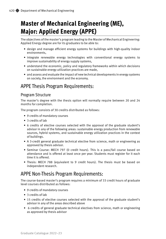# **Master of Mechanical Engineering (ME), Major: Applied Energy (APPE)**

The objectives of the master's program leading to the Master of Mechanical Engineering: Applied Energy degree are for its graduates to be able to:

- design and manage efficient energy systems for buildings with high-quality indoor environments,
- integrate renewable energy technologies with conventional energy systems to improve sustainability of energy supply systems,
- understand the economic, policy and regulatory frameworks within which decisions on sustainable energy utilization practices are made,
- and assess and evaluate the impact of new technical developments in energy systems on society, the environment and the economy.

## APPE Thesis Program Requirements:

### Program Structure

The master's degree with the thesis option will normally require between 20 and 24 months for completion.

The program consists of 30 credits distributed as follows:

- 9 credits of mandatory courses
- 3 credits of lab
- 6 credits of elective courses selected with the approval of the graduate student's advisor in any of the following areas: sustainable energy production from renewable sources, hybrid systems, and sustainable energy utilization practices in the context of buildings.
- A 3-credit general graduate technical elective from science, math or engineering as approved by thesis advisor.
- Seminar Course: MECH 797 (0 credit hours). This is a pass/fail course based on attendance and is offered at least once per year. Students must register for it each time it is offered.
- Thesis: MECH 788 (equivalent to 9 credit hours). The thesis must be based on independent research.

## APPE Non-Thesis Program Requirements:

The course-based master's program requires a minimum of 33 credit hours of graduate level courses distributed as follows:

- 9 credits of mandatory courses
- 3 credits of lab
- 15 credits of elective courses selected with the approval of the graduate student's advisor in any of the areas described above
- 6 credits of general graduate technical electives from science, math or engineering as approved by thesis advisor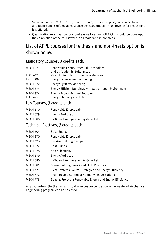- Seminar Course: MECH 797 (0 credit hours). This is a pass/fail course based on attendance and is offered at least once per year. Students must register for it each time it is offered.
- Qualification examination: Comprehensive Exam (MECH 799T) should be done upon the completion of the coursework in all major and minor areas

# List of APPE courses for the thesis and non-thesis option is shown below:

### Mandatory Courses, 3 credits each:

| <b>MECH 671</b>                    | Renewable Energy Potential, Technology<br>and Utilization in Buildings, or |
|------------------------------------|----------------------------------------------------------------------------|
| <b>EECE 675</b>                    | PV and Wind Electric Energy Systems or                                     |
| <b>ENST 300</b>                    | <b>Energy Science and Technology</b>                                       |
| <b>MECH 672</b>                    | <b>Energy Systems Modeling</b>                                             |
| <b>MECH 673</b>                    | Energy Efficient Buildings with Good Indoor Environment                    |
| <b>MECH 674</b><br><b>EECE 672</b> | Energy Economics and Policy or<br><b>Energy Planning and Policy</b>        |

### Lab Courses, 3 credits each:

| <b>MECH 670</b> | Renewable Energy Lab |
|-----------------|----------------------|
|-----------------|----------------------|

- MECH 679 Energy Audit Lab
- MECH 680 HVAC and Refrigeration Systems Lab

### Technical Electives, 3 credits each:

- MECH 603 Solar Energy
- MECH 670 Renewable Energy Lab
- MECH 676 Passive Building Design
- MECH 677 Heat Pumps
- MECH 678 Solar Electricity
- MECH 679 Energy Audit Lab
- MECH 680 HVAC and Refrigeration Systems Lab
- MECH 681 Green Building Basics and LEED Practices
- MECH 771 HVAC Systems Control Strategies and Energy Efficiency
- MECH 772 Moisture and Control of Humidity Inside Buildings
- MECH 778 Special Project in Renewable Energy and Energy Efficiency

Any course from the thermal and fluid sciences concentration in the Master of Mechanical Engineering program can be selected.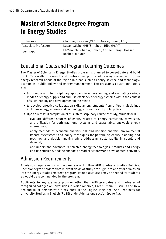# **Master of Science Degree Program in Energy Studies**

| Professors:                                                       | Ghaddar, Nesreen (MECH); Karaki, Sami (EECE)                           |
|-------------------------------------------------------------------|------------------------------------------------------------------------|
| Kazan, Michel (PHYS); Khodr, Hiba (PSPA)<br>Associate Professors: |                                                                        |
| Lecturers:                                                        | El-Meouchi, Chadia; Habchi, Carine; Haraili, Hassan;<br>Rached, Mounir |

## Educational Goals and Program Learning Outcomes

The Master of Science in Energy Studies program is planned to consolidate and build on AUB's excellent research and professional profile addressing current and future energy research needs of the region in areas such as energy science and technology, economics, public policy and energy management. The program's educational goals are:

- to promote an interdisciplinary approach to understanding and evaluating various modes of energy supply and end-use efficiency of energy systems within the context of sustainability and development in the region
- to develop effective collaboration skills among students from different disciplines including energy science and technology, economics and public policy
- Upon successful completion of this interdisciplinary course of study, students will:
	- evaluate different sources of energy related to energy extraction, conversion, and utilization for both traditional systems and sustainable/renewable energy alternatives,
	- apply methods of economic analysis, risk and decision analysis, environmental impact assessment and policy techniques for performing energy planning and reaching, and decision-making while addressing sustainability in supply and demand,
	- and understand advances in selected energy technologies, products and energy end-use efficiency and their impact on market economy and development activities.

## Admission Requirements

Admission requirements to the program will follow AUB Graduate Studies Policies. Bachelor degree holders from relevant fields of study are eligible to apply for admission into the Energy Studies master's program. Remedial courses may be needed for students as would be recommended by the program.

Applicants to any graduate program other than AUB graduates and graduates of recognized colleges or universities in North America, Great Britain, Australia and New Zealand must demonstrate proficiency in the English language. See Readiness for University Studies in English (RUSE) under Admissions section (page 41).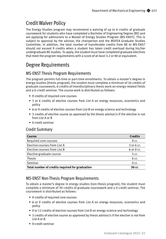# Credit Waiver Policy

The Energy Studies program may recommend a waiving of up to 6 credits of graduate coursework for students who have completed a Bachelor of Engineering Degree (BE) and are applying for admissions to a Master of Energy Studies Program (MS-ENST). This is subject to approval by the advisor, the chairperson and the MSFEA Graduate Studies Committee. In addition, the total number of transferable credits from BE to MS-ENST should not exceed 9 credits when a student has taken credit overload during his/her undergraduate BE studies. To apply, the student must have completed graduate electives that meet the program requirements with a score of at least 3.2 or 80 or equivalent.

# Degree Requirements

## MS-ENST Thesis Program Requirements

The program permits full-time or part-time enrollments. To obtain a master's degree in energy studies (thesis program), the student must complete a minimum of 24 credits of graduate coursework, 6 credits of interdisciplinary thesis work on energy-related fields and a 0-credit seminar. The course work is distributed as follows:

- 9 credits of required core courses
- 3 or 6 credits of elective courses from List A on energy resources, economics and policy
- 6 or 9 credits of elective courses from List B on energy science and technology
- 3 credits of elective course as approved by the thesis advisor/s if the elective is not from List A or B
- 0 credit seminar

### Credit Summary

| Course                                          | <b>Credits</b> |
|-------------------------------------------------|----------------|
| Required core courses                           | 9 cr.          |
| Elective courses from List A                    | 3 or 6 cr.     |
| Elective courses from List B                    | 6 or 9 cr.     |
| Elective graduate course                        | 3 cr.          |
| Thesis                                          | 6 cr.          |
| Seminar                                         | 0 cr.          |
| Total number of credits required for graduation | 30 cr.         |

### MS-ENST Non-Thesis Program Requirements

To obtain a master's degree in energy studies (non-thesis program), the student must complete a minimum of 30 credits of graduate coursework and a 0-credit seminar. The coursework is distributed as follows:

- 9 credits of required core courses
- 6 or 9 credits of elective courses from List A on energy resources, economics and policy
- 9 or 12 credits of elective courses from List B on energy science and technology
- 3 credits of elective course as approved by thesis advisor/s if the elective is not from List A or B
- 0-credit seminar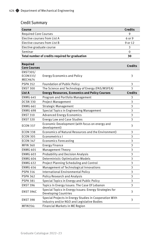## Credit Summary

| Course                                 |                                                                                                      | <b>Credits</b> |
|----------------------------------------|------------------------------------------------------------------------------------------------------|----------------|
| <b>Required Core Courses</b>           |                                                                                                      | 9              |
| Elective courses from List A           |                                                                                                      | 6 or 9         |
| Elective courses from List B           |                                                                                                      | 9 or 12        |
| Elective graduate course               |                                                                                                      | 3              |
| Seminar                                |                                                                                                      | 0              |
|                                        | Total number of credits required for graduation                                                      | 30             |
|                                        |                                                                                                      |                |
| Required<br><b>Core Courses</b>        |                                                                                                      | <b>Credits</b> |
| <b>ENST305/</b><br>ECON333/<br>MECH674 | Energy Economics and Policy                                                                          | 3              |
| <b>PSPA 352</b>                        | <b>Foundation of Public Policy</b>                                                                   | 3              |
| <b>ENST 300</b>                        | The Science and Technology of Energy (FAS/MSFEA)                                                     | 3              |
| List A                                 | <b>Energy Resources, Economics and Policy Courses</b>                                                | <b>Credits</b> |
| <b>ENMG 645</b>                        | Program and Portfolio Management                                                                     | 3              |
| <b>DCSN 330</b>                        | <b>Project Management</b>                                                                            | 3              |
| <b>ENMG 661</b>                        | Strategic Management                                                                                 | 3              |
| <b>ENMG 698</b>                        | Special Topics in Engineering Management                                                             | 3              |
| <b>ENST 310</b>                        | <b>Advanced Energy Economics</b>                                                                     | 3              |
| <b>ENST 320</b>                        | <b>Energy Law and Case Studies</b>                                                                   | 3              |
| <b>ECON 337</b>                        | Economic Development (with focus on energy and<br>development)                                       | 3              |
| ECON 338                               | Economics of Natural Resources and the Environment)                                                  | 3              |
| <b>ECON 305</b>                        | Econometrics I                                                                                       | 3              |
| <b>ECON 347</b>                        | <b>Economics Forecasting</b>                                                                         | 3              |
| <b>MFIN 360</b>                        | <b>Energy Finance</b>                                                                                | 3              |
| <b>ENMG 601</b>                        | <b>Management Theory</b>                                                                             | 3              |
| <b>ENMG 603</b>                        | <b>Probability and Decision Analysis</b>                                                             | 3              |
| <b>ENMG 604</b>                        | <b>Deterministic Optimization Models</b>                                                             | 3              |
| <b>ENMG 632</b>                        | Project Planning Scheduling and Control                                                              | 3              |
| <b>ENMG 656</b>                        | Management of Technological Innovations                                                              | 3              |
| <b>PSPA 316</b>                        | International Environmental Policy                                                                   | 3              |
| <b>PSPA 362</b>                        | <b>Policy Research and Analysis</b>                                                                  | 3              |
| <b>PSPA 381</b>                        | Special Topics in Energy and Public Policy                                                           | 3              |
| <b>ENST 396</b>                        | Topics In Energy Issues: The Case Of Lebanon                                                         | 3              |
| <b>ENST 396C</b>                       | Special Topics in Energy Issues: Energy Strategies for<br>Developing Countries                       | 3              |
| <b>ENST 398</b>                        | Special Projects in Energy Studies in Cooperation With<br>Industry and/or NGO and Legislative Bodies | 3              |
| <b>MFIN356:</b>                        | Financial Markets in ME Region                                                                       |                |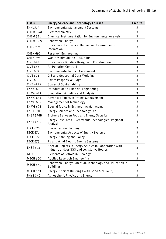| List B           | <b>Energy Science and Technology Courses</b>                                                         | <b>Credits</b>          |
|------------------|------------------------------------------------------------------------------------------------------|-------------------------|
| <b>ENHL314</b>   | <b>Environmental Management Systems</b>                                                              | 3                       |
| CHEM 324E        | Electrochemistry                                                                                     | 3                       |
| <b>CHEM 331</b>  | Chemical Instrumentation for Environmental Analysis                                                  | 3                       |
| CHEM 352C        | Renewable Energy                                                                                     | 3                       |
| <b>CHEN619</b>   | Sustainability Science: Human and Environmental<br>Interaction                                       | 3                       |
| <b>CHEN 690</b>  | Reservoir Engineering                                                                                | 3                       |
| CHEN 798A        | Waste Minimi.in the Proc. Indus                                                                      | 3                       |
| <b>CIVE 628</b>  | Sustainable Building Design and Construction                                                         | $\overline{\mathbf{3}}$ |
| <b>CIVE 656</b>  | Air Pollution Control I                                                                              | 3                       |
| <b>CIVE 659</b>  | <b>Environmental Impact Assessment</b>                                                               | 3                       |
| <b>CIVE 601</b>  | GIS and Geospatial Data Modeling                                                                     | 3                       |
| <b>CIVE 686</b>  | <b>Enviro Responsive Bldgs</b>                                                                       | 3                       |
| <b>CIVE 691A</b> | <b>Scales of Sustainability</b>                                                                      | 3                       |
| <b>ENMG 602</b>  | Introduction to Financial Engineering                                                                | 3                       |
| <b>ENMG 622</b>  | Simulation Modeling and Analysis                                                                     | 3                       |
| <b>ENMG 633</b>  | Advanced Topics in Project Management                                                                | 3                       |
| <b>ENMG 655</b>  | Management of Technology                                                                             | 3                       |
| <b>ENMG 698</b>  | Special Topics in Engineering Management                                                             | 3                       |
| <b>ENST 330</b>  | <b>Energy Science and Technology Lab</b>                                                             | 3                       |
| <b>ENST 396B</b> | <b>Biofuels Between Food and Energy Security</b>                                                     | 3                       |
| ENST396D         | Energy Resources & Renewable Technologies: Regional<br>Analysis                                      | 3                       |
| <b>EECE 670</b>  | Power System Planning                                                                                | 3                       |
| <b>EECE 671</b>  | <b>Environmental Aspects of Energy Systems</b>                                                       | 3                       |
| <b>EECE 672</b>  | <b>Energy Planning and Policy</b>                                                                    | 3                       |
| <b>EECE 675</b>  | PV and Wind Electric Energy Systems                                                                  | 3                       |
| <b>ENST 398</b>  | Special Projects in Energy Studies in Cooperation with<br>Industry and/or NGO and Legislative Bodies | 3                       |
| <b>GEOL 300</b>  | <b>Elements of Petroleum Geology</b>                                                                 | 3                       |
| <b>MECH 600</b>  | Applied Reservoir Engineering I                                                                      | 3                       |
| <b>MECH 671</b>  | Renewable Energy Potential, Technology and Utilization in<br><b>Buildings</b>                        | 3                       |
| <b>MECH 673</b>  | Energy Efficient Buildings With Good Air Quality                                                     | 3                       |
| <b>PHYS 340</b>  | Atmospheric Physics and Energy                                                                       | $\overline{\mathbf{3}}$ |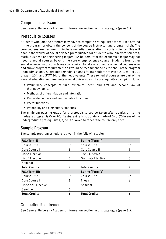### Comprehensive Exam

See General University Academic Information section in this catalogue (page 51).

### Prerequisite Courses

Students who join the program may have to complete prerequisites for courses offered in the program or obtain the consent of the course instructor and program chair. The core courses are designed to include remedial preparation in social science. This will enable the waiver of social science prerequisites for students who join from sciences, math, business or engineering majors. BA holders from the economics major may not need remedial courses beyond the core energy science course. Students from other social science majors or arts may be required to take one or more remedial courses over and above program requirements as would be recommended by the chair of the program upon admissions. Suggested remedial courses for BA holders are PHYS 210, MATH 201 or Math 204, and STAT 201 or their equivalents. These remedial courses are part of the general education requirements of most universities. The prerequisites by topic include:

- Preliminary concepts of fluid dynamics, heat, and first and second law of thermodynamics
- Methods of differentiation and integration
- Partial derivatives and multivariable functions
- Vector functions
- Probability and elementary statistics

The minimum passing grade for a prerequisite course taken after admission to the graduate program is C+ or 70. If a student fails to obtain a grade of C+ or 70 in any of the undergraduate prerequisites, s/he is allowed to repeat the course only once.

### Sample Program

The sample program schedule is given in the following table:

| Fall (Term I)        |          | Spring (Term II)     |     |
|----------------------|----------|----------------------|-----|
| Course Title         | Cr.      | Course Title         | Cr. |
| Core Course I        | 3        | Core Course II       | 3   |
| List A Elective      | 3        | List B Elective      | 3   |
| List B Elective      | 3        | Graduate Elective    | 3   |
| Seminar              | $\Omega$ |                      |     |
| <b>Total Credits</b> | 9        | <b>Total Credits</b> | 9   |
| Fall (Term III)      |          | Spring (Term IV)     |     |
| Course Title         | Cr.      | Course Title         | Cr. |
| Core Course III      | 3        | Thesis               | 6   |
| List A or B Elective | 3        | Seminar              | 0   |
| Seminar              | $\Omega$ |                      |     |
| <b>Total Credits</b> | 6        | <b>Total Credits</b> | 6   |

### Graduation Requirements

See General University Academic Information section in this catalogue (page 51).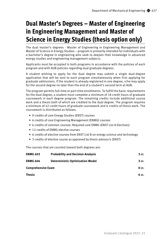# **Dual Master's Degrees – Master of Engineering in Engineering Management and Master of Science in Energy Studies (thesis option only)**

The dual master's degrees - Master of Engineering in Engineering Management and Master of Science in Energy Studies – program is primarily intended for individuals with a bachelor's degree in engineering who seek to deepen their knowledge in advanced energy studies and engineering management subjects.

Applicants must be accepted in both programs in accordance with the policies of each program and with AUB policies regarding dual graduate degrees.

A student wishing to apply for the dual degree may submit a single dual-degree application that will be sent to each program simultaneously when first applying for graduate admissions. If the student is already registered in one degree, s/he may apply for the second degree no later than the end of a student's second term at AUB.

The program permits full-time or part-time enrollments. To fulfill the basic requirements for the dual degree, a student must complete a minimum of 18 credit hours of graduate coursework in each degree program. The remaining credits include additional course work and a thesis both of which are credited to the dual degree. The program requires a minimum of 42 credit hours of graduate coursework and 6 credits of thesis work. The coursework is distributed as follows:

- 9 credits of core Energy Studies (ENST) courses
- 6 credits of core Engineering Management (ENMG) courses
- 6 credits of common courses: Required core ENMG (ENST List A Electives)
- 12 credits of ENMG elective courses
- 6 credits of elective courses from ENST List B on energy science and technology
- 3 credits of elective course as approved by thesis advisor/s (ENST)

The courses that are counted toward both degrees are:

| <b>ENMG 603</b>           | <b>Probability and Decision Analysis</b> | 3 cr. |
|---------------------------|------------------------------------------|-------|
| <b>ENMG 604</b>           | <b>Deterministic Optimization Model</b>  | 3 cr. |
| <b>Comprehensive Exam</b> |                                          | 0 cr. |
| Thesis                    |                                          | 6 cr. |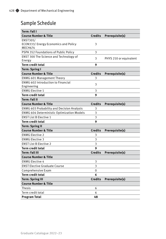# Sample Schedule

| <b>Term: Fall I</b>                                                |                |                        |
|--------------------------------------------------------------------|----------------|------------------------|
| <b>Course Number &amp; Title</b>                                   | <b>Credits</b> | Prerequisite(s)        |
| <b>ENST305/</b><br>ECON333/ Energy Economics and Policy<br>MECH674 | 3              |                        |
| PSPA 352 Foundations of Public Policy                              | 3              |                        |
| <b>ENST 300 The Science and Technology of</b><br>Energy            | 3              | PHYS 210 or equivalent |
| <b>Term credit total</b>                                           | 9              |                        |
| <b>Term: Spring I</b>                                              |                |                        |
| <b>Course Number &amp; Title</b>                                   | <b>Credits</b> | Prerequisite(s)        |
| <b>ENMG 601 Management Theory</b>                                  | 3              |                        |
| <b>ENMG 602 Introduction to Financial</b><br>Engineering           | 3              |                        |
| <b>ENMG Elective 1</b>                                             | 3              |                        |
| <b>Term credit total</b>                                           | 9              |                        |
| <b>Term: Fall II</b>                                               |                |                        |
| <b>Course Number &amp; Title</b>                                   | <b>Credits</b> | Prerequisite(s)        |
| ENMG 603 Probability and Decision Analysis                         | 3              |                        |
| <b>ENMG 604 Deterministic Optimization Models</b>                  | 3              |                        |
| <b>ENST List B Elective 1</b>                                      | 3              |                        |
| <b>Term credit total</b>                                           | 9              |                        |
| <b>Term: Spring II</b>                                             |                |                        |
| <b>Course Number &amp; Title</b>                                   | <b>Credits</b> | Prerequisite(s)        |
| <b>ENMG Elective 2</b>                                             | 3              |                        |
| <b>ENMG Elective 3</b>                                             | 3              |                        |
| <b>ENST List B Elective 2</b>                                      | 3              |                        |
| <b>Term credit total</b>                                           | 9              |                        |
| <b>Term: Fall III</b>                                              | <b>Credits</b> | Prerequisite(s)        |
| <b>Course Number &amp; Title</b>                                   |                |                        |
| <b>ENMG Elective 4</b>                                             | 3              |                        |
| <b>ENST Elective Graduate Course</b>                               | 3              |                        |
| Comprehensive Exam                                                 | 0              |                        |
| <b>Term credit total</b>                                           | 6              |                        |
| <b>Term: Spring III</b>                                            | <b>Credits</b> | Prerequisite(s)        |
| <b>Course Number &amp; Title</b>                                   |                |                        |
| <b>Thesis</b>                                                      | 6              |                        |
| Term credit total                                                  | 6              |                        |
| Program Total                                                      | 48             |                        |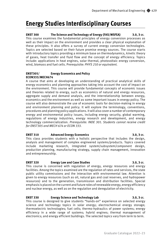# **Energy Studies Interdisciplinary Courses**

**ENST 300 The Science and Technology of Energy (FAS/MSFEA) 3.0, 3 cr.** This course examines the fundamental principles of energy conversion processes as well as their impact on the environment and provides a clear physical explanation of these principles. It also offers a survey of current energy conversion technologies. Topics are selected based on their future promise energy sources. The course starts with introductory topics providing a minimum base on thermodynamics, kinetic theory of gases, heat transfer and fluid flow and the concept of energy efficiency. Topics include: applications in heat engines, solar thermal, photovoltaic energy conversion, wind, biomass and fuel cells. Prerequisite: *PHYS 210 or equivalent.*

#### **ENST305/ Energy Economics and Policy ECON333/MECH674**

A course that aims at developing an understanding of practical analytical skills of energy economics and planning approaches taking into account the cost of impact on the environment. This course will provide fundamental concepts of economic issues and theories related to energy, such as economics of natural and energy resources, aggregate supply and demand analysis, and the interrelationship between energy, economics and the environment as well as some important issues in energy policy. The course will also demonstrate the use of economic tools for decision-making in energy and environment planning and policy. It will explore the terminology, conventions, procedures and planning policy applications. It will also cover a number of contemporary energy and environmental policy issues, including energy security, global warming, regulations of energy industries, energy research and development, and energy technology commercialization. *Prerequisite: INDE 301. Students cannot receive credit for ENST305 and MECH 674 or ECON 333.*

### **ENST 310 Advanced Energy Economics 3.0, 3 cr.**

This class provides students with a holistic perspective that includes the design, analysis and management of complex engineered systems/products. Topics covered include marketing research, integrated system/subsystem/component design, production planning, manufacturing strategy, supply chain management, innovation and entrepreneurship.

### **ENST 320 Energy Law and Case Studies 3.0, 3 cr.**

This course is concerned with regulation of energy, energy resources and energy facilities. Among the topics examined are the regulation of rates and services, the state public utility commissions and the interaction with environmental law. Attention is given to energy resources (such as oil, natural gas and coal reserves, and hydropower resources) and to the generation, transmission and distribution facilities. Special emphasis is placed on the current and future roles of renewable energy, energy efficiency and nuclear energy, as well as on the regulation and deregulation of electricity.

### **ENST 330 Energy Science and Technology Lab 3.0, 3 cr.**

This course is designed to give students "hands-on" experience on selected energy science and technology topics in solar energy; electrochemical energy storage; thermoelectric technologies; fuel cells; thermo-hydraulics of power systems; energy efficiency in a wide range of systems; hybrid engines; thermal management of electronics; and energy efficient buildings. The selected topics vary from term to term.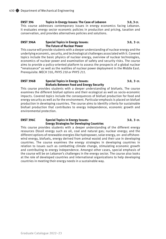#### **ENST 396 Topics in Energy Issues: The Case of Lebanon 3.0, 3 cr.** This course addresses contemporary issues in energy economics facing Lebanon. It evaluates energy sector economic policies in production and pricing, taxation and conservation, and provides alternatives policies and solutions.

#### **ENST 396A Special Topics in Energy Issues: 3.0, 3 cr. The Future of Nuclear Power**

This course will provide students with a deeper understanding of nuclear energy and the underlying economic, security, and technological challenges associated with it. Covered topics include the basic physics of nuclear energy, overview of nuclear technologies, economics of nuclear power and examination of safety and security risks. The course aims to provide a policy-oriented platform to assess the prospects of a global nuclear "renaissance" as well as the realities of nuclear power deployment in the Middle East. Prerequisite: MECH 310, *PHYS 210 or PHYS 211.*

### **ENST 396B Special Topics in Energy Issues: 3.0, 3 cr. Biofuels Between Food and Energy Security**

This course provides students with a deeper understanding of biofuels. The course examines the different biofuel options and their ecological as well as socio-economic impacts. Covered topics include the consequences of biofuel production for food and energy security as well as for the environment. Particular emphasis is placed on biofuel production in developing countries. The course aims to identify criteria for sustainable biofuel production that contributes to energy independence, economic growth and environmental protection.

#### **ENST 396C Special Topics in Energy Issues: 3.0, 3 cr. Energy Strategies for Developing Countries**

This course provides students with a deeper understanding of the different energy resources (fossil energy such as oil, coal and natural gas; nuclear energy; and the different options of renewable energies like hydropower, solar energy, on- and offshorewind energy, biofuels, energy derived from animal waste) and their use in developing countries. The course examines the energy strategies in developing countries in relation to issues such as combatting climate change, stimulating economic growth and contributing to energy independence. Amongst other cases, special emphasis of the course will be on Lebanon's challenges in the energy sector. The course also looks at the role of developed countries and international organizations to help developing countries in meeting their energy needs in a sustainable way.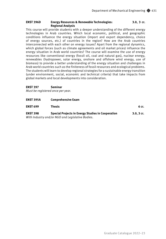#### **ENST 396D Energy Resources & Renewable Technologies: 3.0, 3 cr. Regional Analysis**

This course will provide students with a deeper understanding of the different energy technologies in Arab countries. Which local economic, political, and geographic conditions influence the energy situation (import and export dependency, choice of energy sources, etc.) of countries in the region? How are the Arab countries interconnected with each other on energy issues? Apart from the regional dynamics, which global forces (such as climate agreements and oil market prices) influence the energy situation in Arab world countries? The course will examine the use of energy resources like conventional energy (fossil oil, coal and natural gas), nuclear energy, renewables (hydropower, solar energy, onshore and offshore wind energy, use of biomass) to provide a better understanding of the energy situation and challenges in Arab world countries such as the finiteness of fossil resources and ecological problems. The students will learn to develop regional strategies for a sustainable energy transition (under environment, social, economic and technical criteria) that take impacts from global markets and local developments into consideration.

**ENST 397 Seminar**

*Must be registered once per year.*

| <b>ENST 395A</b> | <b>Comprehensive Exam</b>                                                                             |             |
|------------------|-------------------------------------------------------------------------------------------------------|-------------|
| <b>ENST 699</b>  | Thesis                                                                                                | 6 cr.       |
| <b>ENST 398</b>  | Special Projects in Energy Studies in Cooperation<br>With Industry and/or NGO and Legislative Bodies. | $3.0.3$ cr. |
|                  |                                                                                                       |             |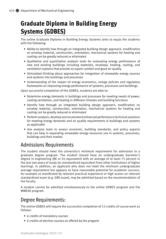# **Graduate Diploma in Building Energy Systems (GDBES)**

The online Graduate Diploma in Building Energy Systems aims to equip the students with the following:

- Ability to identify how through an integrated building design approach, modification on envelop material, construction, orientation, mechanical systems for heating and cooling can be greatly reduced or eliminated
- Qualitative and quantitative analysis tools for evaluating energy performance of new and existing buildings including materials, envelope, heating, cooling, and ventilation systems that provide occupant comfort and good air quality
- Stimulated thinking about approaches for integration of renewable energy sources and systems into buildings and processes
- Understanding of the impact of energy economics, energy policies and regulatory frameworks on improving energy performance of systems, processes and buildings.

Upon successful completion of the GDBES, students are able to:

- Determine energy demands in buildings and processes for meeting needs of power, cooling ventilation, and heating in different climates and building functions
- Identify how through an integrated building design approach, modification on envelop material, construction, orientation, mechanical systems for heating and cooling can be greatly reduced or eliminated
- Perform analysis, develop and recommend enhanced performance technical solutions for meeting energy demands and air quality requirements in buildings and systems as applicable
- Use analysis tools to assess economic, building standards, and policy aspects that can help in expanding renewable energy resources use in systems, processes, buildings and their market.

# Admissions Requirements

The student should meet the university's minimum requirement for admission to a graduate degree program. The student should have an undergraduate bachelor's degree in engineering (BE or its equivalent) with an average of at least 75 percent in the last two years of study (or standardized equivalent from other institutions of higher learning). In addition, an applicant who does not meet the minimum undergraduate average requirement but appears to have reasonable potential for academic success, for example as manifested by relevant practical experience or high scores on relevant standardized exam (e.g. GRE exam), may be admitted based on the recommendation of the faculty.

A student cannot be admitted simultaneously to the online GDBES program and the MMEAE program.

# Degree Requirements:

The online GDBES will require the successful completion of 12 credits of course work as follows:

- 6 credits of mandatory courses
- 6 credits of elective courses as offered by the program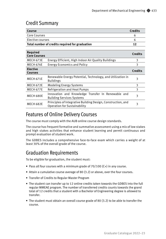# Credit Summary

| Course                                          |                                                                                        | <b>Credits</b> |
|-------------------------------------------------|----------------------------------------------------------------------------------------|----------------|
| <b>Core Courses</b>                             |                                                                                        | 6              |
| Elective courses                                |                                                                                        | 6              |
| Total number of credits required for graduation |                                                                                        | 12             |
|                                                 |                                                                                        |                |
| Required<br><b>Core Courses</b>                 |                                                                                        | <b>Credits</b> |
| <b>MECH 673E</b>                                | Energy Efficient, High Indoor Air Quality Buildings                                    | 3              |
| <b>MECH 674E</b>                                | <b>Energy Economics and Policy</b>                                                     | 3              |
| <b>Elective</b><br><b>Courses</b>               |                                                                                        | <b>Credits</b> |
| <b>MECH 671E</b>                                | Renewable Energy Potential, Technology, and Utilization in<br><b>Buildings</b>         | 3              |
| <b>MECH 672E</b>                                |                                                                                        |                |
|                                                 | Modeling Energy Systems                                                                | 3              |
| <b>MECH 677E</b>                                | Refrigeration and Heat Pumps                                                           | 3              |
| <b>MECH 680E</b>                                | Innovation and Knowledge Transfer In Renewable and<br><b>Building Services Systems</b> | 3              |

## Features of Online Delivery Courses

The course must comply with the AUB online course design standards.

The course has frequent formative and summative assessment using a mix of low stakes and high stakes activities that enhance student learning and permit continuous and prompt evaluation of student work.

The GDBES includes a comprehensive face-to-face exam which carries a weight of at least 30% of the overall grade of the course.

# Graduation Requirements

To be eligible for graduation, the student must:

- Pass all four courses with a minimum grade of 70/100 (C+) in any course.
- Attain a cumulative course average of 80 (3.2) or above, over the four courses.
- Transfer of Credits to Regular Master Program
- The student can transfer up to 12 online credits taken towards the GDBES into the full regular MMEAE program. The number of transferred credits counts towards the grand total of 12 credits that a student with a Bachelor of Engineering degree is allowed to transfer.
- The student must obtain an overall course grade of 80 (3.2) to be able to transfer the course.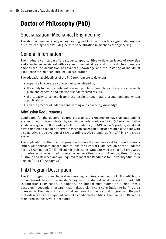# <span id="page-127-0"></span>**Doctor of Philosophy (PhD)**

# Specialization: Mechanical Engineering

The Maroun Semaan Faculty of Engineering and Architecture offers a graduate program of study leading to the PhD degree with specialization in mechanical engineering.

# General Information

The graduate curriculum offers students opportunities to develop levels of expertise and knowledge consistent with a career of technical leadership. The doctoral program emphasizes the acquisition of advanced knowledge and the fostering of individual experience of significant intellectual exploration.

The educational objectives of the PhD program are to develop:

- expertise in a core area of mechanical engineering,
- the ability to identify pertinent research problems, formulate and execute a research plan, and generate and analyze original research results,
- the capacity to communicate those results through oral presentations and written publications,
- and the practice of independent learning and advancing knowledge.

### Admission Requirements

Candidates for the doctoral degree program are expected to have an outstanding academic record demonstrated by a minimum undergraduate GPA of 3.2 or a cumulative grade average of 80.0 according to AUB standards (3.0 GPA in a 4.0 grade system) and have completed a master's degree in mechanical engineering or a related discipline with a cumulative grade average of 85.0 according to AUB standards (3.7 GPA in a 4.0 grade system).

The application to the doctoral program follows the deadlines set by the Admissions Office. All applicants are required to take the General Exam section of the Graduate Record Examination (GRE) and submit their scores. Students who are not AUB graduates or graduates of recognized colleges or universities in North America, Great Britain, Australia and New Zealand are required to meet the Readiness for University Studies in English (RUSE) (See page 41).

# PhD Program Description

The PhD program in mechanical engineering requires a minimum of 18 credit hours of coursework beyond the master's degree. The student must pass a two-part PhD Qualification Examination. In addition, the student must submit an original thesis based on independent research that makes a significant contribution to her/his area of research. The thesis is the principal component of the doctoral program and the part that will serve as the major indicator of a candidate's abilities. A minimum of 30 credits registered as thesis work is required.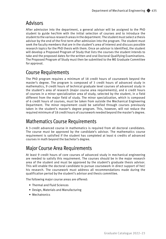## Advisors

After admission into the department, a general advisor will be assigned to the PhD student to guide her/him with the initial selection of courses and to introduce the student to the various research areas in the department. The student must select a thesis advisor by the end of the first term after admission into the program. The student must seek the faculty members that are in the student's area of interest and discuss possible research topics for the PhD thesis with them. Once an advisor is identified, the student will develop a Proposed Program of Study that lists the courses the student intends to take and the proposed dates for the written and oral Doctoral Qualifying Examinations. The Proposed Program of Study must then be submitted to the ME Graduate Committee for approval.

# Course Requirements

The PhD program requires a minimum of 18 credit hours of coursework beyond the master's degree. The program is composed of 3 credit hours of advanced study in mathematics, 9 credit hours of technical graduate level courses of advanced study in the student's area of research (major course area requirements), and 6 credit hours of courses in a minor specialization area of study, selected by the student, in a field different from the major field of study. The minor specialization, which is composed of 6 credit hours of courses, must be taken from outside the Mechanical Engineering Department. The minor requirement could be satisfied through courses previously taken in the student's master's degree program. This, however, will not reduce the required minimum of 18 credit hours of coursework needed beyond the master's degree.

# Mathematics Course Requirements

A 3-credit advanced course in mathematics is required from all doctoral candidates. The course must be approved by the candidate's advisor. The mathematics course requirement is satisfied if the student has completed at least 6 credits of advanced courses in math beyond the bachelor's degree.

# Major Course Area Requirements

At least 9 credit hours of core courses of advanced study in mechanical engineering are needed to satisfy this requirement. The courses should be in the major research area of the student and must be approved by the student's graduate thesis advisor. This will enable the doctoral candidate to pursue coursework in direct support of her/ his research. The coursework must address all recommendations made during the qualification period by the student's advisor and thesis committee.

The following major course areas are offered:

- Thermal and Fluid Sciences
- Design, Materials and Manufacturing
- Mechatronics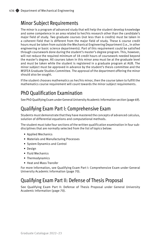# Minor Subject Requirements

The minor is a program of advanced study that will help the student develop knowledge and some competence in an area related to her/his research other than the candidate's major field of study. Two graduate courses (not less than 6 credits) must be taken in a coherent field that is different from the major field of study. These 6 course credit hours must be taken from outside the Mechanical Engineering Department (i.e., in other engineering or basic science departments). Part of this requirement could be satisfied through coursework done during the student's master's degree program. This, however, will not reduce the required minimum of 18 credit hours of coursework needed beyond the master's degree. All courses taken in this minor area must be at the graduate level and must be taken while the student is registered in a graduate program at AUB. The minor subject must be approved in advance by the student's thesis committee and the MSFEA Graduate Studies Committee. The approval of the department offering the minor should also be sought.

If the student chooses mathematics as her/his minor, then the course taken to fulfill the mathematics course requirement will count towards the minor subject requirements.

# PhD Qualification Examination

See PhD Qualifying Exam under General University Academic Information section (page 69).

# Qualifying Exam Part I: Comprehensive Exam

Students must demonstrate that they have mastered the concepts of advanced calculus, solution of differential equations and computational methods.

The student must take four sections of the written qualification examination in four subdisciplines that are normally selected from the list of topics below:

- Applied Mechanics
- Materials and Manufacturing Processes
- System Dynamics and Control
- Design
- Fluid Mechanics
- Thermodynamics
- Heat and Mass Transfer

For more Information, see Qualifying Exam Part I: Comprehensive Exam under General University Academic Information (page 70).

## Qualifying Exam Part II: Defense of Thesis Proposal

See Qualifying Exam Part II: Defense of Thesis Proposal under General University Academic Information (page 70).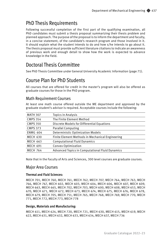# PhD Thesis Requirements

Following successful completion of the first part of the qualifying examination, all PhD candidates must submit a thesis proposal summarizing their thesis problem and planned approach. The purpose of the proposal is to inform the department and faculty, in a concise statement, of the candidate's research program and those involved in it. It should explain what the student intends to do and how s/he intends to go about it. The thesis proposal must provide sufficient literature citations to indicate an awareness of previous work and enough detail to show how the work is expected to advance knowledge in the field.

# Doctoral Thesis Committee

See PhD Thesis Committee under General University Academic Information (page 71).

# Course Plan for PhD Students

All courses that are offered for credit in the master's program will also be offered as graduate courses for those in the PhD program.

### Math Requirement Courses

At least one math course offered outside the ME department and approved by the graduate student's advisor is required. Acceptable courses include the following:

| <b>Topics in Analysis</b>                              |
|--------------------------------------------------------|
| The Finite Element Method                              |
| Discrete Models for Differential Equations             |
| <b>Parallel Computing</b>                              |
| Deterministic Optimization Models                      |
| Finite Element Methods in Mechanical Engineering       |
| <b>Computational Fluid Dynamics</b>                    |
| Convex Optimization                                    |
| <b>Advanced Topics in Computational Fluid Dynamics</b> |
|                                                        |

Note that in the Faculty of Arts and Sciences, 300 level courses are graduate courses.

### Major Area Courses

### **Thermal and Fluid Sciences:**

MECH 701, MECH 760, MECH 761, MECH 762, MECH 707, MECH 764, MECH 763, MECH 766, MECH 767, MECH 602, MECH 603, MECH 604, MECH 606, MECH 607, MECH 609, MECH 663, MECH 665, MECH 702, MECH 703, MECH 600, MECH 608, MECH 653, MECH 670, MECH 671, MECH 672, MECH 673, MECH 674, MECH 675, MECH 676, MECH 678, MECH 679, MECH 705, MECH 751, MECH 765, MECH 768, MECH 769, MECH 770, MECH 771, MECH 772, MECH 773, MECH 778

### **Design, Materials and Manufacturing:**

MECH 611, MECH 624, MECH 720, MECH 721, MECH 630, MECH 615, MECH 619, MECH 622, MECH 631, MECH 632, MECH 633, MECH 634, MECH 637, MECH 736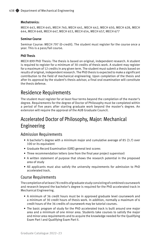#### **Mechatronics:**

MECH 643, MECH 645, MECH 740, MECH 641, MECH 642, MECH 650, MECH 628, MECH 644, MECH 648, MECH 647, MECH 653, MECH 654, MECH 657, MECH 677

#### **Seminar Course**

Seminar Course: MECH 797 (0-credit). The student must register for the course once a year. This is a pass/fail course.

#### **PhD Thesis**

MECH 899 PhD Thesis: The thesis is based on original, independent research. A student is required to register for a minimum of 30 credits of thesis work. A student may register for a maximum of 12 credits in any given term. The student must submit a thesis based on results of original, independent research. The PhD thesis is expected to make a significant contribution to the field of mechanical engineering. Upon completion of the thesis and after its approval by the student's thesis advisor, a final oral examination will constitute the thesis defense.

## Residence Requirements

The student must register for at least four terms beyond the completion of the master's degree. Requirements for the degree of Doctor of Philosophy must be completed within a period of five years after starting graduate work beyond the master's degree. An extension will require the approval of the AUB Graduate Council.

## Accelerated Doctor of Philosophy, Major: Mechanical Engineering

### Admission Requirements

- A bachelor's degree with a minimum major and cumulative average of 85 (3.7) over 100 or its equivalent
- Graduate Record Examination (GRE) general test scores
- Three recommendation letters (one from the final year project supervisor)
- A written statement of purpose that shows the research potential in the proposed area of study
- All applicants must also satisfy the university requirements for admission to PhD accelerated track.

### Course Requirements

The completion of at least 78 credits of graduate study consisting of combined coursework and research beyond the bachelor's degree is required for the PhD accelerated track in Mechanical Engineering.

- A minimum of 36 credit hours must be in approved graduate level coursework and a minimum of 30 credit hours of thesis work. In addition, normally a maximum of 6 credit hours of the 36 credits of coursework may be tutorial courses.
- The basic program of study for the PhD accelerated track is built around one major area and a minimum of one minor area. Students take courses to satisfy the major and minor area requirements and to acquire the knowledge needed for the Qualifying Exam Part I and Qualifying Exam Part II.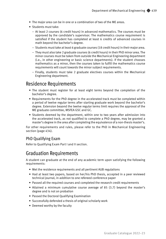- The major area can be in one or a combination of two of the ME areas.
- Students must take:
	- At least 2 courses (6 credit hours) in advanced mathematics. The courses must be approved by the candidate's supervisor. The mathematics course requirement is satisfied if the student has completed at least 6 credits of advanced courses in math beyond the bachelor's degree.
	- Students must take at least 6 graduate courses (18 credit hours) in their major area.
	- They must also take 2 graduate courses (6 credit hours) in their PhD minor area. The minor courses must be taken from outside the Mechanical Engineering department (i.e., in other engineering or basic science departments). If the student chooses mathematics as a minor, then the courses taken to fulfill the mathematics course requirements will count towards the minor subject requirements.
	- Finally, students must take 2 graduate electives courses within the Mechanical Engineering department.

## Residence Requirements

- The student must register for at least eight terms beyond the completion of the bachelor's degree.
- Requirements for the PhD degree in the accelerated track must be completed within a period of twelve regular terms after starting graduate work beyond the bachelor's degree. Extension beyond the twelve regular terms limit requires the approval of the ME graduate committee, MSFEA GSC and GC.
- Students deemed by the department, within one to two years after admission into the accelerated track, as not qualified to complete a PhD degree, may be granted a master's degree in the area after completing the equivalence of a non-thesis master's.

For other requirements and rules, please refer to the PhD in Mechanical Engineering section (page [434\)](#page-127-0).

### PhD Qualifying Exam

Refer to Qualifying Exam Part I and II section.

## Graduation Requirements

A student can graduate at the end of any academic term upon satisfying the following requirements:

- Met the residence requirements and all pertinent AUB regulations
- Had at least two papers, based on her/his PhD thesis, accepted in a peer reviewed technical journal, in addition to one refereed conference paper
- Passed all the required courses and completed the research credit requirements
- Attained a minimum cumulative course average of 85 (3.7) beyond the master's degree and is not on probation
- Passed the Doctoral Qualifying Examination
- Successfully defended a thesis of original scholarly work
- Deemed worthy by the faculty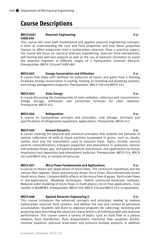# **Course Descriptions**

#### **MECH 600/ Reservoir Engineering 3 cr. CHEN 690**

This course will cover both fundamental and applied reservoir engineering concepts. It aims at understanding the rock and fluid properties and how these properties interact to affect production from a hydrocarbon reservoir. From a practical aspect, the course will focus on classical reservoir engineering, reservoir drive mechanisms, well testing and well test analysis as well as the use of reservoir simulation to assist the reservoir engineer at different stages of a hydrocarbon reservoir lifecycle. *Prerequisites: MECH 310 and CHEN 490.*

#### **MECH 602 Energy Conservation and Utilization 3 cr.**

A course that deals with methods for reduction of losses and gains from a building envelope; energy conservation in cooling, heating, air-handling and plumbing systems; and energy management programs. *Prerequisites: MECH 310 and MECH 412.*

#### **MECH 603** Solar Energy 3 cr.

A course discussing the fundamentals of solar radiation, collectors and concentrators, energy storage, estimation and conversion formulas for solar radiation. *Prerequisite: MECH 412.* 

#### **MECH 604** Refrigeration **3 cr.**

A course on fundamental concepts and principles: cold storage, functions and specifications of refrigeration equipment, applications. *Prerequisite: MECH 412.* 

#### **MECH 606 Aerosol Dynamics 3 cr.**

A course covering the physical and chemical principles that underlie the behavior of aerosol collections of solid or liquid particles suspended in gases, such as clouds, smoke, dust and the instruments used to measure them. Topics include: aerosol particle characterization; transport properties and phenomena in quiescent, laminar and turbulent flows; gas- and particle-particle interactions; and applications to human respiratory tract deposition and atmospheric pollution. *Prerequisites: MECH 314, MECH 412 and MECH 414; or consent of instructor.* 

#### **MECH 607 Micro Flows Fundamentals and Applications 3 cr.**

A course on theory and applications of micro flows. The continuum hypothesis and the various flow regimes. Shear and pressure driven micro flows. Electrokinetically driven liquid micro flows. Compressibility effects of the micro flow of gases. Particulate flows in bio-applications. Modeling techniques. Hybrid continuum-molecular methods. Reduced order modeling of micro flows in multi-physics micro flow applications. Case studies in BioMEMS. *Prerequisites: MECH 310, MECH 314 and MECH 412; or equivalent*.

#### **MECH 608** Applied Reservoir Engineering II **3 cr.**

This course introduces the advanced concepts and principles needed to analyze hydrocarbon reservoir fluid systems, and defines the size and content of petroleum accumulation. Students will learn to organize programs for collecting, recording and analyzing data describing the advanced characteristics of individual well and reservoir performance. This course covers a variety of topics such as fluid flow in a porous medium; fluid distribution, fluid displacement; fractional flow equation; Buckly-Leverete equation; pressure draw-down and pressure buildup analysis; in addition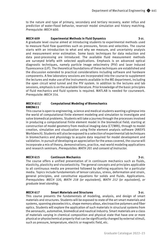to the nature and type of primary, secondary and tertiary recovery, water influx and prediction of water-flood behavior, reservoir model simulation and history matching. *Prerequisite: MECH 600.* 

#### **MECH 609 Experimental Methods in Fluid Dynamics 3 cr.**

A graduate level course aimed at introducing students to experimental methods used to measure fluid flow quantities such as pressures, forces and velocities. The course starts with an introduction to what and why we measure, and uncertainty analysis and measurement error estimation. Some basic techniques for data reduction and data post-processing are introduced. The available fluid measurement methods are surveyed briefly with selected applications. Emphasis is on advanced optical diagnostic techniques, namely particle image velocimetry (PIV) and laser induced fluorescence (LIF). The theoretical foundations of these techniques are established and the discussion extended to practical considerations including software and hardware components. A few laboratory sessions are incorporated into the course to supplement the lectures and make use of the instruments available in the ME department, including the open circuit wind tunnel and the PIV system. In addition to the lectures and lab sessions, emphasis is on the available literature. Prior knowledge of the basic principles of fluid mechanics and fluid systems is required. MATLAB is needed for coursework. *Prerequisite: MECH 314.*

#### **MECH 611/ Computational Modeling of Biomechanics BMEN611**

This course is open to engineering, science and medical students wanting a glimpse into the world of computational finite element modeling and simulation to investigate and solve biomedical problems. Students will take a journey through the processes involved in producing a computational finite element model in the biomedical field; starting at construction of model geometry from medical imaging data (CT/MRI), through to model creation, simulation and visualization using finite element analysis software (ANSYS Workbench). Students will also be exposed to a selection of experimental lab techniques in biomechanics and physiology to acquire data required for model development and validation. In pursuit of developing an appreciation for the areas covered, the course will incorporate a mix of theory, demonstrations, practice, real-world modeling applications and research seminars. *Prerequisites: MATH 201 and consent of instructor.*

### **MECH 615 Continuum Mechanics 3 cr.**

The course offers a unified presentation of in continuum mechanics such as fluids, elasticity, plasticity and viscoelasticity. The general concepts and principles applicable to all continuous media are presented followed by defining equations for a particular media. Topics include fundamentals of tensor calculus, stress, deformation and strain, general principles, and constitutive equations for solids and fluids. Applications. *Prerequisites: MECH 320, MATH 218 (or equivalent), MATH 212 (or equivalent), or graduate level standing.*

### **MECH 617 Smart Materials and Structures 3 cr.**

This course presents the fundamentals of modeling, analysis, and design of smart materials and structures. Students will be exposed to state of the art smart materials and systems, spanning piezoelectrics, shape memory alloys, electroactive polymers and fiber optics. Students will explore the application of such materials in structural systems from the aeronautic, automotive, biomedical and nautical industry. Smart materials are a class of materials varying in chemical composition and physical state that have one or more physical or physiochemical property that can be significantly changed by external stimuli, such as pressure, temperature, electric or magnetic field, etc.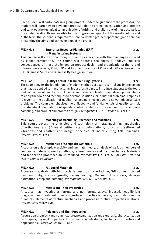Each student will participate in a group project. Under the guidance of the professor, the student will learn how to develop a proposal, do the project investigation and prepare and carry out the technical communications (writing and oral). In any of these scenarios, the student is directly responsible for the progress and quality of the results. At the end of the term, the student is required to submit a written project report and give a seminar presenting the aims and achievements of the project.

#### **MECH 618 Enterprise Resource Planning (ERP) 3 cr. in Manufacturing Systems**

This course will cover how today's industries can cope with the challenges induced by global competition. The course will address challenges of today's industry; consequences of these challenges on product design and organizations; the role of information systems, PLM, ERP and APS; and practice of PLM and ERP systems on the SAP Business Suite and Business By Design solution.

#### **MECH 619 Quality Control in Manufacturing Systems 3 cr.**

The course covers the foundations of modern methods of quality control and improvement that may be applied to manufacturing industries. It aims to introduce students to the tools and techniques of quality control used in industrial applications and develop their ability to apply the tools and techniques to develop solutions for industrial problems. Emphasis is given to the application of quality management techniques to solve industrial case problems. The course emphasizes the philosophy and fundamentals of quality control, the statistical foundations of quality control, statistical process control, acceptance sampling, and product and process design. *Prerequisites: STAT 230 and MECH 421.*

#### **MECH 622 Modeling of Machining Processes and Machines 3 cr.**

This course covers the principles and technology of metal machining; mechanics of orthogonal and 3D metal cutting; static deformations, forced and self-excited vibrations and chatter; and design principles of metal cutting CNC machines. *Prerequisite: MECH 421.*

#### **MECH 624 Mechanics of Composite Materials 3 cr.**

A course on anisotropic elasticity and laminate theory, analysis of various members of composite materials, energy methods, failure theories and micromechanics. Materials and fabrication processes are introduced. *Prerequisites: MECH 320 or CIVE 310, and MECH 340; or equivalent.*

#### **MECH 625** Fatigue of Materials **3 cr.**

A course that deals with high cycle fatigue, low cycle fatigue, S-N curves, notched members, fatigue crack growth, cycling loading, Manson-Coffin curves, damage estimation, creep and damping. *Prerequisite: MECH 320 or CIVE 310.* 

#### **MECH 626 Metals and Their Properties 3 cr.**

A course that investigates ferrous and non-ferrous alloys, industrial equilibrium diagrams, heat treatment of metals, surface properties of metals, plastic deformation of metals, elements of fracture mechanics and process-structure-properties relations. *Prerequisite: MECH 340.*

#### **MECH 627** Polymers and Their Properties **3 cr.**

A course on chemistry and nomenclature, polymerization and synthesis, characterization techniques, physical properties of polymers, viscoelasticity, mechanical properties and applications. *Prerequisite: MECH 340.*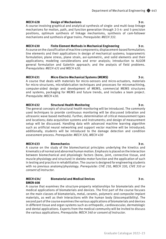#### **MECH 628 Design of Mechanisms 3 cr.**

A course involving graphical and analytical synthesis of single- and multi-loop linkage mechanisms for motion, path, and function generation through 2-3-4- and 5-precision positions, optimum synthesis of linkage mechanisms, synthesis of cam-follower mechanisms and synthesis of gear trains. *Prerequisite: MECH 332.* 

### **MECH 630 Finite Element Methods in Mechanical Engineering 3 cr.**

A course on the classification of machine components; displacement-based formulation; line elements and their applications in design of mechanical systems; isoparametric formulation; plane stress, plane strain, axi-symmetric, and solid elements and their applications; modeling considerations and error analysis; introduction to ALGOR general formulation and Galerkin approach; and the analysis of field problems. *Prerequisites: MECH 431 and MECH 420.* 

#### **MECH 631 Micro Electro Mechanical Systems (MEMS) 3 cr.**

A course that deals with materials for micro-sensors and micro-actuators, materials for micro-structures, microfabrication techniques and processes for micromachining, computer-aided design and development of MEMS, commercial MEMS structures and systems, packaging for MEMS and future trends, and includes a team project. *Prerequisite: MECH 430.* 

### **MECH 632 Structural Health Monitoring 3 cr.**

The general concepts of structural health monitoring will be introduced. The commonly used techniques to provide continuous monitoring will be discussed (vibration and ultrasonic wave based methods). Further, determination of critical measurement types and locations; data acquisition systems and instruments; and design of measurement setup will be discussed. Handling data with advanced machine learning algorithm such as artificial neural networking and support vector machine will be introduced; additionally, students will be introduced to the damage detection and condition assessment process. *Prerequisite: MECH 320, MECH 430*

#### **MECH 633** Biomechanics 3 cr.

A course on the study of the biomechanical principles underlying the kinetics and kinematics of normal and abnormal human motion. Emphasis is placed on the interaction between biomechanical and physiologic factors (bone, joint, connective tissue, and muscle physiology and structure) in skeleto-motor function and the application of such in testing and practice in rehabilitation. The course is designed for engineering students with no previous anatomy/physiology. *Prerequisite: CIVE 210, MECH 320, CIVE 310 or consent of instructor*.

#### **MECH 634/ Biomaterial and Medical Devices 3 cr. BMEN 608**

A course that examines the structure-property relationships for biomaterials and the medical applications of biomaterials and devices. The first part of the course focuses on the main classes of biomaterials, metal, ceramic, polymeric and composite implant materials, as well as their interactions with the human body (biocompatibility). The second part of the course examines the various applications of biomaterials and devices in different tissue and organ systems such as orthopedic, cardiovascular, dermatologic and dental applications. Experts from the medical community will be invited to discuss the various applications. *Prerequisite: MECH 340 or consent of instructor.*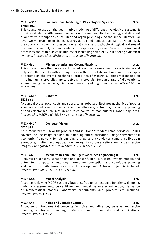#### **MECH 635/ Computational Modeling of Physiological Systems 3 cr. BMEN 601**

This course focuses on the quantitative modeling of different physiological systems. It provides students with current concepts of the mathematical modeling, and different quantitative descriptions of cellular and organ physiology. At the subcellular/cellular level, we will examine mechanisms of regulation and homeostasis. At the system level, the course will cover basic aspects of anatomical and pathophysiological features of the nervous, neural, cardiovascular and respiratory systems. Several physiological processes are treated as case studies for increasing complexity in modeling dynamical systems. *Prerequisites: MATH 202, or consent of instructor.*

#### **MECH 637 Micromechanics and Crystal Plasticity 3 cr.**

This course covers the theoretical knowledge of the deformation process in single and polycrystalline solids with an emphasis on the role of dislocations and other types of defects on the overall mechanical properties of materials. Topics will include an introduction to crystallography, defects in crystals, fundamentals of dislocations, strengthening mechanisms, microstructures and yielding. *Prerequisites: MECH 340 and MECH 320.*

#### **MECH 641/ Robotics 3 cr. EECE 661**

A course discussing concepts and subsystems; robot architecture; mechanics of robots: kinematics and kinetics; sensors and intelligence; actuators; trajectory planning of end effector motion; motion and force control of manipulators; robot languages. *Prerequisite: MECH 436, EECE 460 or consent of instructor.*

#### **MECH 642/** Computer Vision **3 cr. EECE 692**

An introductory course on the problems and solutions of modern computer vision. Topics covered include image acquisition, sampling and quantization; image segmentation; geometric framework for vision: single view and two-views; camera calibration; stereopsis; motion and optical flow; recognition; pose estimation in perspective images. *Prerequisites: MATH 202 and EECE 230 or EECE 231.*

### **MECH 643 Mechatronics and Intelligent Machines Engineering II 3 cr.**

A course on sensors, sensor noise and sensor fusion; actuators; system models and automated computer simulation; information, perception and cognition; planning and control; architectures, design and development. A team project is included. *Prerequisites: MECH 340 and MECH 530.* 

### **MECH 644 Modal Analysis 3 cr.**

A course reviewing MDOF system vibrations, frequency response functions, damping, mobility measurement, curve fitting and modal parameter extraction, derivation of mathematical models; laboratory experiments and projects are included. *Prerequisite: MECH 531*.

### **MECH 645 Noise and Vibration Control 3 cr.**

A course on fundamental concepts in noise and vibration, passive and active damping strategies, damping materials, control methods and applications. *Prerequisite: MECH 531.*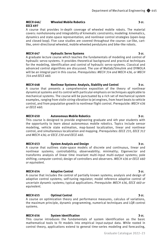#### **MECH 646/ Wheeled Mobile Robotics 3 cr. EECE 697**

A course that provides in-depth coverage of wheeled mobile robots. The material covers: nonholonomy and integrability of kinematic constraints; modeling: kinematics, dynamics and state-space representation; and nonlinear control strategies (open-loop and closed-loop). Five case studies are covered throughout the course: car-like, cartlike, omni-directional wheeled, mobile wheeled pendulums and bike-like robots.

#### **MECH 647 Hydraulic Servo Systems 3 cr.**

A graduate lecture course which teaches the fundamentals of modeling and control of hydraulic servo-systems. It provides theoretical background and practical techniques for the modeling, identification and control of hydraulic servo-systems. Classical and advanced control algorithms are discussed. The use of Matlab/Simulink and DYMOLA will be an integral part in this course. *Prerequisites: MECH 314 and MECH 436, or MECH 314 and EECE 460.*

#### **MECH 648 Nonlinear Systems: Analysis, Stability and Control 3cr.** 3cr.

A course that presents a comprehensive exposition of the theory of nonlinear dynamical systems and its control with particular emphasis on techniques applicable to mechanical systems. The course will be punctuated by a rich set of mechanical system examples, ranging from violin string vibration to jet engines, from heart beats to vehicle control, and from population growth to nonlinear flight control. *Prerequisite: MECH 436 or EECE 460.*

### **MECH 650 Autonomous Mobile Robotics 3 cr.**

This course is designed to provide engineering graduate and 4th year students with the opportunity to learn about autonomous mobile robotics. Topics include sensor modeling, vehicle state estimation, map-based localization, linear and nonlinear control, and simultaneous localization and mapping. *Prerequisites: EECE 231, EECE 312 and MECH 436; or EECE 230 and EECE 460.*

### **MECH 653 System Analysis and Design 3 cr.**

A course that outlines state-space models of discrete and continuous, linear and nonlinear systems; controllability; observeability; minimality; Eigenvector and transforms analysis of linear time invariant multi-input multi-output systems; pole shifting; computer control; design of controllers and observers. *MECH 436 or EECE 460 or equivalent.* 

### **MECH 654 Adaptive Control 3 cr.**

A course that includes the control of partially known systems; analysis and design of adaptive control systems; self-tuning regulator; model reference adaptive control of uncertain dynamic systems; typical applications. *Prerequisite: MECH 436, EECE 460 or equivalent*.

### **MECH 655** Optimal Control 3 cr.

A course on optimization theory and performance measures, calculus of variations, the maximum principle, dynamic programming, numerical techniques and LQR control systems.

### **MECH 656 System Identification 3 cr.**

This course introduces the fundamentals of system identification as the basic mathematical tools to fit models into empirical input-output data. While rooted in control theory, applications extend to general time-series modeling and forecasting,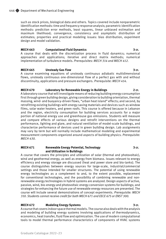such as stock prices, biological data and others. Topics covered include nonparametric identification methods: time and frequency response analysis; parametric identification methods: prediction error methods, least squares, linear unbiased estimation and maximum likelihood; convergence, consistency and asymptotic distribution of estimates; properties and practical modeling issues: bias distribution, experiment design and model validation.

#### **MECH 663 Computational Fluid Dynamics 3 cr.**

A course that deals with the discretization process in fluid dynamics; numerical approaches and applications; iterative and direct matrix methods; numerical implementation of turbulence models. *Prerequisites: MECH 314 and MECH 412.* 

#### MECH 665 Unsteady Gas Flow 3 cr.

A course examining equations of unsteady continuous adiabatic multidimensional flows, unsteady continuous one-dimensional flow of a perfect gas with and without discontinuity, applications and pressure exchangers*. Prerequisite: MECH 414.* 

### **MECH 670 Laboratory for Renewable Energy in Buildings 2 cr.**

A laboratory course that will investigate means of reducing building energy consumption first through green building design, giving consideration to building orientation, thermal massing, wind- and buoyancy-driven flows, "urban heat island" effects; and second, by retrofitting existing buildings with energy saving materials and devices such as window films, solar water heaters, and green roofs. This course is offered because in Lebanon and the region, electricity consumption for building services accounts for a major portion of national energy use and greenhouse gas emissions. Students will measure and compare effects of various designs and retrofit interventions on the thermal performance, lighting and glare, and natural ventilation of model-scale buildings, and characterize performance of devices used in green building design. Lab assignments may vary by term but will normally include mathematical modeling and experimental measurement components organized around aspects of building physics. *Prerequisite: MECH 430.*

#### **MECH 671 Renewable Energy Potential, Technology 3 cr. and Utilization in Buildings**

A course that covers the principles and utilization of solar (thermal and photovoltaic), wind and geothermal energy, as well as energy from biomass. Issues relevant to energy efficiency and energy storage are discussed (heat and power store and bio-tanks). The course distinguishes between energy sources for large-scale, industrial/commercial settings and those intended for smaller structures. The potential of using renewable energy technologies as a complement to and, to the extent possible, replacement for conventional technologies, and the possibility of combining renewable and nonrenewable energy technologies in hybrid systems are analyzed. Design aspects of active, passive, wind, bio-energy and photovoltaic energy conversion systems for buildings; and strategies for enhancing the future use of renewable energy resources are presented. The course will include several demonstrations of concept experiments. *Prerequisite: MECH 310. Students cannot receive credit for both MECH 671 and EECE 675 or ENST 300.*

### **MECH 672** Modeling Energy Systems 3 cr.

Graduate Catalogue 2022–23

A course that covers indoor space thermal models. The course also deals with the analysis and modeling of building energy systems involving applications of thermodynamics, economics, heat transfer, fluid flow and optimization. The use of modern computational tools to model thermal performance characteristics of components of HVAC systems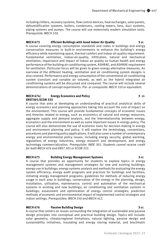including chillers, recovery systems, flow control devices, heat exchanges, solar panels, dehumidification systems, boilers, condensers, cooling towers, fans, duct systems, piping systems and pumps. The course will use extensively modern simulation tools. *Prerequisite: MECH 310.* 

**MECH 673 Efficient Buildings with Good Indoor Air Quality 3 cr.** A course covering energy consumption standards and codes in buildings and energy conservation measures in built-in environments to enhance the building's energy efficiency while maintaining space, thermal comfort and indoor air quality requirement. Fundamental ventilation, indoor-air-quality, infiltration, natural and mechanical ventilation, importance and impact of indoor air quality on human health and energy performance of the building air conditioning system, ASHRAE, and ASHRAE requirement for ventilation. Particular focus will be given to green energy alternative measures. An overview of the different heating, ventilation and air conditioning system designs is also covered. Performance and energy consumption of the conventional air conditioning system (constant and variable air volume), as well as the hybrid integrated air conditioning systems will be discussed and compared. The course will include several demonstrations of concept experiments. *Pre- or corequisite: MECH 310 or equivalent.*

#### **MECH 674/ Energy Economics and Policy 3 cr. ENST305/ECON 333**

A course that aims at developing an understanding of practical analytical skills of energy economics and planning approaches taking into account the cost of impact on the environment. This course will provide fundamental concepts of economic issues and theories related to energy, such as economics of natural and energy resources, aggregate supply and demand analysis, and the interrelationship between energy, economics and the environment as well as some important issues in energy policy. The course will also demonstrate the use of economic tools for decision-making in energy and environment planning and policy. It will explore the terminology, conventions, procedures and planning policy applications. It will also cover a number of contemporary energy and environmental policy issues, including energy security, global warming, regulations of energy industries, energy research and development, and energy technology commercialization. *Prerequisite: INDE 301. Students cannot receive credit for both MECH 674 and ENST 305 or ECON 333.*

### **MECH 675 Building Energy Management Systems 3 cr.**

A course that provides an opportunity for students to explore topics in energy management systems and management strategies for new and existing buildings; energy use in buildings; energy systems analysis and methods for evaluating the energy system efficiency; energy audit programs and practices for buildings and facilities; initiating energy management programs; guidelines for methods of reducing energy usage in each area in buildings; conservation of the energy in the planning, design, installation, utilization, maintenance; control and automation of the mechanical systems in existing and new buildings; air conditioning and ventilation systems in buildings; assessment and optimization of energy control strategies; prediction methods of economic and environmental impact of implemented control strategies and indoor settings. *Prerequisites: MECH 310 and MECH 412.*

### **MECH 676** Passive Building Design **3 cm** 3 cm

A course that centers on issues surrounding the integration of sustainable and passive design principles into conceptual and practical building design. Topics will include: solar geometry, climate/regional limitations, natural lighting, passive design and sustainability initiatives, insulating and energy storing material, and bioclimatic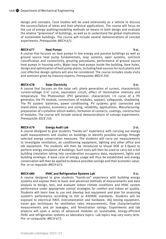design and concepts. Case studies will be used extensively as a vehicle to discuss the success/failure of ideas and their physical applications. The course will focus on the use of energy auditing/modeling methods as means to both design and evaluate the relative "greenness" of buildings, as well as to understand the global implications of sustainable buildings. The course will include several demonstrations of concept experiments. *Prerequisite: MECH 671.* 

### **MECH 677** Heat Pumps **3 cr.**

A course that focuses on heat pumps in low energy and passive buildings as well as ground source heat pump fundamentals, loop systems, open systems, soil/rock classification and conductivity, grouting procedures, performance of ground source heat pumps in housing units. Water loop heat pumps inside the building, bore holes, design and optimization of heat pump plants, including heat sources for such plants and cost effective design options will also be considered. The course includes study visits and seminars given by industry experts. *Prerequisite: MECH 310.* 

### **MECH 678** Solar Electricity **3 cr.**

A course that focuses on the solar cell: photo generation of current, characteristic current-voltage (I-V) curve, equivalent circuit, effect of illumination intensity and temperature. The Photovoltaic (PV) generator: characteristic I-V curve of a PV generator, the PV module, connections of modules, support, safeguards, shadowing. The PV system: batteries, power conditioning. PV systems: grid- connected and stand-alone systems, economics and sizing, reliability, applications. Manufacturing: preparation of crystalline silicon wafers, formation of contacts, coatings, construction of modules. The course will include several demonstrations of concept experiments. *Prerequisite: EECE 210.*

### **MECH 679** Energy Audit Lab **2 cr.**

A course designed to give students "hands-on" experience with carrying out energy audit measurements and studies on buildings to identify possible savings through selected energy conservation measures. The students will carry out measurements to investigate ventilation, air conditioning equipment, lighting and other office and lab equipment. The students will then be introduced to Visual DOE or E-Quest to perform energy simulation of buildings. Such tools will then be used to carry out a full building simulation taking into consideration occupancy data, equipment, lights and building envelope. A base case of energy usage will thus be established and energy conservation will then be applied to deduce possible savings and their economic value. *Pre- or co-requisite: MECH 672.*

### **MECH 680 HVAC and Refrigeration Systems Lab 3 cr.**

A course designed to give students "hands-on" experience with building energy systems and expose them to basic and advanced methods of measurements and data analysis to design, test, and evaluate indoor climate conditions and HVAC system performance under appropriate control strategies for comfort and indoor air quality. Students will learn how to use and develop test equipment and plan for assessing system's performance according to ISO or ASHRAE standards. Students will be exposed to electrical HAVC instrumentation and hardware, IAQ testing equipment, tracer gas techniques for ventilation rates measurements, flow characterization measurements and air leakages, and fenestration ratings. Experiments and lab projects will span a series of advanced modules on sustainable, energy-efficient HVAC and refrigeration systems as laboratory topics. Lab topics may vary every term. *Pre- or corequisite: MECH 673.*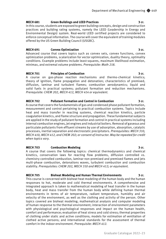### **MECH 681 Green Buildings and LEED Practices 3 cr.**

In this course, students are exposed to green building concepts, design and construction practices and building rating systems, namely the LEED (Leadership in Energy and Environmental Design) system. Real-world LEED certified projects are considered to enforce conceptual information. The course will cover the equivalent of training modules offered by the US Green Building Council (USGBC).

### **MECH 691** Convex Optimization 3 cr.

Advanced course that covers topics such as convex sets, convex functions, convex optimization problems, scalarization for vector optimization, duality theory, optimality conditions. Example problems include least-squares, maximum likelihood estimation, minimax, and extremal volume problems. *Prerequisite: Math 218.* 

### **MECH 701 Principles of Combustion 3 cr.**

A course on gas-phase reaction mechanisms and thermo-chemical kinetics; theory of ignition, flame propagation and detonation; characteristics of premixed, diffusion, laminar and turbulent flames; combustion aerodynamics; liquid and solid fuels in practical systems; pollutant formation and reduction mechanisms. *Prerequisite: CHEM 202, MECH 412, MECH 414 or equivalent.*

### **MECH 702 Pollutant Formation and Control in Combustion 3 cr.**

A course that covers the fundamentals of gas and condensed phase pollutant formation, measurement and control pertaining to practical combustion systems. Topics include heat and mass transfer in reacting systems, chemical reaction kinetics, particle coagulation kinetics, and flame structure and propagation. These fundamental subjects are applied in the study of pollutant formation and control in practical systems including internal combustion engines, jet engines and industrial boilers. Removal of gaseous and particulate pollutants from effluent streams by use of adsorption, absorption, catalytic processes, inertial separation and electrostatic precipitators. *Prerequisites: MECH 310, MECH 410, MECH 412, and CHEM 202; or consent of instructor. May be repeated for credit when topics vary*.

### **MECH 703** Combustion Modeling **3cr.** 3 cr.

A course that covers the following topics: chemical thermodynamics and chemical kinetics, conservation laws for reacting flow problems, diffusion controlled vs. chemistry controlled combustion, laminar non-premixed and premixed flames and jets multi-phase combustion, detonations waves, turbulent combustion and combustion stability. *Prerequisites: CHEM 202, MECH 310 and MECH 412; or equivalent.*

### **MECH 705 Bioheat Modeling and Human Thermal Environments 3 cr.**

This course is concerned with bioheat heat modeling of the human body and the human responses to hot, moderate and cold thermal environments. A comprehensive and integrated approach is taken to mathematical modeling of heat transfer in the human body, heat and mass transfer from the human body while defining human thermal environments in terms of air temperature, radiant temperature, humidity and air velocity of the environment, as well as the clothing and activity of the person. Other topics covered are bioheat modeling; mathematical analysis and computer modeling of human response to the thermal environment; interaction of environment parameters with physiological and psychological responses and impact on the human health, comfort and performance; evaluation of heat stress and cold stress; thermal properties of clothing under static and active conditions; models for estimation of ventilation of clothed active persons; and international standards for the assessment of thermal comfort in the indoor environment. *Prerequisite: MECH 412.*

### Graduate Catalogue 2022–23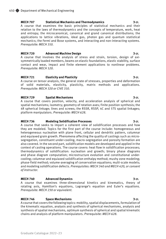#### **MECH 707 Statistical Mechanics and Thermodynamics 3 cr.**

A course that examines the basic principles of statistical mechanics and their relation to the laws of thermodynamics and the concepts of temperature, work, heat and entropy; the microcanonical, canonical and grand canonical distributions; the applications to lattice vibrations, ideal gas, photon gas and quantum statistical mechanics; the Fermi and Bose systems, and interacting and non-interacting systems. *Prerequisite: MECH 310.*

#### **MECH 720 Advanced Machine Design 3 cr.**

A course that involves the analysis of stress and strain, torsion, design of axisymmetrically loaded members, beams on elastic foundations, elastic stability, surface contact and wear, impact and finite element applications to nonlinear problems. *Prerequisite: MECH 520.* 

### **MECH 721 Elasticity and Plasticity 3 cr.**

A course on tensor analysis, the general state of stresses, properties and deformation of solid materials, elasticity, plasticity, matrix methods and applications. *Prerequisite: MECH 320 or CIVE 310.* 

### **MECH 729 Spatial Mechanisms 3 cr.**

A course that covers position, velocity, and acceleration analysis of spherical and spatial mechanisms; isometry; geometry of rotation axes; finite position synthesis; the 4R spherical linkage; lines and screws; the RSSR, RSSP, 4C and 5TS spatial linkages; platform manipulators. *Prerequisite: MECH 628.*

#### **MECH 736 Modeling Solidification Processes 3 cr.**

A course that seeks to impart a coherent view of solidification processes and how they are modeled. Topics for the first part of the course include: homogeneous and heterogeneous nucleation with plane front, cellular and dendritic pattern, columnar and equiaxed grain growth. Phenomena affecting the quality of castings such as microsegregation, constituent under-cooling, macro-segregation and porosity formation are also covered. In the second part, solidification models are developed and applied in the context of casting operations. The course covers: heat flow in solidification processes; thermodynamics of solidification: nucleation and growth; binary phase diagrams and phase diagram computation; microstructure evolution and constitutional undercooling; columnar and equiaxed solidification enthalpy method; mushy zone modeling; phase-field method; volume-averaging of conservation equations; multi-scale models; and modeling solidification defects. *Prerequisites: MECH 340 and MECH 420, or consent of instructor.* 

### **MECH 740** Advanced Dynamics **3 cr.**

A course that examines three-dimensional kinetics and kinematics, theory of rotating axis, Hamilton's equations, Lagrange's equation and Euler's equations. *Prerequisite: MECH 230 or equivalent.*

### **MECH 746 Space Mechanisms 3 cr.**

A course that covers the following topics: mobility, spatial displacements, formulation of the kinematic equation, analysis and synthesis of spherical mechanisms, analysis and synthesis of spatial mechanisms, optimum synthesis of spherical and spatial kinematic chains and analysis of platform manipulators. *Prerequisite: MECH 628.*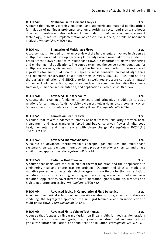# **MECH 747 Nonlinear Finite Element Analysis 3 cr.**

A course that covers governing equations and geometric and material nonlinearities; formulation of nonlinear problems; solution algorithms; vector and matrix methods; direct and iterative equation solvers; FE methods for nonlinear mechanics; element technology; numerical implementation of constitutive models; pitfalls of nonlinear analysis. *Prerequisite: MECH 630.* 

# **MECH 751 Simulation of Multiphase Flows 3 cr.**

A course that is intended to give an overview of the fundamentals involved in dispersed multiphase flows and develop a working knowledge which would allow the student to predict these flows numerically. Multiphase flows are important to many engineering and environmental applications. The course examines the conservation equations for multiphase systems; discretization using the finite-volume method; pressure-based algorithms for multi-fluid flow at all speeds: mass conservation based algorithms and geometric conservation based algorithms (SIMPLE, SIMPLEC, PISO and so on); the partial elimination and SINCE algorithms; weighted pressure correction; mutual influence of volume fractions; implicit volume fraction equations; bounding the volume fractions; numerical implementation; and applications. *Prerequisite: MECH 663.*

# **MECH 760 Advanced Fluid Mechanics 3 cr.**

A course that examines fundamental concepts and principles in addition to basic relations for continuous fluids; vorticity dynamics, Kelvin Helmholtz theorems; Navier-Stokes equations; turbulence and oscillating flows: *Prerequisite: MECH 314.* 

# **MECH 761** Convection Heat Transfer **3 cm** 3 cm

A course that covers fundamental modes of heat transfer; similarity between heat, momentum, and mass transfer in forced and buoyancy-driven flows; simultaneous heat, momentum and mass transfer with phase change. *Prerequisites: MECH 314 and MECH 412.* 

# **MECH 762 Advanced Thermodynamics 3 cr.**

A course on advanced thermodynamic concepts; gas mixtures and multi-phase systems; chemical reactions; thermodynamic property relations; chemical and phase equilibrium; applications. *Prerequisite: MECH 414.* 

# **MECH 763 Radiative Heat Transfer 3 cr.**

A course that deals with the principles of thermal radiation and their application to engineering heat and photon transfer problems. Quantum and classical models of radiative properties of materials, electromagnetic wave theory for thermal radiation, radiative transfer in absorbing, emitting and scattering media, and coherent laser radiation. Applications cover infrared instrumentation, global warming, furnaces and high temperature processing. *Prerequisite: MECH 412.*

# **MECH 764 Advanced Topics in Computational Fluid Dynamics 3 cr.**

A course on numerical solution of compressible unsteady flows, advanced turbulence modeling, the segregated approach, the multigrid technique and an introduction to multi-phase flows. *Prerequisite: MECH 663.*

# **MECH 765 Advanced Finite Volume Techniques 3 cr.**

A course that focuses on linear multigrid; non-linear multigrid; mesh agglomeration: structured and unstructured grids; mesh generation: structured and unstructured grids; free surface simulation; and solidification simulation. *Prerequisite: MECH 633.*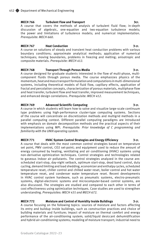# 452 Department of Mechanical Engineering

# **MECH 766** Turbulent Flow and Transport 3cr.

A course that covers the methods of analysis of turbulent fluid flow; in-depth discussion of algebraic, one-equation and two-equation turbulence models; the power and limitations of turbulence models; and numerical implementation. *Prerequisite: MECH 660.*

# **MECH 767 Heat Conduction 3 cr.**

A course on solutions of steady and transient heat conduction problems with various boundary conditions; approximate analytical methods; application of numerical techniques; moving boundaries, problems in freezing and melting; anisotropic and composite materials. *Prerequisite: MECH 412.* 

# **MECH 768 Transport Through Porous Media 3 cr.**

A course designed for graduate students interested in the flow of multi-phase, multicomponent fluids through porous media. The course emphasizes physics of the momentum, heat and mass transport formulation and computations in multi-dimensional systems, including theoretical models of fluid flow, capillary effects, application of fractal and percolation concepts, characterization of porous materials, multiphase flow and heat transfer, turbulent flow and heat transfer, improved measurement techniques, and enhanced design correlations. *Prerequisite: MECH 412.* 

# **MECH 769 Advanced Scientific Computing 3 cr.**

A course in which students will learn how to solve and visualize large-scale continuum type problems using high-performance cluster-type computing systems. Sections of the course will concentrate on discretization methods and multigrid methods in a parallel computing context. Different parallel computing paradigms are introduced with emphasis on domain decomposition methods and the practical aspects of their implementations using MPI. *Prerequisite: Prior knowledge of C programming and familiarity with the UNIX operating system.* 

**MECH 771 HVAC System Control Strategies and Energy Efficiency 3 cr.** A course that deals with the most common control strategies based on temperature set point, PMV control, CO2 set-point; and equipment used to reduce the amount of energy consumed by heating, ventilating and air conditioning (HVAC) systems using non-derivative optimization techniques. Control strategies and technologies related to gaseous indoor air pollutants. The control strategies analyzed in the course are: scheduled start-stop, day-night setback, optimum start-stop, dead band control, duty cycling, demand limiting and load shedding, economizer and enthalpy cycles, scheduled temperature reset, chiller control and chilled water reset, boiler control and hot water temperature reset, and condenser water temperature reset. Recent developments in HVAC control system hardware, such as pneumatic systems, electro-pneumatic systems, digital-electronic systems and microcomputer-based control systems, are also discussed. The strategies are studied and compared to each other in terms of cost effectiveness using optimization techniques. Case studies are used to strengthen understanding. *Prerequisites: MECH 431 and MECH 672.*

# **MECH 772 Moisture and Control of Humidity Inside Buildings 3 cr.**

A course focusing on the following topics: sources of moisture and factors affecting its entry and buildup inside buildings, such as construction practices and choice of building materials and furniture; impact of moisture on thermal comfort and energy performance of the air-conditioning system; solid/liquid desiccant dehumidification and hybrid air-conditioning systems; modeling of moisture transport; industrial need to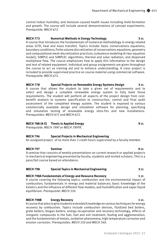control indoor humidity; and moisture-caused health issues including mold formation and growth. The course will include several demonstrations of concept experiments. *Prerequisite: MECH 672.*

# **MECH 773 Numerical Methods in Energy Technology 3 cr.**

A course that introduces the fundamentals of numerical methodology in energy related areas (CFD, heat and mass transfer). Topics include: basic conservations equations; boundary conditions; finite volume discretization of conservations equations; geometry and computational mesh discretization practices; turbulence modeling (k-two-equation model); SIMPLE and SIMPLEC algorithms; thermal and solar radiation; and dispersed multiphase flow. The course emphasizes how to apply this information to the design and test of related equipment. Individual and group assignments are given throughout the course to act as training aid and to enhance understanding. A class project is included to provide supervised practice on course material using commercial software. *Prerequisite: MECH 672.*

**MECH 778 Special Projects on Renewable Energy Systems Design 3 cr.** A course that allows the student to take a given set of requirements and to select and design a complete renewable energy system to fully meet those requirements. The student will perform all aspects of the project design from costbenefit analysis to systems specification to construction, control and final audit assessment of the completed energy system. The student is exposed to various commercially available design and simulation software for planning, specifying and simulation testing of renewable energy retro-fits and new installations. *Prerequisites: MECH 671 and MECH 672.*

# **MECH 788 (A-E)** Thesis in Applied Energy **19 CM 2006** 19 Cr.

*Prerequisite: MECH 799T or MECH 799TR.*

# **MECH 796 Special Projects in Mechanical Engineering**

An assigned project of no more than 3 credit hours supervised by a faculty member.

**MECH 797** Seminar **0 cr.** A seminar that consists of weekly presentations on current research or applied projects in mechanical engineering presented by faculty, students and invited scholars. This is a pass/fail course based on attendance.

# **MECH 798 Special Topics in Mechanical Engineering 3 cr.**

# **MECH 798A Fundamentals of Energy and Resource Recovery 1 cm and 1 cm and 1 cm and 1 cm** A course covering the following topics: combustion and the environmental impact of combustion; fundamentals in energy and material balances; basic knowledge of the kinetics and the influence of different flow models; and humidification and vapor liquid equilibrium. *Prerequisite: MECH 310.*

**MECH 798B** Energy Recovery **1 cr.** A course that aims to give students extended knowledge on various techniques for energy recovery by combustion. Topics include combustion devices, fluidized bed boilers, grate boilers, biogas boilers, energy recuperation and recovery technology, effects of inorganic compounds in the fuel, fuel and ash treatment, fouling and agglomeration; and the fundamentals of metals, oxidation phenomena, high temperature corrosion and erosion-corrosion. *Prerequisites: MECH 310 and MECH 340.*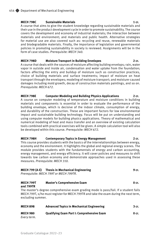## **MECH 798C Sustainable Materials 1 cm and 1 cm and 1 cm and 1 cm and 1 cm and 1 cm and 1 cm and 1 cm and 1 cm and 1 cm and 1 cm and 1 cm and 1 cm and 1 cm and 1 cm and 1 cm and 1 cm and 1 cm and 1 cm and 1 cm and 1 cm and**

A course that aims to give the student knowledge regarding sustainable materials and their use in the product development cycle in order to promote sustainability. The course covers the development and economy of industrial materials; the interaction between materials and environment; and materials and public health. Alternative strategies for material use are also covered such as: recycling and reuse, renewable materials and biodegradable materials. Finally, the importance of legislation and governmental policies in promoting sustainability in society is reviewed. Assignments will be in the form of case studies. *Prerequisite: MECH 340.*

**MECH 798D Moisture Transport in Building Envelopes 2 cr.** A course that deals with the sources of moisture affecting building envelops; rain, water vapor in outside and inside air, condensation and water uptake from the foundation; factors affecting the entry and buildup of moisture such as construction practices, choice of building materials and surface treatments; impact of moisture on heat transport through the envelopes; modeling of moisture transport; and moisture-caused damages including mold growth, decay of construction materials paintings, and so on. *Prerequisite: MECH 672.*

**MECH 798E Computer Modeling and Building Physics Applications 2 cr.** A course on computer modeling of temperature and moisture conditions in building materials and components is essential in order to evaluate the performance of the building envelope, which is decisive of the indoor climate, consumption of energy, and durability of the construction. These are important factors for low environmental impact and sustainable building technology. Focus will be put on understanding and using computer models for building physics applications. Theory of mathematical and numerical modeling of heat and mass transfer and an overview of existing calculation tools combined with practical exercises will be given. A simple calculation tool will also be developed within this course. *Prerequisite: MECH 672.*

**MECH 798H Contemporary Topics in Energy Management 2 cr.** This course provides students with the basics of the interrelationships between energy, economy and the environment. It highlights the global and regional energy scenes. The module provides students with the fundamentals of energy and carbon accounting, energy management, and energy efficiency. It will cover policies and measures to shift towards low carbon economy and demonstrate approaches used in assessing these measures. *Prerequisite: MECH 310.*

|                               | MECH 799 (A-E) Thesis in Mechanical Engineering<br>Prerequisite: MECH 799T or MECH 799TR. | 9 cr. |
|-------------------------------|-------------------------------------------------------------------------------------------|-------|
| <b>MECH 799T</b><br>and 799TR | <b>Master's Comprehensive Exam</b>                                                        | 0 cr. |
|                               | The master's degree comprehensive exam grading mode is pass/fail If a student fails       |       |

The master's degree comprehensive exam grading mode is pass/fail. If a student fails MECH 799T, s/he must register for MECH 799TR and take the exam during the next term, excluding summer.

| <b>MECH 898</b> | <b>Advanced Topics in Mechanical Engineering</b>  | 3 cr. |
|-----------------|---------------------------------------------------|-------|
| <b>MECH 980</b> | <b>Qualifying Exam Part I: Comprehensive Exam</b> | 0 cr. |
| Every term.     |                                                   |       |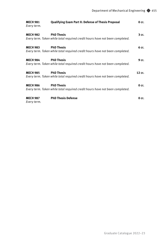| <b>MECH 981</b><br>Every term. | <b>Qualifying Exam Part II: Defense of Thesis Proposal</b>                                        | 0 cr.  |
|--------------------------------|---------------------------------------------------------------------------------------------------|--------|
| <b>MECH 982</b>                | <b>PhD Thesis</b><br>Every term. Taken while total required credit hours have not been completed. | 3 cr.  |
| <b>MECH 983</b>                | <b>PhD Thesis</b><br>Every term. Taken while total required credit hours have not been completed. | 6 cr.  |
| <b>MECH 984</b>                | <b>PhD Thesis</b><br>Every term. Taken while total required credit hours have not been completed. | 9 cr.  |
| <b>MECH 985</b>                | <b>PhD Thesis</b><br>Every term. Taken while total required credit hours have not been completed. | 12 cr. |
| <b>MECH 986</b>                | <b>PhD Thesis</b><br>Every term. Taken while total required credit hours have not been completed. | 0 cr.  |
| <b>MECH 987</b><br>Every term. | <b>PhD Thesis Defense</b>                                                                         | 0 cr.  |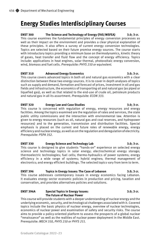# **Energy Studies Interdisciplinary Courses**

**ENST 300 The Science and Technology of Energy (FAS/MSFEA) 3.0; 3 cr.**  This course examines the fundamental principles of energy conversion processes as well as their impact on the environment and provides a clear physical explanation of these principles. It also offers a survey of current energy conversion technologies. Topics are selected based on their future promise energy sources. The course starts with introductory topics providing a minimum base on thermodynamics, kinetic theory of gases, heat transfer and fluid flow and the concept of energy efficiency. Topics include: applications in heat engines, solar thermal, photovoltaic energy conversion, wind, biomass and fuel cells. *Prerequisite: PHYS 210 or equivalent.* 

# **ENST 310 Advanced Energy Economics 3.0; 3 cr.**

This course covers advanced topics in both oil and natural gas economics with a clear distinction between these two energy sources. It is to cover in depth analyses of topics such as supply and demand, formation and forecast of prices, investment in oil and gas fields and infrastructure, the economics of transporting oil and natural gas (as piped or liquefied gas), as well as that related to the end-use of crude oil, petroleum products and natural gas in all its assortment. *Prerequisite: ECON 333.*

# **ENST 320 Energy Law and Case Studies 3.0; 3 cr.**

This course is concerned with regulation of energy, energy resources and energy facilities. Among the topics examined are the regulation of rates and services, the state public utility commissions and the interaction with environmental law. Attention is given to energy resources (such as oil, natural gas and coal reserves, and hydropower resources) and to the generation, transmission and distribution facilities. Special emphasis is placed on the current and future roles of renewable energy, energy efficiency and nuclear energy, as well as on the regulation and deregulation of electricity. *Prerequisite: PSPA 352.*

**ENST 330 Energy Science and Technology Lab 3.0; 3 cr.**  This course is designed to give students "hands-on" experience on selected energy science and technology topics in solar energy; electrochemical energy storage; thermoelectric technologies; fuel cells; thermo-hydraulics of power systems; energy efficiency in a wide range of systems; hybrid engines; thermal management of electronics; and energy efficient buildings. The selected topics vary from term to term.

### **ENST 396 Topics in Energy Issues: The Case of Lebanon 3.0; 3 cr.**  This course addresses contemporary issues in energy economics facing Lebanon.

It evaluates energy sector economic policies in production and pricing, taxation and conservation, and provides alternatives policies and solutions.

# **ENST 396A Special Topics in Energy Issues: 3.0; 3 cr. The Future of Nuclear Power**

This course will provide students with a deeper understanding of nuclear energy and the underlying economic, security, and technological challenges associated with it. Covered topics include the basic physics of nuclear energy, overview of nuclear technologies, economics of nuclear power and examination of safety and security risks. The course aims to provide a policy-oriented platform to assess the prospects of a global nuclear "renaissance" as well as the realities of nuclear power deployment in the Middle East. Prerequisite: *MECH 310, PHYS 210 or PHYS 211.*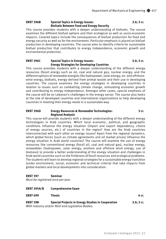# **ENST 396B [Special Topics in Energy Issues:](http://website.aub.edu.lb/fea/me/graduate_p/energy-studies/Documents/Syllabus-Biofuels between food and energy security.pdf) 3.0; 3 cr. Biofuels Between Food and Energy Security**

This course provides students with a deeper understanding of biofuels. The course examines the different biofuel options and their ecological as well as socio-economic impacts. Covered topics include the consequences of biofuel production for food and energy security as well as for the environment. Particular emphasis is placed on biofuel production in developing countries. The course aims to identify criteria for sustainable biofuel production that contributes to energy independence, economic growth and environmental protection.

# **[ENST 396C Special Topics in Energy Issues:](http://website.aub.edu.lb/fea/me/graduate_p/energy-studies/Documents/Fabiola Castro-Syllabus-Summer 2017-Energy Strategies for Developing Countries.pdf) 3.0; 3 cr. Energy Strategies for Developing Countries**

This course provides students with a deeper understanding of the different energy resources (fossil energy such as oil, coal and natural gas; nuclear energy; and the different options of renewable energies like hydropower, solar energy, on- and offshorewind energy, biofuels, energy derived from animal waste) and their use in developing countries. The course examines the energy strategies in developing countries in relation to issues such as combatting climate change, stimulating economic growth and contributing to energy independence. Amongst other cases, special emphasis of the course will be on Lebanon's challenges in the energy sector. The course also looks at the role of developed countries and international organizations to help developing countries in meeting their energy needs in a sustainable way.

### **ENST 396D Energy Resources & Renewable Technologies: 3 cr. Regional Analysis**

This course will provide students with a deeper understanding of the different energy technologies in Arab countries. Which local economic, political, and geographic conditions influence the energy situation (import and export dependency, choice of energy sources, etc.) of countries in the region? How are the Arab countries interconnected with each other on energy issues? Apart from the regional dynamics, which global forces (such as climate agreements and oil market prices) influence the energy situation in Arab world countries? The course will examine the use of energy resources like conventional energy (fossil oil, coal and natural gas), nuclear energy, renewables (hydropower, solar energy, onshore and offshore wind energy, use of biomass) to provide a better understanding of the energy situation and challenges in Arab world countries such as the finiteness of fossil resources and ecological problems. The students will learn to develop regional strategies for a sustainable energy transition (under environment, social, economic and technical criteria) that take impacts from global markets and local developments into consideration.

# **ENST 397 Seminar**

*Must be registered once per year.* 

# **ENST 395A/B Comprehensive Exam**

**ENST 699** Thesis 6 cr. **6 cm**  $\frac{1}{2}$  **6 cm**  $\frac{1}{2}$  **6 cm**  $\frac{1}{2}$  **6 cm**  $\frac{1}{2}$  **6 cm**  $\frac{1}{2}$  **6 cm**  $\frac{1}{2}$  **6 cm**  $\frac{1}{2}$  **6 cm**  $\frac{1}{2}$  **6 cm**  $\frac{1}{2}$  **6 cm**  $\frac{1}{2}$  **6 cm**  $\frac{1}{2}$  **6 cm**  $\frac{$ **ENST 398 Special Projects in Energy Studies in Cooperation 3.0; 3 cr.**  *With Industry and/or NGO and Legislative Bodies.*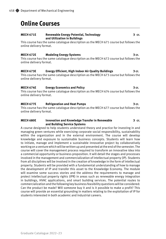# **Online Courses**

# **MECH 671E Renewable Energy Potential, Technology 3 cr. and Utilization in Buildings**

This course has the same catalogue description as the MECH 671 course but follows the online delivery format.

### **MECH 672E Modeling Energy Systems 3 cr.** This course has the same catalogue description as the MECH 672 course but follows the online delivery format.

# **MECH 673E Energy Efficient, High Indoor Air Quality Buildings 3 cr.**

This course has the same catalogue description as the MECH 673 course but follows the online delivery format.

# **MECH 674E Energy Economics and Policy 3 cr.**

This course has the same catalogue description as the MECH 674 course but follows the online delivery format.

# **MECH 677E Refrigeration and Heat Pumps 3 cr.** This course has the same catalogue description as the MECH 677 course but follows the

online delivery format.

## **MECH 680E Innovation and Knowledge Transfer in Renewable 3 cr. and Building Service Systems**

A course designed to help students understand theory and practice for investing in and managing green ventures while exercising corporate social responsibility, sustainability within the organization and in the external environment. The course will develop knowledge and exposure to sustainable business concepts. Students will learn how to initiate, manage and implement a sustainable innovative project by collaboratively working on a venture which will be written up and presented at the end of the semester. The course will cover the management process required to transform an innovative idea into a commercial opportunity or business proposition. It will detail the stages and processes involved in the management and commercialization of intellectual property (IP). Students from all disciplines will be involved in the creation of knowledge in the form of intellectual property. Students will be provided with a fundamental understanding of how to manage the development of IP and transfer this asset to the Knowledge Economy. The module will examine some success stories and the address the requirements to manage and protect intellectual property rights (IPR) in areas such as renewable energy integration in buildings, HVAC applications, and smart building services. The potential routes to commercialization and the following key business feasibility questions will be considered: Can the product be made? Will someone buy it and is it possible to make a profit? This course will provide an essential grounding in matters relating to the exploitation of IP for students interested in both academic and industrial careers.